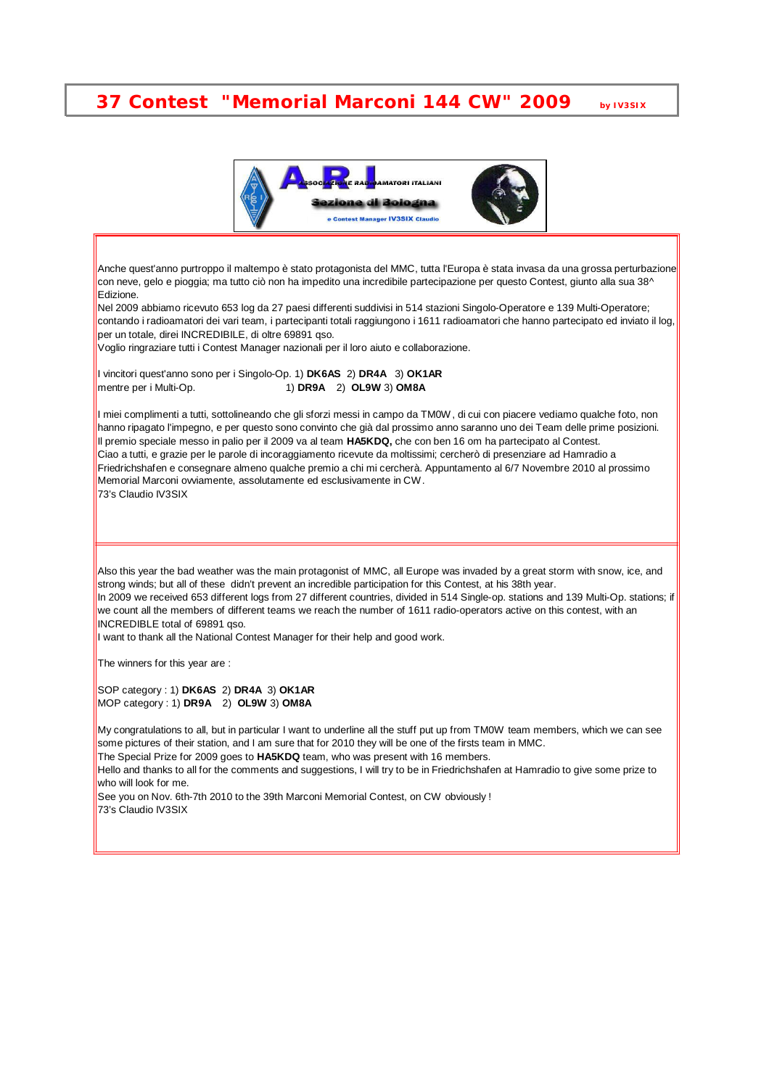## **37 Contest "Memorial Marconi 144 CW" 2009 by IV3SIX**



Anche quest'anno purtroppo il maltempo è stato protagonista del MMC, tutta l'Europa è stata invasa da una grossa perturbazione con neve, gelo e pioggia; ma tutto ciò non ha impedito una incredibile partecipazione per questo Contest, giunto alla sua 38^ Edizione.

Nel 2009 abbiamo ricevuto 653 log da 27 paesi differenti suddivisi in 514 stazioni Singolo-Operatore e 139 Multi-Operatore; contando i radioamatori dei vari team, i partecipanti totali raggiungono i 1611 radioamatori che hanno partecipato ed inviato il log, per un totale, direi INCREDIBILE, di oltre 69891 qso.

Voglio ringraziare tutti i Contest Manager nazionali per il loro aiuto e collaborazione.

I vincitori quest'anno sono per i Singolo-Op. 1) **DK6AS** 2) **DR4A** 3) **OK1AR** mentre per i Multi-Op. 1) **DR9A** 2) **OL9W** 3) **OM8A**

I miei complimenti a tutti, sottolineando che gli sforzi messi in campo da TM0W, di cui con piacere vediamo qualche foto, non hanno ripagato l'impegno, e per questo sono convinto che già dal prossimo anno saranno uno dei Team delle prime posizioni. Il premio speciale messo in palio per il 2009 va al team **HA5KDQ,** che con ben 16 om ha partecipato al Contest. Ciao a tutti, e grazie per le parole di incoraggiamento ricevute da moltissimi; cercherò di presenziare ad Hamradio a Friedrichshafen e consegnare almeno qualche premio a chi mi cercherà. Appuntamento al 6/7 Novembre 2010 al prossimo Memorial Marconi ovviamente, assolutamente ed esclusivamente in CW. 73's Claudio IV3SIX

Also this year the bad weather was the main protagonist of MMC, all Europe was invaded by a great storm with snow, ice, and strong winds; but all of these didn't prevent an incredible participation for this Contest, at his 38th year.

In 2009 we received 653 different logs from 27 different countries, divided in 514 Single-op. stations and 139 Multi-Op. stations; if we count all the members of different teams we reach the number of 1611 radio-operators active on this contest, with an **INCREDIBLE total of 69891 gso.** 

I want to thank all the National Contest Manager for their help and good work.

The winners for this year are:

SOP category : 1) **DK6AS** 2) **DR4A** 3) **OK1AR** MOP category : 1) **DR9A** 2) **OL9W** 3) **OM8A**

My congratulations to all, but in particular I want to underline all the stuff put up from TM0W team members, which we can see some pictures of their station, and I am sure that for 2010 they will be one of the firsts team in MMC.

The Special Prize for 2009 goes to **HA5KDQ** team, who was present with 16 members.

Hello and thanks to all for the comments and suggestions, I will try to be in Friedrichshafen at Hamradio to give some prize to who will look for me.

See you on Nov. 6th-7th 2010 to the 39th Marconi Memorial Contest, on CW obviously ! 73's Claudio IV3SIX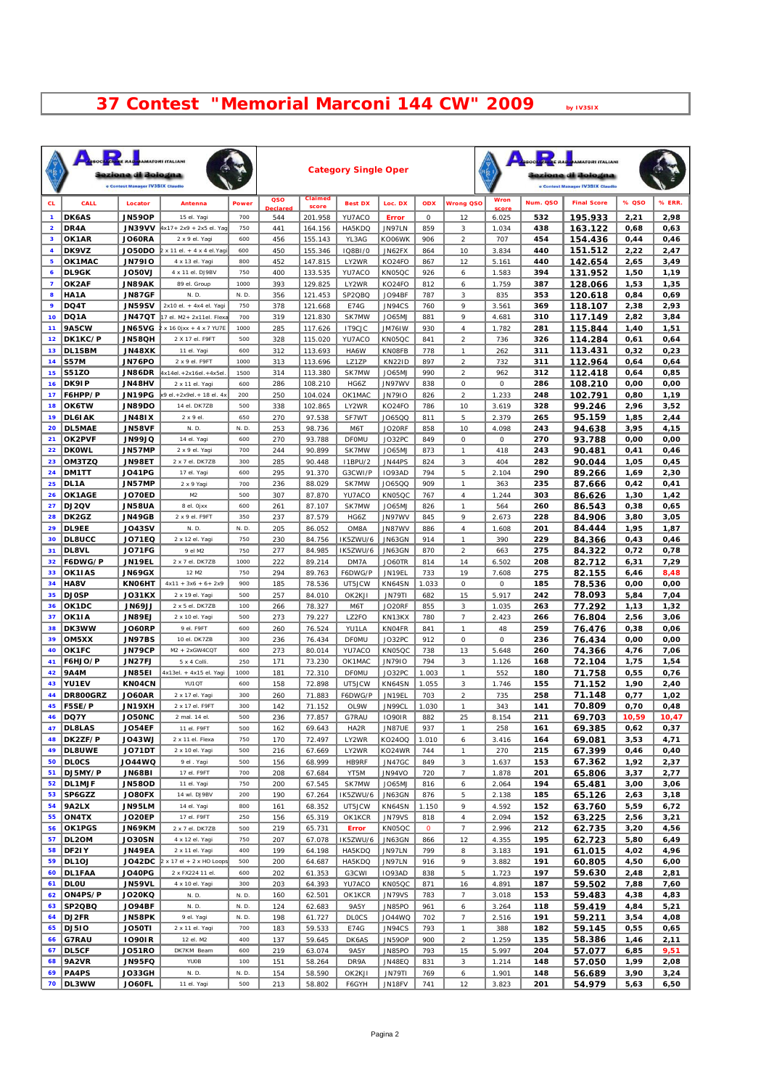## **Contest "Memorial Marconi 144 CW" 2009 by IV3SIX**

|                         |                               | <b>PARTIE RA</b><br>ezione di Bologna<br>e Contest Manager IV3SIX Claudio | <b>MATORI ITALIANI</b>                                |              |                       |                    | <b>Category Single Oper</b> |                         |                |                                                |                |            | <b>MATORI ITALIANI</b><br>ezione di Bologna<br>e Contest Manager IV3SIX Claudio |              |              |
|-------------------------|-------------------------------|---------------------------------------------------------------------------|-------------------------------------------------------|--------------|-----------------------|--------------------|-----------------------------|-------------------------|----------------|------------------------------------------------|----------------|------------|---------------------------------------------------------------------------------|--------------|--------------|
| CL.                     | CALL                          | Locator                                                                   | Antenna                                               | Power        | QSO                   | Claimed            | <b>Best DX</b>              | Loc. DX                 | ODX            | <b>Wrong QSO</b>                               | Wron           | Num. QSO   | <b>Final Score</b>                                                              | % QSO        | % ERR.       |
| $\mathbf{1}$            | DK6AS                         | <b>JN59OP</b>                                                             | 15 el. Yagi                                           | 700          | <b>Declare</b><br>544 | score<br>201.958   | YU7ACO                      | <b>Error</b>            | 0              | 12                                             | cor<br>6.025   | 532        | 195.933                                                                         | 2,21         | 2,98         |
| $\overline{\mathbf{2}}$ | DR4A                          | <b>JN39VV</b>                                                             | 4x17+ 2x9 + 2x5 el. Yaq                               | 750          | 441                   | 164.156            | HA5KDQ                      | JN97LN                  | 859            | 3                                              | 1.034          | 438        | 163.122                                                                         | 0,68         | 0,63         |
| 3                       | OK1AR                         | <b>JO60RA</b>                                                             | 2 x 9 el. Yaqi                                        | 600          | 456                   | 155.143            | YL3AG                       | KO06WK                  | 906            | $\overline{\mathcal{L}}$                       | 707            | 454        | 154.436                                                                         | 0,44         | 0,46         |
| 4<br>5                  | DK9VZ<br>OK1MAC               | <b>JO50DO</b><br><b>JN79IO</b>                                            | $2 \times 11$ el. + 4 x 4 el. Yagi<br>4 x 13 el. Yagi | 600<br>800   | 450<br>452            | 155.346<br>147.815 | 1Q8B1/0<br>LY2WR            | JN62FX<br>KO24FO        | 864<br>867     | 10<br>12                                       | 3.834<br>5.161 | 440<br>440 | 151.512<br>142.654                                                              | 2,22<br>2,65 | 2,47<br>3,49 |
| 6                       | DL9GK                         | <b>LV050U</b>                                                             | 4 x 11 el. DJ9BV                                      | 750          | 400                   | 133.535            | YU7ACO                      | KN05QC                  | 926            | 6                                              | 1.583          | 394        | 131.952                                                                         | 1,50         | 1,19         |
| $\overline{\mathbf{z}}$ | OK2AF                         | <b>JN89AK</b>                                                             | 89 el. Group                                          | 1000         | 393                   | 129.825            | LY2WR                       | KO24FO                  | 812            | 6                                              | 1.759          | 387        | 128.066                                                                         | 1,53         | 1,35         |
| 8<br>9                  | HA1A<br>DQ4T                  | <b>JN87GF</b><br><b>JN59SV</b>                                            | N.D<br>$2x10$ el + $4x4$ el Yagi                      | N. D.<br>750 | 356<br>378            | 121.453<br>121.668 | SP2QBQ<br>E74G              | JO94BF<br>JN94CS        | 787<br>760     | 3<br>9                                         | 835<br>3.561   | 353<br>369 | 120.618<br>118.107                                                              | 0,84<br>2,38 | 0,69<br>2,93 |
| 10 <sub>o</sub>         | DQ1A                          | <b>JN47QT</b>                                                             | 17 el. M2+ 2x11el. Flexa                              | 700          | 319                   | 121.830            | SK7MW                       | JO65MJ                  | 881            | 9                                              | 4.681          | 310        | 117.149                                                                         | 2,82         | 3,84         |
| 11                      | <b>9A5CW</b>                  | <b>JN65VG</b>                                                             | x 16 0 xx + 4 x 7 YU7E                                | 1000         | 285                   | 117.626            | IT9CJC                      | JM76IW                  | 930            | $\overline{4}$                                 | 1.782          | 281        | 115.844                                                                         | 1,40         | 1,51         |
| 12 <sub>2</sub><br>13   | DK1KC/P<br>DL1SBM             | <b>JN58QH</b><br><b>JN48XK</b>                                            | 2 X 17 el. F9FT<br>11 el. Yagi                        | 500<br>600   | 328<br>312            | 115.020<br>113.693 | YU7ACO<br>HA6W              | KN05QC<br><b>KNOSFB</b> | 841<br>778     | $\overline{\mathbf{c}}$<br>$\boldsymbol{\eta}$ | 736<br>262     | 326<br>311 | 114.284<br>113.431                                                              | 0,61<br>0,32 | 0,64<br>0,23 |
| 14                      | <b>S57M</b>                   | JN76PO                                                                    | 2 x 9 el. F9FT                                        | 1000         | 313                   | 113.696            | LZ1ZP                       | <b>KN22ID</b>           | 897            | $\overline{\mathbf{c}}$                        | 732            | 311        | 112.964                                                                         | 0,64         | 0,64         |
| 15                      | <b>S51ZO</b>                  | JN86DR                                                                    | 4x14el.+2x16el.+4x5el                                 | 1500         | 314                   | 113.380            | SK7MW                       | <b>JO65MJ</b>           | 990            | $\overline{\mathbf{c}}$                        | 962            | 312        | 112.418                                                                         | 0,64         | 0,85         |
| 16<br>17                | DK91P<br>F6HPP/P              | <b>JN48HV</b><br>JN19PG                                                   | 2 x 11 el. Yagi<br>k 9 el. + 2x 9el. + 18 el. 4x      | 600<br>200   | 286<br>250            | 108.210<br>104.024 | HG6Z<br>OK1MAC              | JN97WV<br><b>JN7910</b> | 838<br>826     | 0<br>$\overline{\mathcal{L}}$                  | 0<br>1.233     | 286<br>248 | 108.210<br>102.791                                                              | 0,00<br>0,80 | 0,00<br>1,19 |
| 18                      | OK6TW                         | <b>JN89DO</b>                                                             | 14 el. DK7ZB                                          | 500          | 338                   | 102.865            | LY2WR                       | KO24FO                  | 786            | 10                                             | 3.619          | 328        | 99.246                                                                          | 2,96         | 3,52         |
| 19                      | <b>DL6IAK</b>                 | <b>JN48IX</b>                                                             | $2 \times 9$ el.                                      | 650          | 270                   | 97.538             | SF7WT                       | J065QQ                  | 811            | 5                                              | 2.379          | 265        | 95.159                                                                          | 1,85         | 2,44         |
| 20<br>21                | <b>DL5MAE</b><br>OK2PVF       | <b>JN58VF</b><br><b>JN99JQ</b>                                            | N.D<br>14 el. Yagi                                    | N. D.<br>600 | 253<br>270            | 98.736<br>93.788   | М6Т<br><b>DFOMU</b>         | <b>JO20RF</b><br>JO32PC | 858<br>849     | 10<br>0                                        | 4.098<br>0     | 243<br>270 | 94.638<br>93.788                                                                | 3,95<br>0,00 | 4,15<br>0,00 |
| 22                      | <b>DKOWL</b>                  | <b>JN57MP</b>                                                             | 2 x 9 el. Yaqi                                        | 700          | 244                   | 90.899             | SK7MW                       | <b>JO65MJ</b>           | 873            | $\boldsymbol{\mathcal{I}}$                     | 418            | 243        | 90.481                                                                          | 0,41         | 0,46         |
| 23                      | OM3TZQ                        | <b>JN98ET</b>                                                             | 2 x 7 el. DK7ZB                                       | 300          | 285                   | 90.448             | 11BPU/2                     | <b>JN44PS</b>           | 824            | 3                                              | 404            | 282        | 90.044                                                                          | 1,05         | 0,45         |
| 24                      | DM1TT                         | <b>JO41PG</b>                                                             | 17 el. Yagi                                           | 600          | 295                   | 91.370             | G3CWI/P                     | <b>IO93AD</b>           | 794            | 5                                              | 2.104          | 290        | 89.266                                                                          | 1,69         | 2,30         |
| 25<br>26                | DL1A<br>OK1AGE                | <b>JN57MP</b><br>JO70ED                                                   | 2 x 9 Yagi<br>M <sub>2</sub>                          | 700<br>500   | 236<br>307            | 88.029<br>87.870   | SK7MW<br>YU7ACO             | J065QQ<br>KN05QC        | 909<br>767     | $\mathcal{I}$<br>$\overline{4}$                | 363<br>1.244   | 235<br>303 | 87.666<br>86.626                                                                | 0,42<br>1,30 | 0,41<br>1,42 |
| 27                      | DJ2QV                         | <b>JN58UA</b>                                                             | 8 el. Ojxx                                            | 600          | 261                   | 87.107             | SK7MW                       | JO65MJ                  | 826            | $\boldsymbol{\mathcal{I}}$                     | 564            | 260        | 86.543                                                                          | 0,38         | 0,65         |
| 28                      | DK2GZ                         | <b>JN49GB</b>                                                             | 2 x 9 el. F9FT                                        | 350          | 237                   | 87.579             | HG6Z                        | JN97WV                  | 845            | 9                                              | 2.673          | 228        | 84.906                                                                          | 3,80         | 3,05         |
| 29<br>30                | DL9EE<br><b>DL8UCC</b>        | JO43SV<br><b>JO71EQ</b>                                                   | N.D<br>2 x 12 el. Yagi                                | N. D.<br>750 | 205<br>230            | 86.052<br>84.756   | OM8A<br>IK5ZWU/6            | JN87WV<br>JN63GN        | 886<br>914     | $\it 4$<br>$\boldsymbol{\mathcal{I}}$          | 1.608<br>390   | 201<br>229 | 84.444                                                                          | 1,95<br>0,43 | 1,87<br>0,46 |
| 31                      | DL8VL                         | JO71FG                                                                    | 9 el M2                                               | 750          | 277                   | 84.985             | IK5ZWU/6                    | <b>JN63GN</b>           | 870            | $\overline{\mathbf{c}}$                        | 663            | 275        | 84.366<br>84.322                                                                | 0,72         | 0,78         |
| 32                      | F6DWG/P                       | JN19EL                                                                    | 2 x 7 el. DK7ZB                                       | 1000         | 222                   | 89.214             | DM7A                        | <b>JO60TR</b>           | 814            | 14                                             | 6.502          | 208        | 82.712                                                                          | 6,31         | 7,29         |
| 33                      | OK1IAS                        | <b>JN69GX</b>                                                             | 12 M <sub>2</sub>                                     | 750          | 294                   | 89.763             | F6DWG/P                     | JN19EL                  | 733            | 19                                             | 7.608          | 275        | 82.155                                                                          | 6,46         | 8,48         |
| 34<br>35                | HA8V<br><b>DJOSP</b>          | KN06HT<br>JO31KX                                                          | $4x11 + 3x6 + 6 + 2x9$<br>2 x 19 el. Yagi             | 900<br>500   | 185<br>257            | 78.536<br>84.010   | UT5JCW<br>OK2KJI            | KN64SN<br><b>JN79TI</b> | 1.033<br>682   | 0<br>15                                        | 0<br>5.917     | 185<br>242 | 78.536<br>78.093                                                                | 0,00<br>5,84 | 0,00<br>7,04 |
| 36                      | OK1DC                         | <b>LLPONL</b>                                                             | 2 x 5 el. DK7ZB                                       | 100          | 266                   | 78.327             | M6T                         | <b>JO20RF</b>           | 855            | 3                                              | 1.035          | 263        | 77.292                                                                          | 1,13         | 1,32         |
| 37                      | OK1IA                         | <b>JN89EJ</b>                                                             | 2 x 10 el. Yagi                                       | 500          | 273                   | 79.227             | LZ2FO                       | KN13KX                  | 780            | $\overline{z}$                                 | 2.423          | 266        | 76.804                                                                          | 2,56         | 3,06         |
| 38<br>39                | DK3WW<br>OM5XX                | <b>JO60RP</b><br><b>JN97BS</b>                                            | 9 el. F9FT<br>10 el. DK7ZB                            | 600<br>300   | 260<br>236            | 76.524<br>76.434   | YU1LA<br><b>DFOMU</b>       | <b>KNO4FR</b><br>JO32PC | 841<br>912     | $\boldsymbol{\mathcal{I}}$<br>$\cal O$         | 48<br>0        | 259<br>236 | 76.476<br>76.434                                                                | 0,38<br>0,00 | 0,06<br>0,00 |
| 40                      | OK1FC                         | <b>JN79CP</b>                                                             | M2 + 2xGW4CQT                                         | 600          | 273                   | 80.014             | YU7ACO                      | KN05QC                  | 738            | 13                                             | 5.648          | 260        | 74.366                                                                          | 4,76         | 7,06         |
| 41                      | F6HJO/P                       | <b>JN27FJ</b>                                                             | 5 x 4 Colli.                                          | 250          | 171                   | 73.230             | OK1MAC                      | <b>JN7910</b>           | 794            | 3                                              | 1.126          | 168        | 72.104                                                                          | 1,75         | 1,54         |
| 42<br>43                | <b>9A4M</b><br><b>YU1EV</b>   | JN85EI<br>KN04CN                                                          | 4x13el. + 4x15 el. Yagi<br>YU1 OT                     | 1000<br>600  | 181<br>158            | 72.310<br>72.898   | <b>DFOMU</b><br>UT5JCW      | JO32PC<br>KN64SN        | 1.003<br>1.055 | 1<br>3                                         | 552<br>1.746   | 180<br>155 | 71.758<br>71.152                                                                | 0,55<br>1,90 | 0,76<br>2,40 |
| 44                      | DR800GRZ                      | <b>JO60AR</b>                                                             | 2 x 17 el. Yagi                                       | 300          | 260                   | 71.883             | F6DWG/P                     | JN19EL                  | 703            | $\overline{\mathcal{L}}$                       | 735            | 258        | 71.148                                                                          | 0,77         | 1,02         |
| 45                      | F5SE/P                        | JN19XH                                                                    | 2 x 17 el. F9FT                                       | 300          | 142                   | 71.152             | OL 9W                       | JN99CL                  | 1.030          | $\boldsymbol{\mathcal{I}}$                     | 343            | 141        | 70.809                                                                          | 0,70         | 0,48         |
| 46                      | DQ7Y                          | JO50NC                                                                    | 2 mal. 14 el.                                         | 500          | 236                   | 77.857             | G7RAU                       | <b>IO90IR</b>           | 882            | 25                                             | 8.154          | 211        | 69.703                                                                          | 10,59        | 10,47        |
|                         | 47   DL8LAS<br>48 DK2ZF/P     | <b>JO54EF</b><br><b>JO43WJ</b>                                            | 11 el. F9FT<br>2 x 11 el. Flexa                       | 500<br>750   | 162<br>170            | 69.643<br>72.497   | HA <sub>2</sub> R<br>LY2WR  | JN87UE<br>KO240Q        | 937<br>1.010   | $\boldsymbol{\eta}$<br>6                       | 258<br>3.416   | 161<br>164 | 69.385<br>69.081                                                                | 0,62<br>3,53 | 0,37<br>4,71 |
|                         | 49   DL8UWE                   | JO71DT                                                                    | 2 x 10 el. Yagi                                       | 500          | 216                   | 67.669             | LY2WR                       | KO24WR                  | 744            | $\boldsymbol{\eta}$                            | 270            | 215        | 67.399                                                                          | 0,46         | 0,40         |
|                         | 50 DLOCS                      | J044WQ                                                                    | 9 el . Yagi                                           | 500          | 156                   | 68.999             | <b>HB9RF</b>                | JN47GC                  | 849            | 3                                              | 1.637          | 153        | 67.362                                                                          | 1,92         | 2,37         |
| 52                      | 51   DJ5MY/P<br><b>DL1MJF</b> | <b>JN68BI</b><br><b>JN58OD</b>                                            | 17 el. F9FT<br>11 el. Yagi                            | 700<br>750   | 208<br>200            | 67.684<br>67.545   | YT5M<br>SK7MW               | JN94VO<br>JO65MJ        | 720<br>816     | $\overline{7}$<br>6                            | 1.878<br>2.064 | 201<br>194 | 65.806<br>65.481                                                                | 3,37<br>3,00 | 2,77<br>3,06 |
|                         | 53   SP6GZZ                   | JO80FX                                                                    | 14 wl. DJ9BV                                          | 200          | 190                   | 67.264             | IK5ZWU/6                    | JN63GN                  | 876            | 5                                              | 2.138          | 185        | 65.126                                                                          | 2,63         | 3,18         |
| 54                      | 9A2LX                         | <b>JN95LM</b>                                                             | 14 el. Yagi                                           | 800          | 161                   | 68.352             | UT5JCW                      | KN64SN                  | 1.150          | 9                                              | 4.592          | 152        | 63.760                                                                          | 5,59         | 6,72         |
| 55<br>56                | ON4TX<br>OK1PGS               | JO20EP<br><b>JN69KM</b>                                                   | 17 el. F9FT<br>2 x 7 el. DK7ZB                        | 250<br>500   | 156<br>219            | 65.319<br>65.731   | OK1KCR<br>Error             | <b>JN79VS</b><br>KN05QC | 818<br>0       | $\overline{\mathcal{A}}$<br>7                  | 2.094<br>2.996 | 152<br>212 | 63.225<br>62.735                                                                | 2,56<br>3,20 | 3,21<br>4,56 |
| 57                      | DL2OM                         | <b>JO30SN</b>                                                             | 4 x 12 el. Yagi                                       | 750          | 207                   | 67.078             | IK5ZWU/6                    | <b>JN63GN</b>           | 866            | 12                                             | 4.355          | 195        | 62.723                                                                          | 5,80         | 6,49         |
| 58                      | DF2IY                         | JN49EA                                                                    | 2 x 11 el. Yagi                                       | 400          | 199                   | 64.198             | HA5KDQ                      | JN97LN                  | 799            | 8                                              | 3.183          | 191        | 61.015                                                                          | 4,02         | 4,96         |
| 59                      | DL1OJ<br>DL1FAA               | JO42DC                                                                    | $2 \times 17$ el + $2 \times$ HO Loops                | 500          | 200                   | 64.687             | HA5KDQ                      | JN97LN                  | 916            | 9                                              | 3.882          | 191        | 60.805                                                                          | 4,50         | 6,00         |
| 60<br>61                | <b>DLOU</b>                   | <b>JO40PG</b><br><b>JN59VL</b>                                            | 2 x FX224 11 el.<br>4 x 10 el. Yagi                   | 600<br>300   | 202<br>203            | 61.353<br>64.393   | G3CWI<br>YU7ACO             | 1093AD<br>KN05QC        | 838<br>871     | 5<br>16                                        | 1.723<br>4.891 | 197<br>187 | 59.630<br>59.502                                                                | 2,48<br>7,88 | 2,81<br>7,60 |
|                         | 62   ON4PS/P                  | <b>JO20KQ</b>                                                             | N. D.                                                 | N.D.         | 160                   | 62.501             | OK1KCR                      | <b>JN79VS</b>           | 783            | $\boldsymbol{7}$                               | 3.018          | 153        | 59.483                                                                          | 4,38         | 4,83         |
|                         | 63   SP2QBQ                   | <b>JO94BF</b>                                                             | N. D.                                                 | N. D.        | 124                   | 62.683             | 9A5Y                        | JN85PO                  | 961            | 6                                              | 3.264          | 118        | 59.419                                                                          | 4,84         | 5,21         |
| 64                      | DJ2FR<br>65   DJ510           | JN58PK<br><b>JO50TI</b>                                                   | 9 el. Yagi<br>2 x 11 el. Yagi                         | N. D.<br>700 | 198<br>183            | 61.727<br>59.533   | <b>DLOCS</b><br>E74G        | JO44WQ<br>JN94CS        | 702<br>793     | $\overline{7}$<br>$\boldsymbol{\eta}$          | 2.516<br>388   | 191<br>182 | 59.211<br>59.145                                                                | 3,54<br>0,55 | 4,08<br>0,65 |
| 66                      | G7RAU                         | 10901R                                                                    | 12 el. M2                                             | 400          | 137                   | 59.645             | DK6AS                       | <b>JN59OP</b>           | 900            | $\overline{\mathcal{L}}$                       | 1.259          | 135        | 58.386                                                                          | 1,46         | 2,11         |
| 67                      | <b>DL5CF</b>                  | <b>JO51RO</b>                                                             | DK7KM Beam                                            | 600          | 219                   | 63.074             | <b>9A5Y</b>                 | <b>JN85PO</b>           | 793            | 15                                             | 5.997          | 204        | 57.077                                                                          | 6,85         | 9,51         |
| 68                      | 9A2VR                         | JN95FQ                                                                    | YUOB                                                  | 100<br>N.D.  | 151                   | 58.264             | DR9A                        | <b>JN48EQ</b>           | 831            | 3                                              | 1.214          | 148        | 57.050                                                                          | 1,99         | 2,08         |
| 69                      | <b>PA4PS</b><br>70   DL3WW    | JO33GH<br>JO60FL                                                          | N. D.<br>11 el. Yagi                                  | 500          | 154<br>213            | 58.590<br>58.802   | OK2KJI<br>F6GYH             | <b>JN79TI</b><br>JN18FV | 769<br>741     | 6<br>12                                        | 1.901<br>3.823 | 148<br>201 | 56.689<br>54.979                                                                | 3,90<br>5,63 | 3,24<br>6,50 |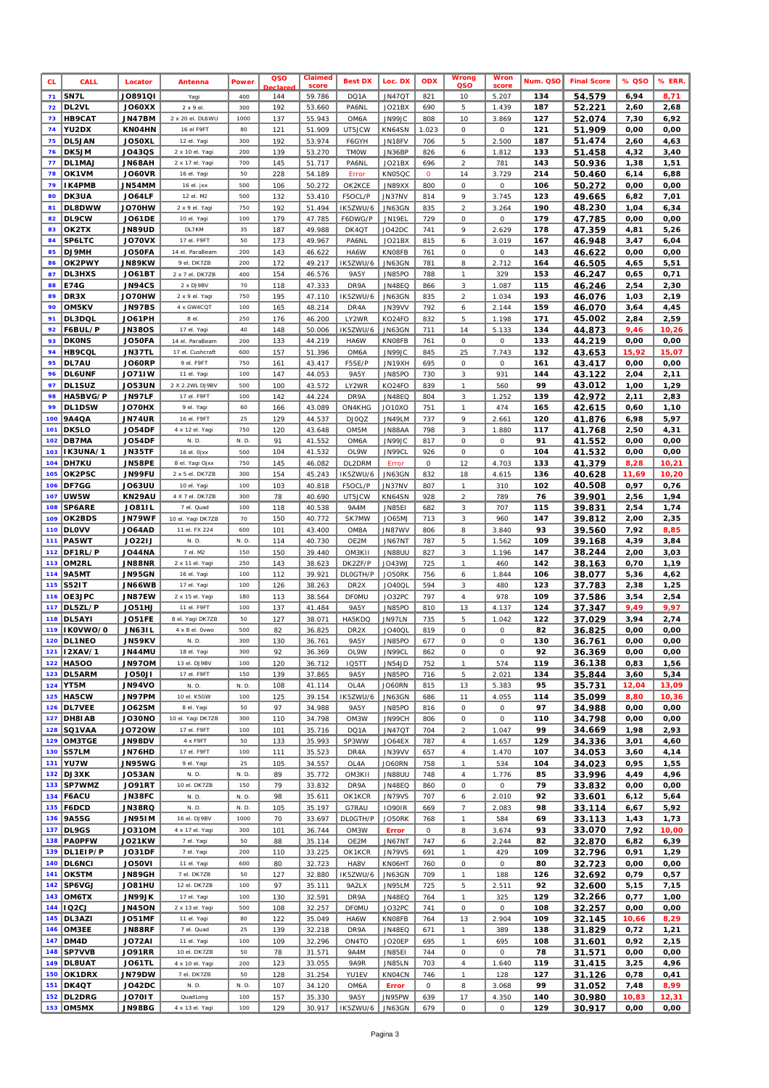| <b>CL</b>  | CALL                        | Locator                        | Antenna                          | <b>Power</b> | QSO<br>eclare | Claimed<br>score | <b>Best DX</b>           | Loc. DX                        | ODX                     | Wrong<br>QSO                          | <b>Wron</b><br>score | Num. QSO   | <b>Final Score</b> | % QSO        | % ERR.        |
|------------|-----------------------------|--------------------------------|----------------------------------|--------------|---------------|------------------|--------------------------|--------------------------------|-------------------------|---------------------------------------|----------------------|------------|--------------------|--------------|---------------|
| 71         | SN7L                        | <b>JO891QI</b>                 | Yagi                             | 400          | 144           | 59.786           | DQ1A                     | <b>JN47QT</b>                  | 821                     | 10                                    | 5.207                | 134        | 54.579             | 6,94         | 8,71          |
| 72         | DL2VL                       | <b>JO60XX</b>                  | 2 x 9 el.                        | 300          | 192           | 53.660           | PA6NL                    | JO21BX                         | 690                     | 5                                     | 1.439                | 187        | 52.221             | 2,60         | 2,68          |
| 73<br>74   | <b>HB9CAT</b><br>YU2DX      | <b>JN47BM</b><br>KNO4HN        | 2 x 20 el. DL6WU<br>16 el F9FT   | 1000<br>80   | 137<br>121    | 55.943<br>51.909 | OM6A<br>UT5JCW           | JN99JC<br>KN64SN               | 808<br>1.023            | 10<br>0                               | 3.869<br>0           | 127<br>121 | 52.074<br>51.909   | 7,30<br>0,00 | 6,92<br>0,00  |
| 75         | DL5JAN                      | JO50XL                         | 12 el. Yagi                      | 300          | 192           | 53.974           | F6GYH                    | JN18FV                         | 706                     | 5                                     | 2.500                | 187        | 51.474             | 2,60         | 4,63          |
| 76         | DK5JM                       | J043QS                         | 2 x 10 el. Yagi                  | 200          | 139           | 53.270           | <b>TMOW</b>              | JN36BP                         | 826                     | 6                                     | 1.812                | 133        | 51.458             | 4,32         | 3,40          |
| 77         | DL1MAJ                      | <b>JN68AH</b>                  | 2 x 17 el. Yagi                  | 700          | 145           | 51.717           | PA6NL                    | JO21BX                         | 696                     | $\overline{a}$                        | 781                  | 143        | 50.936             | 1,38         | 1,51          |
| 78<br>79   | OK1VM<br>IK4PMB             | <b>JO60VR</b><br><b>JN54MM</b> | 16 el. Yagi<br>16 el. jxx        | 50<br>500    | 228<br>106    | 54.189<br>50.272 | Error<br>OK2KCE          | KN05QC<br>JN89XX               | $\boldsymbol{o}$<br>800 | 14<br>0                               | 3.729<br>$\cal O$    | 214<br>106 | 50.460<br>50.272   | 6,14<br>0,00 | 6,88<br>0,00  |
| 80         | DK3UA                       | <b>JO64LF</b>                  | 12 el. M2                        | 500          | 132           | 53.410           | F5OCL/P                  | JN37NV                         | 814                     | 9                                     | 3.745                | 123        | 49.665             | 6,82         | 7,01          |
| 81         | DL8DWW                      | JO70HW                         | 2 x 9 el. Yaqi                   | 750          | 192           | 51.494           | IK5ZWU/6                 | JN63GN                         | 835                     | $\overline{a}$                        | 3.264                | 190        | 48.230             | 1,04         | 6,34          |
| 82         | DL9CW                       | <b>JO61DE</b>                  | 10 el. Yagi                      | 100          | 179           | 47.785           | F6DWG/P                  | JN19EL                         | 729                     | 0                                     | 0                    | 179        | 47.785             | 0,00         | 0,00          |
| 83         | OK2TX                       | <b>JN89UD</b>                  | DL7KM                            | 35           | 187           | 49.988           | DK4QT                    | JO42DC                         | 741                     | 9                                     | 2.629                | 178        | 47.359             | 4,81         | 5,26          |
| 84<br>85   | SP6LTC<br>DJ9MH             | <b>JO70VX</b><br>JO50FA        | 17 el. F9FT<br>14 el. ParaBeam   | 50<br>200    | 173<br>143    | 49.967<br>46.622 | PA6NL<br>HA6W            | JO21BX<br>KN08FB               | 815<br>761              | 6<br>${\cal O}$                       | 3.019<br>0           | 167<br>143 | 46.948<br>46.622   | 3,47<br>0,00 | 6,04<br>0,00  |
| 86         | OK2PWY                      | <b>JN89KW</b>                  | 9 el. DK7ZB                      | 200          | 172           | 49.217           | IK5ZWU/6                 | <b>JN63GN</b>                  | 781                     | $\boldsymbol{s}$                      | 2.712                | 164        | 46.505             | 4,65         | 5,51          |
| 87         | DL3HXS                      | <b>JO61BT</b>                  | 2 x 7 el. DK7ZB                  | 400          | 154           | 46.576           | <b>9A5Y</b>              | JN85PO                         | 788                     | $\boldsymbol{\eta}$                   | 329                  | 153        | 46.247             | 0,65         | 0,71          |
| 88         | E74G                        | <b>JN94CS</b>                  | 2 x DJ9BV                        | 70           | 118           | 47.333           | DR9A                     | <b>JN48EQ</b>                  | 866                     | $\sqrt{3}$                            | 1.087                | 115        | 46.246             | 2,54         | 2,30          |
| 89<br>90   | DR3X<br>OM5KV               | JO70HW<br><b>JN97BS</b>        | 2 x 9 el. Yagi<br>4 x GW4CQT     | 750<br>100   | 195<br>165    | 47.110<br>48.214 | IK5ZWU/6<br>DR4A         | JN63GN<br>JN39VV               | 835<br>792              | $\sqrt{2}$<br>6                       | 1.034<br>2.144       | 193<br>159 | 46.076             | 1,03         | 2,19          |
| 91         | DL3DQL                      | <b>JO61PH</b>                  | 8 el.                            | 250          | 176           | 46.200           | LY2WR                    | KO24FO                         | 832                     | $\sqrt{5}$                            | 1.198                | 171        | 46.070<br>45.002   | 3,64<br>2,84 | 4,45<br>2,59  |
| 92         | F6BUL/P                     | <b>JN380S</b>                  | 17 el. Yagi                      | 40           | 148           | 50.006           | IK5ZWU/6                 | <b>JN63GN</b>                  | 711                     | 14                                    | 5.133                | 134        | 44.873             | 9,46         | 10,26         |
| 93         | <b>DKONS</b>                | JO50FA                         | 14 el. ParaBeam                  | 200          | 133           | 44.219           | HA6W                     | KN08FB                         | 761                     | ${\cal O}$                            | $\cal O$             | 133        | 44.219             | 0,00         | 0,00          |
| 94         | <b>HB9CQL</b>               | <b>JN37TL</b>                  | 17 el. Cushcraft                 | 600          | 157           | 51.396           | OM6A                     | JN99JC                         | 845                     | 25                                    | 7.743                | 132        | 43.653             | 15,92        | 15,07         |
| 95<br>96   | DL7AU<br><b>DL6UNF</b>      | <b>JO60RP</b><br><b>JO71IW</b> | 9 el. F9FT<br>11 el. Yagi        | 750<br>100   | 161<br>147    | 43.417<br>44.053 | <b>F5SE/P</b><br>9A5Y    | JN19XH<br>JN85PO               | 695<br>730              | 0<br>3                                | 0<br>931             | 161<br>144 | 43.417<br>43.122   | 0,00<br>2,04 | 0,00<br>2,11  |
| 97         | DL1SUZ                      | <b>JO53UN</b>                  | 2 X 2.2WL DJ9BV                  | 500          | 100           | 43.572           | LY2WR                    | KO24FO                         | 839                     | $\boldsymbol{\eta}$                   | 560                  | 99         | 43.012             | 1,00         | 1,29          |
| 98         | HA5BVG/P                    | JN97LF                         | 17 el. F9FT                      | 100          | 142           | 44.224           | DR9A                     | <b>JN48EQ</b>                  | 804                     | $\mathcal{Z}$                         | 1.252                | 139        | 42.972             | 2,11         | 2,83          |
| 99         | DL1DSW                      | JO70HX                         | 9 el. Yaqi                       | 60           | 166           | 43.089           | ON4KHG                   | JO10XO                         | 751                     | $\it 1$                               | 474                  | 165        | 42.615             | 0,60         | 1,10          |
| 100<br>101 | <b>9A4QA</b><br>DK5LO       | <b>JN74UR</b>                  | 16 el. F9FT<br>4 x 12 el. Yagi   | 25<br>750    | 129           | 44.537           | DJ0QZ                    | JN49LM                         | 737                     | 9                                     | 2.661                | 120<br>117 | 41.876             | 6,98         | 5,97          |
| 102        | DB7MA                       | <b>JO54DF</b><br><b>JO54DF</b> | N. D.                            | N. D.        | 120<br>91     | 43.648<br>41.552 | OM <sub>5M</sub><br>OM6A | JN88AA<br>JN99JC               | 798<br>817              | 3<br>0                                | 1.880<br>0           | 91         | 41.768<br>41.552   | 2,50<br>0,00 | 4,31<br>0,00  |
| 103        | IK3UNA/1                    | JN35TF                         | 16 el. Ojxx                      | 500          | 104           | 41.532           | OL9W                     | JN99CL                         | 926                     | 0                                     | 0                    | 104        | 41.532             | 0,00         | 0,00          |
| 104        | DH7KU                       | <b>JN58PE</b>                  | 8 el. Yagi Ojxx                  | 750          | 145           | 46.082           | DL2DRM                   | Error                          | $\cal O$                | 12                                    | 4.703                | 133        | 41.379             | 8,28         | 10,21         |
| 105        | OK2PSC                      | JN99FU                         | 2 x 5 el. DK7ZB                  | 300          | 154           | 45.243           | IK5ZWU/6                 | JN63GN                         | 832                     | 18                                    | 4.615                | 136        | 40.628             | 11,69        | 10,20         |
| 106<br>107 | DF7GG<br>UW5W               | <b>JO63UU</b><br>KN29AU        | 10 el. Yagi<br>4 X 7 el. DK7ZB   | 100<br>300   | 103<br>78     | 40.818<br>40.690 | F5OCL/P<br>UT5JCW        | JN37NV<br>KN64SN               | 807<br>928              | $\boldsymbol{\tau}$<br>$\overline{a}$ | 310<br>789           | 102<br>76  | 40.508<br>39.901   | 0,97<br>2,56 | 0,76<br>1,94  |
| 108        | <b>SP6ARE</b>               | <b>JO81IL</b>                  | 7 el. Quad                       | 100          | 118           | 40.538           | 9A4M                     | <b>JN85EI</b>                  | 682                     | 3                                     | 707                  | 115        | 39.831             | 2,54         | 1,74          |
| 109        | OK2BDS                      | <b>JN79WF</b>                  | 10 el. Yagi DK7ZB                | 70           | 150           | 40.772           | SK7MW                    | JO65MJ                         | 713                     | $\mathfrak{Z}$                        | 960                  | 147        | 39.812             | 2,00         | 2,35          |
| 110        | <b>DLOVV</b>                | <b>JO64AD</b>                  | 11 el. FX 224                    | 600          | 101           | 43.400           | OM8A                     | JN87WV                         | 806                     | 8                                     | 3.840                | 93         | 39.560             | 7,92         | 8,85          |
| 111<br>112 | PA5WT                       | <b>JO22IJ</b>                  | N. D.<br>7 el. M2                | N. D.<br>150 | 114           | 40.730           | OE2M                     | JN67NT                         | 787                     | 5                                     | 1.562                | 109        | 39.168             | 4,39         | 3,84          |
| 113        | DF1RL/P<br>OM2RL            | <b>JO44NA</b><br><b>JN88NR</b> | 2 x 11 el. Yagi                  | 250          | 150<br>143    | 39.440<br>38.623 | OM3K11<br>DK2ZF/P        | <b>JN88UU</b><br>JO43WJ        | 827<br>725              | 3<br>$\boldsymbol{\tau}$              | 1.196<br>460         | 147<br>142 | 38.244<br>38.163   | 2,00<br>0,70 | 3,03<br>1,19  |
| 114        | 9A5MT                       | <b>JN95GN</b>                  | 16 el. Yagi                      | 100          | 112           | 39.921           | <b>DLOGTH/P</b>          | JO50RK                         | 756                     | 6                                     | 1.844                | 106        | 38.077             | 5,36         | 4,62          |
| 115        | <b>S52IT</b>                | JN66WB                         | 17 el. Yagi                      | 100          | 126           | 38.263           | DR <sub>2</sub> X        | <b>JO40QL</b>                  | 594                     | $\sqrt{3}$                            | 480                  | 123        | 37.783             | 2,38         | 1,25          |
| 116        | OE3JPC<br>DL5ZL/P           | JN87EW                         | 2 x 15 el. Yagi                  | 180          | 113           | 38.564           | <b>DFOMU</b>             | JO32PC                         | 797                     | $\it 4$                               | 978                  | 109<br>124 | 37.586             | 3,54         | 2,54<br>9,97  |
| 117<br>118 | DL5AYI                      | JO51HJ<br>JO51FE               | 11 el. F9FT<br>8 el. Yagi DK7ZB  | 100<br>50    | 137<br>127    | 41.484<br>38.071 | <b>9A5Y</b><br>HA5KDO    | JN85PO<br><b>JN97LN</b>        | 810<br>735              | 13<br>5                               | 4.137<br>1.042       | 122        | 37.347<br>37.029   | 9,49<br>3,94 | 2,74          |
| 119        | IK0VWO/0                    | <b>JN631L</b>                  | 4 x 8 el. Ovwo                   | 500          | 82            | 36.825           | DR <sub>2</sub> X        | <b>JO40QL</b>                  | 819                     | 0                                     | 0                    | 82         | 36.825             | 0,00         | 0,00          |
|            | 120 DL1NEO                  | <b>JN59KV</b>                  | N. D.                            | 300          | 130           | 36.761           | 9A5Y                     | JN85PO                         | 677                     | 0                                     | 0                    | 130        | 36.761             | 0,00         | 0,00          |
|            | 121 12XAV/1                 | JN44MU<br><b>JN97OM</b>        | 18 el. Yagi<br>13 el. DJ9BV      | 300<br>100   | 92            | 36.369           | OL9W                     | JN99CL                         | 862                     | 0<br>$\boldsymbol{\tau}$              | 0                    | 92         | 36.369             | 0,00         | 0,00          |
|            | 122 HA500<br>123 DL5ARM     | <b>JO50JI</b>                  | 17 el. F9FT                      | 150          | 120<br>139    | 36.712<br>37.865 | <b>IQ5TT</b><br>9A5Y     | JN54JD<br>JN85PO               | 752<br>716              | 5                                     | 574<br>2.021         | 119<br>134 | 36.138<br>35.844   | 0,83<br>3,60 | 1,56<br>5,34  |
|            | 124 YT5M                    | <b>JN94VO</b>                  | N. D.                            | N. D.        | 108           | 41.114           | OL4A                     | JO60RN                         | 815                     | 13                                    | 5.383                | 95         | 35.731             | 12,04        | 13,09         |
|            | 125 HA5CW                   | JN97PM                         | 10 el. K5GW                      | 100          | 125           | 39.154           | IK5ZWU/6                 | JN63GN                         | 686                     | 11                                    | 4.055                | 114        | 35.099             | 8,80         | 10,36         |
|            | 126 DL7VEE                  | <b>JO62SM</b>                  | 8 el. Yagi                       | 50           | 97            | 34.988           | 9A5Y                     | <i>JN85PO</i>                  | 816                     | 0                                     | 0                    | 97         | 34.988             | 0,00         | 0,00          |
|            | 127 DH8IAB<br>128 SQ1VAA    | <b>JO30NO</b><br>J0720W        | 10 el. Yagi DK7ZB<br>17 el. F9FT | 300<br>100   | 110<br>101    | 34.798<br>35.716 | OM3W<br>DQ1A             | JN99CH<br>JN47QT               | 806<br>704              | $\cal O$<br>$\overline{a}$            | 0<br>1.047           | 110<br>99  | 34.798<br>34.669   | 0,00<br>1,98 | 0,00<br>2,93  |
| 129        | OM3TGE                      | <b>JN98DV</b>                  | 4 x F9FT                         | 50           | 133           | 35.993           | 5P3WW                    | JO64EX                         | 787                     | $\it 4$                               | 1.657                | 129        | 34.336             | 3,01         | 4,60          |
|            | 130 S57LM                   | JN76HD                         | 17 el. F9FT                      | 100          | 111           | 35.523           | DR4A                     | JN39VV                         | 657                     | $\it 4$                               | 1.470                | 107        | 34.053             | 3,60         | 4,14          |
|            | 131 YU7W                    | <b>JN95WG</b>                  | 9 el. Yagi                       | 25<br>N.D.   | 105           | 34.557           | OL4A                     | JO60RN                         | 758                     | $\boldsymbol{\tau}$                   | 534                  | 104        | 34.023             | 0,95         | 1,55          |
|            | 132 DJ3XK<br>133 SP7WMZ     | <b>JO53AN</b><br><b>JO91RT</b> | N. D.<br>10 el. DK7ZB            | 150          | 89<br>79      | 35.772<br>33.832 | OM3K11<br>DR9A           | <b>JN88UU</b><br><b>JN48EQ</b> | 748<br>860              | $\overline{4}$<br>${\cal O}$          | 1.776<br>0           | 85<br>79   | 33.996<br>33.832   | 4,49<br>0,00 | 4,96<br>0,00  |
|            | 134   F6ACU                 | JN38FC                         | N. D.                            | N. D.        | 98            | 35.611           | OK1KCR                   | <b>JN79VS</b>                  | 707                     | 6                                     | 2.010                | 92         | 33.601             | 6,12         | 5,64          |
|            | 135 F6DCD                   | JN38RQ                         | N. D.                            | N. D.        | 105           | 35.197           | G7RAU                    | <b>IO90IR</b>                  | 669                     | 7                                     | 2.083                | 98         | 33.114             | 6,67         | 5,92          |
| 136        | <b>9A5SG</b>                | <b>JN951M</b>                  | 16 el. DJ9BV                     | 1000         | 70            | 33.697           | <b>DLOGTH/P</b>          | JO50RK                         | 768                     | $\boldsymbol{\mathcal{I}}$            | 584                  | 69         | 33.113             | 1,43         | 1,73          |
| 138        | 137 DL9GS<br><b>PAOPFW</b>  | <b>JO31OM</b><br>JO21KW        | 4 x 17 el. Yagi<br>7 el. Yagi    | 300<br>50    | 101<br>88     | 36.744<br>35.114 | OM3W<br>OE2M             | <b>Error</b><br>JN67NT         | 0<br>747                | $\boldsymbol{s}$<br>6                 | 3.674<br>2.244       | 93<br>82   | 33.070<br>32.870   | 7,92<br>6,82 | 10,00<br>6,39 |
|            | 139 DL1EIP/P                | JO31DF                         | 7 el. Yagi                       | 200          | 110           | 33.225           | OK1KCR                   | <b>JN79VS</b>                  | 691                     | $\mathcal{I}$                         | 429                  | 109        | 32.796             | 0,91         | 1,29          |
|            | 140   DL6NCI                | <b>JO50VI</b>                  | 11 el. Yagi                      | 600          | 80            | 32.723           | HA8V                     | KN06HT                         | 760                     | $\cal O$                              | 0                    | 80         | 32.723             | 0,00         | 0,00          |
|            | 141   OK5TM                 | JN89GH                         | 7 el. DK7ZB                      | 50           | 127           | 32.880           | IK5ZWU/6                 | JN63GN                         | 709                     | $\mathcal{I}$                         | 188                  | 126        | 32.692             | 0,79         | 0,57          |
| 142<br>143 | SP6VGJ<br>OM6TX             | UHP8OL<br><b>JN99JK</b>        | 12 el. DK7ZB<br>17 el. Yagi      | 100<br>100   | 97<br>130     | 35.111<br>32.591 | 9A2LX<br>DR9A            | JN95LM<br>JN48EQ               | 725<br>764              | 5<br>$\mathcal{I}$                    | 2.511<br>325         | 92<br>129  | 32.600<br>32.266   | 5,15<br>0,77 | 7,15<br>1,00  |
|            | 144   IQ2CJ                 | <b>JN45ON</b>                  | 2 x 13 el. Yagi                  | 500          | 108           | 32.257           | DFOMU                    | JO32PC                         | 741                     | 0                                     | 0                    | 108        | 32.257             | 0,00         | 0,00          |
| 145        | DL3AZI                      | <b>JO51MF</b>                  | 11 el. Yagi                      | 80           | 122           | 35.049           | HA6W                     | KN08FB                         | 764                     | 13                                    | 2.904                | 109        | 32.145             | 10,66        | 8,29          |
| 146        | OM3EE                       | JN88RF                         | 7 el. Quad                       | 25           | 139           | 32.218           | DR9A                     | JN48EQ                         | 671                     | $\boldsymbol{\eta}$                   | 389                  | 138        | 31.829             | 0,72         | 1,21          |
| 148        | 147   DM4D<br><b>SP7VVB</b> | JO72AI<br><b>JO91RR</b>        | 11 el. Yagi<br>10 el. DK7ZB      | 100<br>50    | 109<br>78     | 32.296<br>31.571 | ON4TO<br>9A4M            | JO20EP<br><b>JN85EI</b>        | 695<br>744              | $\mathcal{I}$<br>0                    | 695<br>0             | 108<br>78  | 31.601<br>31.571   | 0,92<br>0,00 | 2,15<br>0,00  |
|            | 149   DL8UAT                | <b>JO61TL</b>                  | 4 x 10 el. Yagi                  | 200          | 123           | 33.055           | 9A9R                     | <b>JN85LN</b>                  | 703                     | $\it 4$                               | 1.640                | 119        | 31.415             | 3,25         | 4,96          |
| 150        | OK1DRX                      | <b>JN79DW</b>                  | 7 el. DK7ZB                      | 50           | 128           | 31.254           | YU1EV                    | KN04CN                         | 746                     | $\boldsymbol{\tau}$                   | 128                  | 127        | 31.126             | 0,78         | 0,41          |
|            | 151 DK4QT                   | JO42DC                         | N. D.                            | N. D.        | 107           | 34.120           | OM6A                     | <b>Error</b>                   | 0                       | 8                                     | 3.068                | 99         | 31.052             | 7,48         | 8,99          |
| 152        | DL2DRG                      | JO70IT                         | QuadLong                         | 100          | 157           | 35.330           | <b>9A5Y</b>              | JN95PW                         | 639                     | 17                                    | 4.350                | 140        | 30.980             | 10,83        | 12,31         |
|            | 153 OM5MX                   | <b>JN98BG</b>                  | 4 x 13 el. Yagi                  | 100          | 129           | 30.917           | IK5ZWU/6                 | <b>JN63GN</b>                  | 679                     | $\cal O$                              | 0                    | 129        | 30.917             | 0,00         | 0,00          |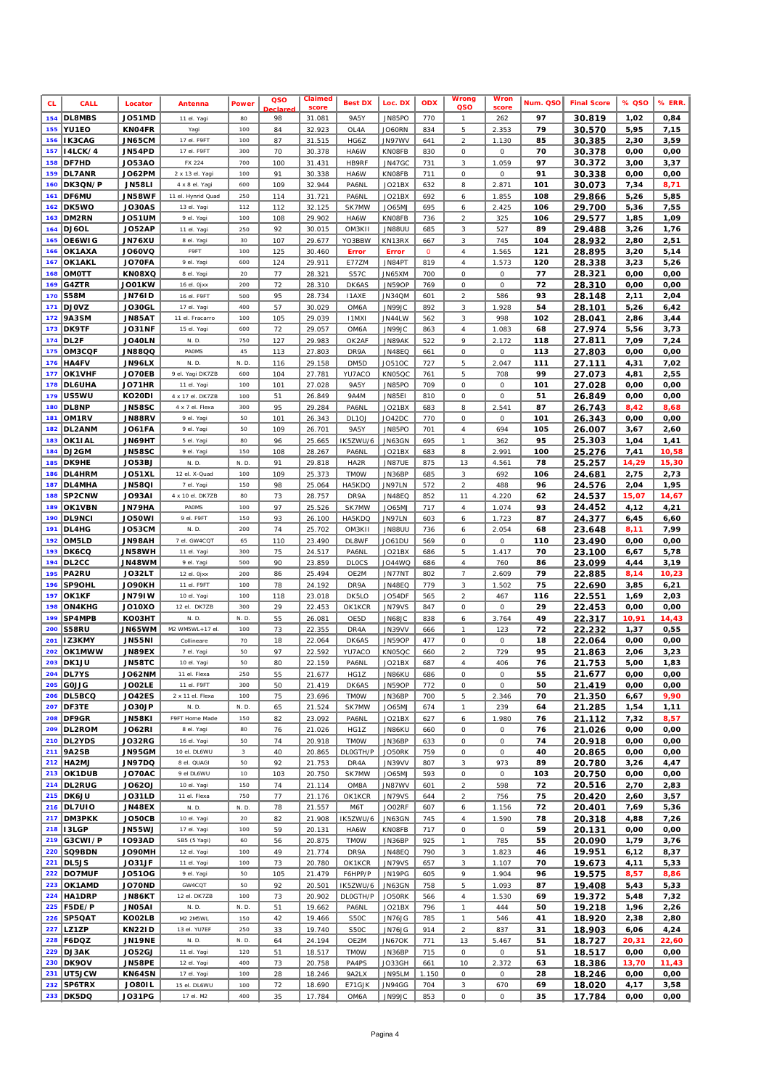| <b>CL</b>  | <b>CALL</b>                    | Locator                        | Antenna                      | <b>Power</b>            | QSO<br>eclared | Claimed<br>score | <b>Best DX</b>    | Loc. DX                        | <b>ODX</b>       | Wrong<br>QSO                          | <b>Wron</b><br>score | Num. QSO  | <b>Final Score</b> | % QSO        | % ERR.        |
|------------|--------------------------------|--------------------------------|------------------------------|-------------------------|----------------|------------------|-------------------|--------------------------------|------------------|---------------------------------------|----------------------|-----------|--------------------|--------------|---------------|
|            | 154 DL8MBS                     | <b>JO51MD</b>                  | 11 el. Yagi                  | 80                      | 98             | 31.081           | 9A5Y              | JN85PO                         | 770              | $\mathcal{I}$                         | 262                  | 97        | 30.819             | 1,02         | 0,84          |
| 155        | <b>YU1EO</b>                   | KN04FR                         | Yagi                         | 100                     | 84             | 32.923           | OL4A              | <b>JO60RN</b>                  | 834              | 5                                     | 2.353                | 79        | 30.570             | 5,95         | 7,15          |
| 157        | 156   I K 3 C A G<br>I4LCK/4   | JN65CM<br>JN54PD               | 17 el. F9FT<br>17 el. F9FT   | 100<br>300              | 87<br>70       | 31.515<br>30.378 | HG6Z<br>HA6W      | JN97WV<br><b>KNO8FB</b>        | 641<br>830       | $\sqrt{2}$<br>0                       | 1.130<br>0           | 85<br>70  | 30.385             | 2,30<br>0,00 | 3,59<br>0,00  |
| 158        | <b>DF7HD</b>                   | <b>JO53AO</b>                  | FX 224                       | 700                     | 100            | 31.431           | <b>HB9RF</b>      | <b>JN47GC</b>                  | 731              | $\sqrt{3}$                            | 1.059                | 97        | 30.378<br>30.372   | 3,00         | 3,37          |
| 159        | DL7ANR                         | <b>JO62PM</b>                  | 2 x 13 el. Yagi              | 100                     | 91             | 30.338           | HA6W              | <b>KNO8FB</b>                  | 711              | $\cal O$                              | 0                    | 91        | 30.338             | 0,00         | 0,00          |
| 160        | DK3QN/P                        | <b>JN58LI</b>                  | 4 x 8 el. Yagi               | 600                     | 109            | 32.944           | PA6NL             | JO21BX                         | 632              | 8                                     | 2.871                | 101       | 30.073             | 7,34         | 8,71          |
| 161        | DF6MU                          | <b>JN58WF</b>                  | 11 el. Hynrid Quad           | 250                     | 114            | 31.721           | <b>PA6NL</b>      | JO21BX                         | 692              | 6                                     | 1.855                | 108       | 29.866             | 5,26         | 5,85          |
| 162        | DK5WO                          | <b>JO30AS</b>                  | 13 el. Yagi                  | 112                     | 112            | 32.125           | SK7MW             | JO65MJ                         | 695              | 6                                     | 2.425                | 106       | 29.700             | 5,36         | 7,55          |
| 163<br>164 | DM2RN<br>DJ6OL                 | JO51UM<br><b>JO52AP</b>        | 9 el. Yagi<br>11 el. Yagi    | 100<br>250              | 108<br>92      | 29.902<br>30.015 | HA6W<br>OM3K11    | <b>KNO8FB</b><br><b>JN88UU</b> | 736<br>685       | $\sqrt{2}$<br>$\sqrt{3}$              | 325<br>527           | 106<br>89 | 29.577<br>29.488   | 1,85<br>3,26 | 1,09<br>1,76  |
|            | 165 OE6WIG                     | <b>JN76XU</b>                  | 8 el. Yagi                   | 30                      | 107            | 29.677           | YO3BBW            | KN13RX                         | 667              | $\sqrt{3}$                            | 745                  | 104       | 28.932             | 2,80         | 2,51          |
| 166        | OK1AXA                         | <b>JO60VQ</b>                  | F9FT                         | 100                     | 125            | 30.460           | <b>Error</b>      | <b>Error</b>                   | $\boldsymbol{o}$ | $\boldsymbol{4}$                      | 1.565                | 121       | 28.895             | 3,20         | 5,14          |
| 167        | OK1AKL                         | JO70FA                         | 9 el. Yagi                   | 600                     | 124            | 29.911           | E77ZM             | JN84PT                         | 819              | $\boldsymbol{4}$                      | 1.573                | 120       | 28.338             | 3,23         | 5,26          |
| 168        | OMOTT                          | KN08XQ                         | 8 el. Yagi                   | 20                      | 77             | 28.321           | S57C              | JN65XM                         | 700              | $\cal O$                              | 0                    | 77        | 28.321             | 0,00         | 0,00          |
| 169        | G4ZTR                          | JO01KW                         | 16 el. Ojxx                  | 200                     | 72             | 28.310           | DK6AS             | <b>JN59OP</b>                  | 769              | $\cal O$                              | $\cal O$             | 72        | 28.310             | 0,00         | 0,00          |
| 170<br>171 | <b>S58M</b><br><b>DJOVZ</b>    | <b>JN761D</b><br>JO30GL        | 16 el. F9FT<br>17 el. Yagi   | 500<br>400              | 95<br>57       | 28.734<br>30.029 | 11AXE<br>OM6A     | JN34QM<br>JN99JC               | 601<br>892       | $\overline{a}$<br>3                   | 586<br>1.928         | 93<br>54  | 28.148<br>28.101   | 2,11<br>5,26 | 2,04<br>6,42  |
| 172        | 9A3SM                          | <b>JN85AT</b>                  | 11 el. Fracarro              | 100                     | 105            | 29.039           | <b>I1MXI</b>      | JN44LW                         | 562              | $\sqrt{3}$                            | 998                  | 102       | 28.041             | 2,86         | 3,44          |
| 173        | DK9TF                          | <b>JO31NF</b>                  | 15 el. Yagi                  | 600                     | 72             | 29.057           | OM6A              | JN99JC                         | 863              | $\boldsymbol{4}$                      | 1.083                | 68        | 27.974             | 5,56         | 3,73          |
| 174        | DL <sub>2</sub> F              | JO40LN                         | N. D.                        | 750                     | 127            | 29.983           | OK2AF             | JN89AK                         | 522              | 9                                     | 2.172                | 118       | 27.811             | 7,09         | 7,24          |
| 175        | OM3CQF                         | JN88QQ                         | PAOMS                        | 45                      | 113            | 27.803           | DR9A              | <b>JN48EQ</b>                  | 661              | $\cal O$                              | 0                    | 113       | 27.803             | 0,00         | 0,00          |
| 176<br>177 | <b>HA4FV</b><br>OK1VHF         | JN96LX                         | N. D.<br>9 el. Yagi DK7ZB    | N.D<br>600              | 116<br>104     | 29.158           | DM5D              | JO510C                         | 727<br>761       | $\sqrt{5}$<br>5                       | 2.047<br>708         | 111<br>99 | 27.111             | 4,31         | 7,02<br>2,55  |
| 178        | <b>DL6UHA</b>                  | JO70EB<br><b>JO71HR</b>        | 11 el. Yagi                  | 100                     | 101            | 27.781<br>27.028 | YU7ACO<br>9A5Y    | KN05QC<br>JN85PO               | 709              | 0                                     | 0                    | 101       | 27.073<br>27.028   | 4,81<br>0,00 | 0,00          |
| 179        | US5WU                          | KO20DI                         | 4 x 17 el. DK7ZB             | 100                     | 51             | 26.849           | 9A4M              | JN85E1                         | 810              | $\cal O$                              | $\cal O$             | 51        | 26.849             | 0,00         | 0,00          |
| 180        | <b>DL8NP</b>                   | <b>JN58SC</b>                  | 4 x 7 el. Flexa              | 300                     | 95             | 29.284           | PA6NL             | JO21BX                         | 683              | $\it 8$                               | 2.541                | 87        | 26.743             | 8,42         | 8,68          |
| 181        | OM1RV                          | JN88RV                         | 9 el. Yagi                   | 50                      | 101            | 26.343           | DL <sub>10J</sub> | <b>JO42DC</b>                  | 770              | 0                                     | 0                    | 101       | 26.343             | 0,00         | 0,00          |
| 182        | DL2ANM                         | JO61FA                         | 9 el. Yagi                   | 50                      | 109            | 26.701           | <b>9A5Y</b>       | JN85PO                         | 701              | $\sqrt{4}$                            | 694                  | 105       | 26.007             | 3,67         | 2,60          |
| 183<br>184 | OK1IAL<br>DJ2GM                | <b>JN69HT</b><br><b>JN58SC</b> | 5 el. Yagi<br>9 el. Yagi     | 80<br>150               | 96<br>108      | 25.665<br>28.267 | IK5ZWU/6<br>PA6NL | JN63GN<br>JO21BX               | 695<br>683       | $\boldsymbol{\eta}$<br>8              | 362<br>2.991         | 95<br>100 | 25.303<br>25.276   | 1,04<br>7,41 | 1,41<br>10,58 |
| 185        | <b>DK9HE</b>                   | <b>JO53BJ</b>                  | N. D.                        | N.D                     | 91             | 29.818           | HA <sub>2</sub> R | <b>JN87UE</b>                  | 875              | 13                                    | 4.561                | 78        | 25.257             | 14,29        | 15,30         |
| 186        | <b>DL4HRM</b>                  | <b>JO51XL</b>                  | 12 el. X-Quad                | 100                     | 109            | 25.373           | <b>TMOW</b>       | JN36BP                         | 685              | 3                                     | 692                  | 106       | 24.681             | 2,75         | 2,73          |
| 187        | DL4MHA                         | <b>JN58QI</b>                  | 7 el. Yagi                   | 150                     | 98             | 25.064           | HA5KDQ            | JN97LN                         | 572              | $\overline{a}$                        | 488                  | 96        | 24.576             | 2,04         | 1,95          |
| 188        | SP2CNW                         | <b>JO93AI</b>                  | 4 x 10 el. DK7ZB             | 80                      | 73             | 28.757           | DR9A              | <b>JN48EQ</b>                  | 852              | 11                                    | 4.220                | 62        | 24.537             | 15,07        | 14,67         |
| 189<br>190 | OK1VBN                         | <b>JN79HA</b>                  | PAOMS<br>9 el. F9FT          | 100<br>150              | 97             | 25.526           | SK7MW             | JO65MJ                         | 717              | $\overline{4}$                        | 1.074                | 93        | 24.452             | 4,12         | 4,21          |
| 191        | <b>DL9NCI</b><br>DL4HG         | <b>JO50WI</b><br>JO53CM        | N. D.                        | 200                     | 93<br>74       | 26.100<br>25.702 | HA5KDQ<br>OM3K11  | JN97LN<br><b>JN88UU</b>        | 603<br>736       | 6<br>6                                | 1.723<br>2.054       | 87<br>68  | 24.377<br>23.648   | 6,45<br>8,11 | 6,60<br>7,99  |
| 192        | OM5LD                          | <b>JN98AH</b>                  | 7 el. GW4CQT                 | 65                      | 110            | 23.490           | DL8WF             | JO61DU                         | 569              | $\cal O$                              | 0                    | 110       | 23.490             | 0,00         | 0,00          |
| 193        | <b>DK6CQ</b>                   | <b>JN58WH</b>                  | 11 el. Yagi                  | 300                     | 75             | 24.517           | PA6NL             | JO21BX                         | 686              | 5                                     | 1.417                | 70        | 23.100             | 6,67         | 5,78          |
| 194        | DL2CC                          | <b>MW8PNL</b>                  | 9 el. Yagi                   | 500                     | 90             | 23.859           | <b>DLOCS</b>      | JO44WQ                         | 686              | $\overline{4}$                        | 760                  | 86        | 23.099             | 4,44         | 3,19          |
| 195        | <b>PA2RU</b>                   | JO32LT                         | 12 el. Ojxx                  | 200                     | 86             | 25.494           | OE2M              | JN77NT                         | 802              | 7                                     | 2.609                | 79        | 22.885             | 8,14         | 10,23         |
| 196<br>197 | SP9OHL<br>OK1KF                | JO90KH<br><b>JN791W</b>        | 11 el. F9FT<br>10 el. Yagi   | 100<br>100              | 78<br>118      | 24.192<br>23.018 | DR9A<br>DK5LO     | <b>JN48EQ</b><br>JO54DF        | 779<br>565       | $\sqrt{3}$<br>$\sqrt{2}$              | 1.502<br>467         | 75<br>116 | 22.690<br>22.551   | 3,85<br>1,69 | 6,21<br>2,03  |
| 198        | ON4KHG                         | <b>JO10XO</b>                  | 12 el. DK7ZB                 | 300                     | 29             | 22.453           | OK1KCR            | <b>JN79VS</b>                  | 847              | $\cal O$                              | 0                    | 29        | 22.453             | 0,00         | 0,00          |
| 199        | SP4MPB                         | KO03HT                         | N.D                          | N.D                     | 55             | 26.081           | OE5D              | JN68JC                         | 838              | 6                                     | 3.764                | 49        | 22.317             | 10,91        | 14,43         |
| 200        | S58RU                          | JN65WM                         | M2 WM5WL+17 el.              | 100                     | 73             | 22.355           | DR4A              | JN39VV                         | 666              | $\boldsymbol{\eta}$                   | 123                  | 72        | 22.232             | 1,37         | 0,55          |
| 201        | <b>IZ3KMY</b>                  | <b>JN55NI</b>                  | Collineare                   | 70                      | 18             | 22.064           | DK6AS             | <b>JN59OP</b>                  | 477              | 0                                     | 0                    | 18        | 22.064             | 0,00         | 0,00          |
| 202<br>203 | OK1MWW<br>DK1JU                | <b>JN89EX</b><br><b>JN58TC</b> | 7 el. Yagi<br>10 el. Yagi    | 50<br>50                | 97<br>80       | 22.592<br>22.159 | YU7ACO<br>PA6NL   | KN05QC<br>JO21BX               | 660<br>687       | $\overline{a}$<br>$\overline{4}$      | 729<br>406           | 95<br>76  | 21.863<br>21.753   | 2,06<br>5,00 | 3,23<br>1,83  |
|            | 204 DL7YS                      | <b>JO62NM</b>                  | 11 el. Flexa                 | 250                     | 55             | 21.677           | HG1Z              | JN86KU                         | 686              | $\cal O$                              | 0                    | 55        | 21.677             | 0,00         | 0,00          |
|            | 205 GOJJG                      | JO02LE                         | 11 el. F9FT                  | 300                     | 50             | 21.419           | DK6AS             | <b>JN59OP</b>                  | 772              | 0                                     | 0                    | 50        | 21.419             | 0,00         | 0,00          |
|            | 206 DL5BCQ                     | <b>JO42ES</b>                  | 2 x 11 el. Flexa             | 100                     | 75             | 23.696           | <b>TMOW</b>       | JN36BP                         | 700              | 5                                     | 2.346                | 70        | 21.350             | 6,67         | 9,90          |
|            | 207 DF3TE                      | JO30JP                         | N. D.                        | N.D.                    | 65             | 21.524           | SK7MW             | JO65MJ                         | 674              | $\boldsymbol{\tau}$                   | 239                  | 64        | 21.285             | 1,54         | 1, 11         |
|            | 208 DF9GR<br>209 DL2ROM        | <b>JN58KI</b><br><b>JO62RI</b> | F9FT Home Made<br>8 el. Yagi | 150<br>80               | 82<br>76       | 23.092<br>21.026 | PA6NL<br>HG1Z     | JO21BX<br>JN86KU               | 627<br>660       | 6<br>0                                | 1.980<br>0           | 76<br>76  | 21.112<br>21.026   | 7,32<br>0,00 | 8,57<br>0,00  |
|            | 210 DL2YDS                     | <b>JO32RG</b>                  | 16 el. Yagi                  | 50                      | 74             | 20.918           | <b>TMOW</b>       | JN36BP                         | 633              | 0                                     | 0                    | 74        | 20.918             | 0,00         | 0,00          |
|            | 211 9A2SB                      | JN95GM                         | 10 el. DL6WU                 | $\overline{\mathbf{3}}$ | 40             | 20.865           | DL0GTH/P          | JO50RK                         | 759              | 0                                     | 0                    | 40        | 20.865             | 0,00         | 0,00          |
|            | 212 HA2MJ                      | <b>JN97DQ</b>                  | 8 el. QUAGI                  | 50                      | 92             | 21.753           | DR4A              | JN39VV                         | 807              | 3                                     | 973                  | 89        | 20.780             | 3,26         | 4,47          |
|            | 213 OK1DUB                     | JO70AC                         | 9 el DL6WU                   | 10                      | 103            | 20.750           | SK7MW             | JO65MJ                         | 593              | $\cal O$                              | 0                    | 103       | 20.750             | 0,00         | 0,00          |
|            | <b>214 DL2RUG</b><br>215 DK6JU | <b>JO620J</b><br><b>JO31LD</b> | 10 el. Yagi<br>11 el. Flexa  | 150<br>750              | 74<br>77       | 21.114<br>21.176 | OM8A<br>OK1KCR    | JN87WV<br><b>JN79VS</b>        | 601<br>644       | $\overline{a}$<br>$\overline{a}$      | 598<br>756           | 72<br>75  | 20.516<br>20.420   | 2,70<br>2,60 | 2,83<br>3,57  |
|            | 216 DL7UIO                     | JN48EX                         | N. D.                        | N. D.                   | 78             | 21.557           | M6T               | <b>JO02RF</b>                  | 607              | 6                                     | 1.156                | 72        | 20.401             | 7,69         | 5,36          |
|            | 217 DM3PKK                     | JO50CB                         | 10 el. Yagi                  | 20                      | 82             | 21.908           | IK5ZWU/6          | JN63GN                         | 745              | $\it 4$                               | 1.590                | 78        | 20.318             | 4,88         | 7,26          |
|            | 218   3LGP                     | <b>JN55WJ</b>                  | 17 el. Yagi                  | 100                     | 59             | 20.131           | HA6W              | KN08FB                         | 717              | 0                                     | 0                    | 59        | 20.131             | 0,00         | 0,00          |
|            | 219 G3CWI / P                  | <b>IO93AD</b>                  | SB5 (5 Yagi)                 | 60                      | 56             | 20.875           | <b>TMOW</b>       | JN36BP                         | 925              | $\boldsymbol{\tau}$                   | 785                  | 55        | 20.090             | 1,79         | 3,76          |
|            | 220 SQ9BDN                     | <b>HMO6OL</b><br>JO31JF        | 12 el. Yagi                  | 100<br>100              | 49             | 21.774           | DR9A              | <b>JN48EQ</b><br><b>JN79VS</b> | 790              | 3<br>$\sqrt{3}$                       | 1.823                | 46<br>70  | 19.951             | 6,12         | 8,37          |
|            | 221 DL5JS<br><b>222 DO7MUF</b> | <b>JO510G</b>                  | 11 el. Yagi<br>9 el. Yagi    | 50                      | 73<br>105      | 20.780<br>21.479 | OK1KCR<br>F6HPP/P | JN19PG                         | 657<br>605       | 9                                     | 1.107<br>1.904       | 96        | 19.673<br>19.575   | 4,11<br>8,57 | 5,33<br>8,86  |
|            | 223 OK1AMD                     | <b>JO70ND</b>                  | GW4CQT                       | 50                      | 92             | 20.501           | IK5ZWU/6          | JN63GN                         | 758              | 5                                     | 1.093                | 87        | 19.408             | 5,43         | 5,33          |
|            | 224 HA1DRP                     | JN86KT                         | 12 el. DK7ZB                 | 100                     | 73             | 20.902           | DL0GTH/P          | JO50RK                         | 566              | $\overline{4}$                        | 1.530                | 69        | 19.372             | 5,48         | 7,32          |
|            | 225   F5DE/P                   | JN05AI                         | N. D.                        | N. D.                   | 51             | 19.662           | PA6NL             | JO21BX                         | 796              | $\boldsymbol{\tau}$                   | 444                  | 50        | 19.218             | 1,96         | 2,26          |
|            | 226 SP5QAT<br>227 LZ1ZP        | KO02LB<br><b>KN22ID</b>        | M2 2M5WL<br>13 el. YU7EF     | 150<br>250              | 42<br>33       | 19.466<br>19.740 | S50C<br>S50C      | JN76JG<br>JN76JG               | 785<br>914       | $\boldsymbol{\tau}$<br>$\overline{a}$ | 546<br>837           | 41<br>31  | 18.920<br>18.903   | 2,38<br>6,06 | 2,80<br>4,24  |
|            | 228   F6DQZ                    | <b>JN19NE</b>                  | N. D.                        | N. D.                   | 64             | 24.194           | OE2M              | JN67OK                         | 771              | 13                                    | 5.467                | 51        | 18.727             | 20,31        | 22,60         |
|            | 229 DJ3AK                      | <b>JO52GJ</b>                  | 11 el. Yagi                  | 120                     | 51             | 18.517           | <b>TMOW</b>       | JN36BP                         | 715              | $\cal O$                              | 0                    | 51        | 18.517             | 0,00         | 0,00          |
|            | 230 DK9OV                      | JN58PE                         | 12 el. Yagi                  | 400                     | 73             | 20.758           | PA4PS             | JO33GH                         | 661              | 10                                    | 2.372                | 63        | 18.386             | 13,70        | 11,43         |
|            | 231 UT5JCW                     | <b>KN64SN</b>                  | 17 el. Yagi                  | 100                     | 28             | 18.246           | 9A2LX             | JN95LM                         | 1.150            | 0                                     | 0                    | 28        | 18.246             | 0,00         | 0,00          |
|            | 232 SP6TRX                     | <b>JO80IL</b>                  | 15 el. DL6WU                 | 100                     | 72             | 18.690           | E71GJK            | JN94GG                         | 704              | 3                                     | 670                  | 69        | 18.020             | 4,17         | 3,58          |
|            | 233 DK5DQ                      | <b>JO31PG</b>                  | 17 el. M2                    | 400                     | 35             | 17.784           | OM6A              | JN99JC                         | 853              | $\cal O$                              | 0                    | 35        | 17.784             | 0,00         | 0,00          |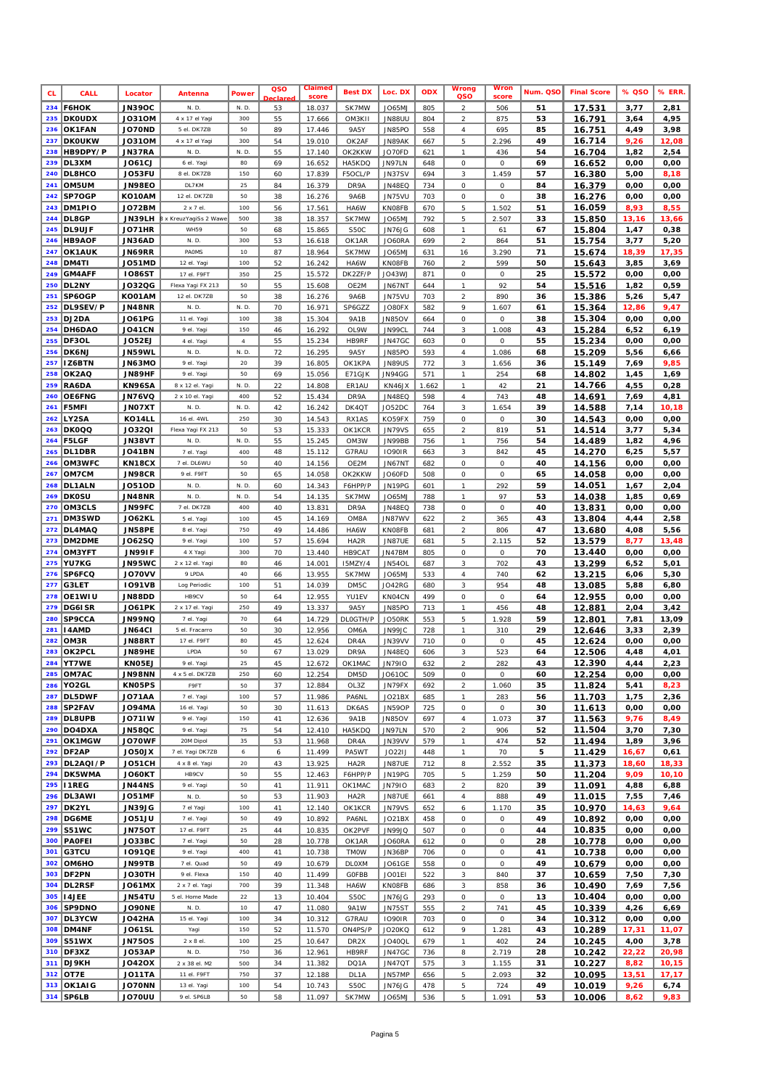| <b>CL</b>  | <b>CALL</b>               | Locator                        | Antenna                       | <b>Power</b>       | QSO<br>clar | Claimed<br>score | <b>Best DX</b>              | Loc. DX                 | <b>ODX</b> | Wrong<br>QSO                    | Wror<br>score  | Num. QSO | <b>Final Score</b> | % QSO         | % ERR.        |
|------------|---------------------------|--------------------------------|-------------------------------|--------------------|-------------|------------------|-----------------------------|-------------------------|------------|---------------------------------|----------------|----------|--------------------|---------------|---------------|
| 234        | <b>F6HOK</b>              | <b>JN39OC</b>                  | N. D.                         | N. D.              | 53          | 18.037           | SK7MW                       | <b>JO65MJ</b>           | 805        | $\overline{a}$                  | 506            | 51       | 17.531             | 3,77          | 2,81          |
| 235        | <b>DKOUDX</b>             | <b>JO31OM</b>                  | 4 x 17 el Yaqi                | 300                | 55          | 17.666           | OM3K11                      | <b>JN88UU</b>           | 804        | $\overline{a}$                  | 875            | 53       | 16.791             | 3,64          | 4,95          |
| 236        | OK1FAN                    | <b>JO70ND</b>                  | 5 el. DK7ZB                   | 50                 | 89          | 17.446           | 9A5Y                        | JN85PO                  | 558        | $\it 4$                         | 695            | 85       | 16.751             | 4,49          | 3,98          |
| 237        | <b>DKOUKW</b><br>HB9DPY/P | <b>JO31OM</b>                  | 4 x 17 el Yagi<br>N. D.       | 300                | 54          | 19.010           | OK2AF<br>OK2KKW             | JN89AK                  | 667        | $\sqrt{5}$                      | 2.296          | 49       | 16.714             | 9,26          | 12,08         |
| 238<br>239 | DL3XM                     | JN37RA<br><b>JO61CJ</b>        | 6 el. Yagi                    | N. D.<br>80        | 55<br>69    | 17.140<br>16.652 | HA5KDO                      | JO70FD<br>JN97LN        | 621<br>648 | $\boldsymbol{\eta}$<br>$\cal O$ | 436<br>О       | 54<br>69 | 16.704<br>16.652   | 1,82<br>0,00  | 2,54<br>0,00  |
| 240        | <b>DL8HCO</b>             | JO53FU                         | 8 el. DK7ZB                   | 150                | 60          | 17.839           | F5OCL/P                     | JN37SV                  | 694        | 3                               | 1.459          | 57       | 16.380             | 5,00          | 8,18          |
| 241        | OM5UM                     | <b>JN98EO</b>                  | DL7KM                         | 25                 | 84          | 16.379           | DR9A                        | <b>JN48EQ</b>           | 734        | 0                               | 0              | 84       | 16.379             | 0,00          | 0,00          |
| 242        | SP7OGP                    | KO10AM                         | 12 el. DK7ZB                  | 50                 | 38          | 16.276           | 9A6B                        | <b>JN75VU</b>           | 703        | 0                               | 0              | 38       | 16.276             | 0,00          | 0,00          |
| 243        | DM1PIO                    | <b>JO72BM</b>                  | 2 x 7 el.                     | 100                | 56          | 17.561           | HA6W                        | KN08FB                  | 670        | $\sqrt{5}$                      | 1.502          | 51       | 16.059             | 8,93          | 8,55          |
| 244        | DL8GP                     | <b>JN39LH</b>                  | B x KreuzYagiSs 2 Wawe        | 500                | 38          | 18.357           | SK7MW                       | JO65MJ                  | 792        | 5                               | 2.507          | 33       | 15.850             | 13,16         | 13,66         |
| 245        | DL9UJF                    | <b>JO71HR</b>                  | <b>WH59</b>                   | 50                 | 68          | 15.865           | S50C                        | JN76JG                  | 608        | $\boldsymbol{\eta}$             | 61             | 67       | 15.804             | 1,47          | 0,38          |
| 246<br>247 | <b>HB9AOF</b><br>OK1AUK   | JN36AD<br><b>JN69RR</b>        | N. D.<br>PAOMS                | 300<br>10          | 53<br>87    | 16.618<br>18.964 | OK1AR<br>SK7MW              | JO60RA<br>JO65MJ        | 699<br>631 | $\overline{a}$<br>16            | 864<br>3.290   | 51<br>71 | 15.754<br>15.674   | 3,77<br>18,39 | 5,20<br>17,35 |
| 248        | DM4TI                     | <b>JO51MD</b>                  | 12 el. Yagi                   | 100                | 52          | 16.242           | HA6W                        | KN08FB                  | 760        | $\overline{2}$                  | 599            | 50       | 15.643             | 3,85          | 3,69          |
| 249        | <b>GM4AFF</b>             | <b>IO86ST</b>                  | 17 el. F9FT                   | 350                | 25          | 15.572           | DK2ZF/P                     | JO43WJ                  | 871        | 0                               | 0              | 25       | 15.572             | 0,00          | 0,00          |
| 250        | DL2NY                     | J032QG                         | Flexa Yagi FX 213             | 50                 | 55          | 15.608           | OE2M                        | JN67NT                  | 644        | $\boldsymbol{\eta}$             | 92             | 54       | 15.516             | 1,82          | 0,59          |
| 251        | SP6OGP                    | KO01AM                         | 12 el. DK7ZB                  | 50                 | 38          | 16.276           | 9A6B                        | JN75VU                  | 703        | $\sqrt{2}$                      | 890            | 36       | 15.386             | 5,26          | 5,47          |
| 252        | DL9SEV/P                  | <b>JN48NR</b>                  | N. D.                         | N. D.              | 70          | 16.971           | SP6GZZ                      | JO80FX                  | 582        | 9                               | 1.607          | 61       | 15.364             | 12,86         | 9,47          |
| 253        | DJ2DA                     | <b>JO61PG</b>                  | 11 el. Yagi                   | 100                | 38          | 15.304           | 9A1B                        | JN85OV                  | 664        | 0                               | 0              | 38       | 15.304             | 0,00          | 0,00          |
| 254        | DH6DAO                    | <b>JO41CN</b>                  | 9 el. Yagi                    | 150                | 46          | 16.292           | OL9W                        | JN99CL                  | 744        | $\sqrt{3}$                      | 1.008          | 43       | 15.284             | 6,52          | 6,19          |
| 255<br>256 | DF3OL                     | <b>JO52EJ</b>                  | 4 el. Yagi<br>N. D.           | $\sqrt{4}$<br>N.D. | 55<br>72    | 15.234           | <b>HB9RF</b><br><b>9A5Y</b> | JN47GC                  | 603<br>593 | $\cal O$<br>$\sqrt{4}$          | 0              | 55<br>68 | 15.234             | 0,00          | 0,00          |
| 257        | DK6NJ<br>IZ6BTN           | JN59WL<br>JN63MO               | 9 el. Yagi                    | 20                 | 39          | 16.295<br>16.805 | OK1KPA                      | JN85PO<br><b>JN89US</b> | 772        | 3                               | 1.086<br>1.656 | 36       | 15.209<br>15.149   | 5,56<br>7,69  | 6,66<br>9,85  |
| 258        | OK2AQ                     | JN89HF                         | 9 el. Yagi                    | 50                 | 69          | 15.056           | E71GJK                      | JN94GG                  | 571        | $\boldsymbol{\eta}$             | 254            | 68       | 14.802             | 1,45          | 1,69          |
| 259        | RA6DA                     | KN96SA                         | 8 x 12 el. Yaqi               | N. D.              | 22          | 14.808           | ER <sub>1</sub> AU          | KN46JX                  | 1.662      | $\boldsymbol{\eta}$             | 42             | 21       | 14.766             | 4,55          | 0,28          |
| 260        | OE6FNG                    | <b>JN76VQ</b>                  | 2 x 10 el. Yagi               | 400                | 52          | 15.434           | DR9A                        | <b>JN48EQ</b>           | 598        | $\overline{4}$                  | 743            | 48       | 14.691             | 7,69          | 4,81          |
| 261        | F5MFI                     | <b>JNO7XT</b>                  | N. D.                         | N.D.               | 42          | 16.242           | DK4QT                       | JO52DC                  | 764        | $\sqrt{3}$                      | 1.654          | 39       | 14.588             | 7,14          | 10,18         |
| 262        | LY2SA                     | KO14LL                         | 16 el. 4WL                    | 250                | 30          | 14.543           | RX1AS                       | KO59FX                  | 759        | $\cal O$                        | 0              | 30       | 14.543             | 0,00          | 0,00          |
| 263        | <b>DK0QQ</b>              | <b>JO32QI</b>                  | Flexa Yagi FX 213             | 50                 | 53          | 15.333           | OK1KCR                      | <b>JN79VS</b>           | 655        | $\sqrt{2}$                      | 819            | 51       | 14.514             | 3,77          | 5,34          |
| 264        | <b>F5LGF</b>              | JN38VT                         | N. D.                         | N. D.<br>400       | 55          | 15.245           | OM3W                        | JN99BB                  | 756        | $\boldsymbol{\eta}$             | 756            | 54       | 14.489             | 1,82          | 4,96          |
| 265<br>266 | DL1DBR<br>OM3WFC          | <b>JO41BN</b><br>KN18CX        | 7 el. Yagi<br>7 el. DL6WU     | 50                 | 48<br>40    | 15.112<br>14.156 | G7RAU<br>OE2M               | <b>IO90IR</b><br>JN67NT | 663<br>682 | $\sqrt{3}$<br>$\cal O$          | 842<br>0       | 45<br>40 | 14.270<br>14.156   | 6,25<br>0,00  | 5,57<br>0,00  |
| 267        | OM7CM                     | <b>JN98CR</b>                  | 9 el. F9FT                    | 50                 | 65          | 14.058           | OK2KKW                      | JO60FD                  | 508        | 0                               | 0              | 65       | 14.058             | 0,00          | 0,00          |
| 268        | <b>DL1ALN</b>             | <b>JO51OD</b>                  | N. D.                         | N. D.              | 60          | 14.343           | F6HPP/P                     | JN19PG                  | 601        | $\boldsymbol{\eta}$             | 292            | 59       | 14.051             | 1,67          | 2,04          |
| 269        | <b>DKOSU</b>              | <b>JN48NR</b>                  | N. D.                         | N. D.              | 54          | 14.135           | SK7MW                       | JO65MJ                  | 788        | $\boldsymbol{\eta}$             | 97             | 53       | 14.038             | 1,85          | 0,69          |
| 270        | OM3CLS                    | JN99FC                         | 7 el. DK7ZB                   | 400                | 40          | 13.831           | DR9A                        | JN48EQ                  | 738        | $\cal O$                        | 0              | 40       | 13.831             | 0,00          | 0,00          |
| 271        | DM3SWD                    | <b>JO62KL</b>                  | 5 el. Yagi                    | 100                | 45          | 14.169           | OM8A                        | JN87WV                  | 622        | $\sqrt{2}$                      | 365            | 43       | 13.804             | 4,44          | 2,58          |
| 272        | DL4MAQ                    | JN58PE                         | 8 el. Yagi                    | 750                | 49          | 14.486           | HA6W                        | KN08FB                  | 681        | $\sqrt{2}$                      | 806            | 47       | 13.680             | 4,08          | 5,56          |
| 273<br>274 | DM2DME<br>OM3YFT          | J062SQ<br><b>JN99IF</b>        | 9 el. Yagi<br>4 X Yagi        | 100<br>300         | 57<br>70    | 15.694<br>13.440 | HA2R<br>HB9CAT              | <b>JN87UE</b><br>JN47BM | 681<br>805 | $\sqrt{5}$<br>$\cal O$          | 2.115<br>0     | 52<br>70 | 13.579<br>13.440   | 8,77<br>0,00  | 13,48<br>0,00 |
| 275        | YU7KG                     | <b>JN95WC</b>                  | 2 x 12 el. Yagi               | 80                 | 46          | 14.001           | <b>I5MZY/4</b>              | <b>JN54OL</b>           | 687        | $\sqrt{3}$                      | 702            | 43       | 13.299             | 6,52          | 5,01          |
| 276        | SP6FCQ                    | <b>JO70VV</b>                  | 9 LPDA                        | 40                 | 66          | 13.955           | SK7MW                       | JO65MJ                  | 533        | $\overline{4}$                  | 740            | 62       | 13.215             | 6,06          | 5,30          |
| 277        | G3LET                     | <b>IO91VB</b>                  | Log Periodic                  | 100                | 51          | 14.039           | DM5C                        | <b>JO42RG</b>           | 680        | $\sqrt{3}$                      | 954            | 48       | 13.085             | 5,88          | 6,80          |
| 278        | OE1WIU                    | <b>JN88DD</b>                  | HB9CV                         | 50                 | 64          | 12.955           | YU1EV                       | KN04CN                  | 499        | 0                               | 0              | 64       | 12.955             | 0,00          | 0,00          |
| 279        | DG61SR                    | <b>JO61PK</b>                  | 2 x 17 el. Yagi               | 250                | 49          | 13.337           | 9A5Y                        | JN85PO                  | 713        | $\boldsymbol{\eta}$             | 456            | 48       | 12.881             | 2,04          | 3,42          |
| 280        | SP9CCA                    | <b>JN99NQ</b>                  | 7 el. Yagi                    | 70                 | 64          | 14.729           | <b>DLOGTH/P</b>             | JO50RK                  | 553        | 5                               | 1.928          | 59       | 12.801             | 7,81          | 13,09         |
| 281<br>282 | I4AMD<br>OM3R             | <b>JN64CI</b><br>JN88RT        | 5 el. Fracarro<br>17 el. F9FT | 50<br>80           | 30<br>45    | 12.956<br>12.624 | OM6A<br>DR4A                | JN99JC<br>JN39VV        | 728<br>710 | $\boldsymbol{\eta}$<br>0        | 310<br>0       | 29<br>45 | 12.646<br>12.624   | 3,33<br>0,00  | 2,39<br>0,00  |
| 283        | OK2PCL                    | <b>JN89HE</b>                  | LPDA                          | 50                 | 67          | 13.029           | DR9A                        | <b>JN48EQ</b>           | 606        | 3                               | 523            | 64       | 12.506             | 4,48          | 4,01          |
| 284        | <b>YT7WE</b>              | KN05EJ                         | 9 el. Yagi                    | 25                 | 45          | 12.672           | OK1MAC                      | JN7910                  | 632        | $\overline{\mathbf{c}}$         | 282            | 43       | 12.390             | 4,44          | 2,23          |
| 285        | OM7AC                     | <b>JN98NN</b>                  | 4 x 5 el. DK7ZB               | 250                | 60          | 12.254           | DM5D                        | JO610C                  | 509        | $\cal O$                        | 0              | 60       | 12.254             | 0,00          | 0,00          |
| 286        | YO <sub>2</sub> GL        | KN05PS                         | F9FT                          | 50                 | 37          | 12.884           | OL3Z                        | JN79FX                  | 692        | $\overline{a}$                  | 1.060          | 35       | 11.824             | 5,41          | 8,23          |
| 287        | <b>DL5DWF</b>             | <b>JO71AA</b>                  | 7 el. Yagi                    | 100                | 57          | 11.986           | PA6NL                       | JO21BX                  | 685        | $\boldsymbol{\tau}$             | 283            | 56       | 11.703             | 1,75          | 2,36          |
| 288        | SP2FAV                    | <b>JO94MA</b>                  | 16 el. Yagi                   | 50                 | 30          | 11.613           | DK6AS                       | JN59OP                  | 725        | $\cal O$                        | 0              | 30       | 11.613             | 0,00          | 0,00          |
| 290        | 289 DL8UPB<br>DO4DXA      | <b>JO71IW</b><br><b>JN58QC</b> | 9 el. Yagi<br>9 el. Yagi      | 150<br>75          | 41<br>54    | 12.636<br>12.410 | 9A1B<br>HA5KDQ              | JN85OV<br>JN97LN        | 697<br>570 | $\it 4$<br>$\sqrt{2}$           | 1.073<br>906   | 37<br>52 | 11.563<br>11.504   | 9,76<br>3,70  | 8,49<br>7,30  |
| 291        | OK1MGW                    | JO70WF                         | 20M Dipol                     | 35                 | 53          | 11.968           | DR4A                        | JN39VV                  | 579        | $\boldsymbol{\tau}$             | 474            | 52       | 11.494             | 1,89          | 3,96          |
| 292        | DF2AP                     | <b>NU3OL</b>                   | 7 el. Yagi DK7ZB              | $\epsilon$         | 6           | 11.499           | PA5WT                       | JO221J                  | 448        | $\it 1$                         | 70             | 5        | 11.429             | 16,67         | 0,61          |
|            | 293 DL2AQI / P            | <b>JO51CH</b>                  | 4 x 8 el. Yagi                | 20                 | 43          | 13.925           | HA2R                        | <b>JN87UE</b>           | 712        | $\it 8$                         | 2.552          | 35       | 11.373             | 18,60         | 18,33         |
|            | <b>294 DK5WMA</b>         | JO60KT                         | HB9CV                         | 50                 | 55          | 12.463           | F6HPP/P                     | JN19PG                  | 705        | 5                               | 1.259          | 50       | 11.204             | 9,09          | 10,10         |
| 295        | 11REG                     | <b>JN44NS</b>                  | 9 el. Yagi                    | 50                 | 41          | 11.911           | OK1MAC                      | JN7910                  | 683        | $\overline{a}$                  | 820            | 39       | 11.091             | 4,88          | 6,88          |
|            | 296 DL3AWI                | JO51MF                         | N. D.                         | 50                 | 53          | 11.903           | HA2R                        | <i>JN87UE</i>           | 661        | $\it 4$                         | 888            | 49       | 11.015             | 7,55          | 7,46          |
| 297<br>298 | DK2YL<br>DG6ME            | <b>JN39JG</b><br><b>JO51JU</b> | 7 el Yagi<br>7 el. Yagi       | 100<br>50          | 41<br>49    | 12.140<br>10.892 | OK1KCR<br>PA6NL             | <b>JN79VS</b><br>JO21BX | 652<br>458 | 6<br>0                          | 1.170<br>0     | 35<br>49 | 10.970<br>10.892   | 14,63<br>0,00 | 9,64<br>0,00  |
| 299        | <b>S51WC</b>              | <b>JN75OT</b>                  | 17 el. F9FT                   | 25                 | 44          | 10.835           | OK2PVF                      | JN99JQ                  | 507        | $\cal O$                        | 0              | 44       | 10.835             | 0,00          | 0,00          |
| 300        | PAOFEI                    | JO33BC                         | 7 el. Yagi                    | 50                 | 28          | 10.778           | OK1AR                       | JO60RA                  | 612        | $\cal O$                        | 0              | 28       | 10.778             | 0,00          | 0,00          |
| 301        | G3TCU                     | <b>IO91QE</b>                  | 9 el. Yagi                    | 400                | 41          | 10.738           | <b>TMOW</b>                 | JN36BP                  | 706        | $\cal O$                        | 0              | 41       | 10.738             | 0,00          | 0,00          |
| 302        | ОМ6НО                     | <b>JN99TB</b>                  | 7 el. Quad                    | 50                 | 49          | 10.679           | DLOXM                       | JO61GE                  | 558        | $\cal O$                        | 0              | 49       | 10.679             | 0,00          | 0,00          |
| 303        | DF2PN                     | <b>JO30TH</b>                  | 9 el. Flexa                   | 150                | 40          | 11.499           | <b>GOFBB</b>                | JO01EI                  | 522        | $\sqrt{3}$                      | 840            | 37       | 10.659             | 7,50          | 7,30          |
| 304        | DL2RSF                    | <b>JO61MX</b>                  | 2 x 7 el. Yagi                | 700                | 39          | 11.348           | HA6W                        | KN08FB                  | 686        | 3                               | 858            | 36       | 10.490             | 7,69          | 7,56          |
|            | 305     4JEE              | JN54TU                         | 5 el. Home Made               | 22                 | 13          | 10.404           | S50C                        | JN76JG                  | 293        | 0                               | 0              | 13       | 10.404             | 0,00          | 0,00          |
| 306        | SP9DNO<br><b>DL3YCW</b>   | <b>JO90NE</b><br><b>JO42HA</b> | N. D.                         | 10                 | 47          | 11.080           | 9A1W                        | <b>JN75ST</b>           | 555<br>703 | $\overline{a}$<br>$\cal O$      | 741<br>0       | 45       | 10.339             | 4,26          | 6,69          |
| 307<br>308 | DM4NF                     | <b>JO61SL</b>                  | 15 el. Yagi<br>Yagi           | 100<br>150         | 34<br>52    | 10.312<br>11.570 | G7RAU<br>ON4PS/P            | <b>IO90IR</b><br>JO20KQ | 612        | 9                               | 1.281          | 34<br>43 | 10.312<br>10.289   | 0,00<br>17,31 | 0,00<br>11,07 |
| 309        | <b>S51WX</b>              | <b>JN75OS</b>                  | 2 x 8 el.                     | 100                | 25          | 10.647           | DR2X                        | <b>JO40QL</b>           | 679        | $\boldsymbol{\tau}$             | 402            | 24       | 10.245             | 4,00          | 3,78          |
|            | 310 DF3XZ                 | JO53AP                         | N. D.                         | 750                | 36          | 12.961           | <b>HB9RF</b>                | JN47GC                  | 736        | 8                               | 2.719          | 28       | 10.242             | 22,22         | 20,98         |
|            | 311 DJ9KH                 | J0420X                         | 2 x 38 el. M2                 | 500                | 34          | 11.382           | DQ1A                        | JN47QT                  | 575        | 3                               | 1.155          | 31       | 10.227             | 8,82          | 10, 15        |
|            | 312 OT7E                  | JO11TA                         | 11 el. F9FT                   | 750                | 37          | 12.188           | DL1A                        | JN57MP                  | 656        | 5                               | 2.093          | 32       | 10.095             | 13,51         | 17,17         |
| 313        | <b>OK1AIG</b>             | <b>JO70NN</b>                  | 13 el. Yagi                   | 100                | 54          | 10.743           | S50C                        | JN76JG                  | 478        | $\sqrt{5}$                      | 724            | 49       | 10.019             | 9,26          | 6,74          |
|            | 314 SP6LB                 | JO70UU                         | 9 el. SP6LB                   | 50                 | 58          | 11.097           | SK7MW                       | JO65MJ                  | 536        | 5                               | 1.091          | 53       | 10.006             | 8,62          | 9,83          |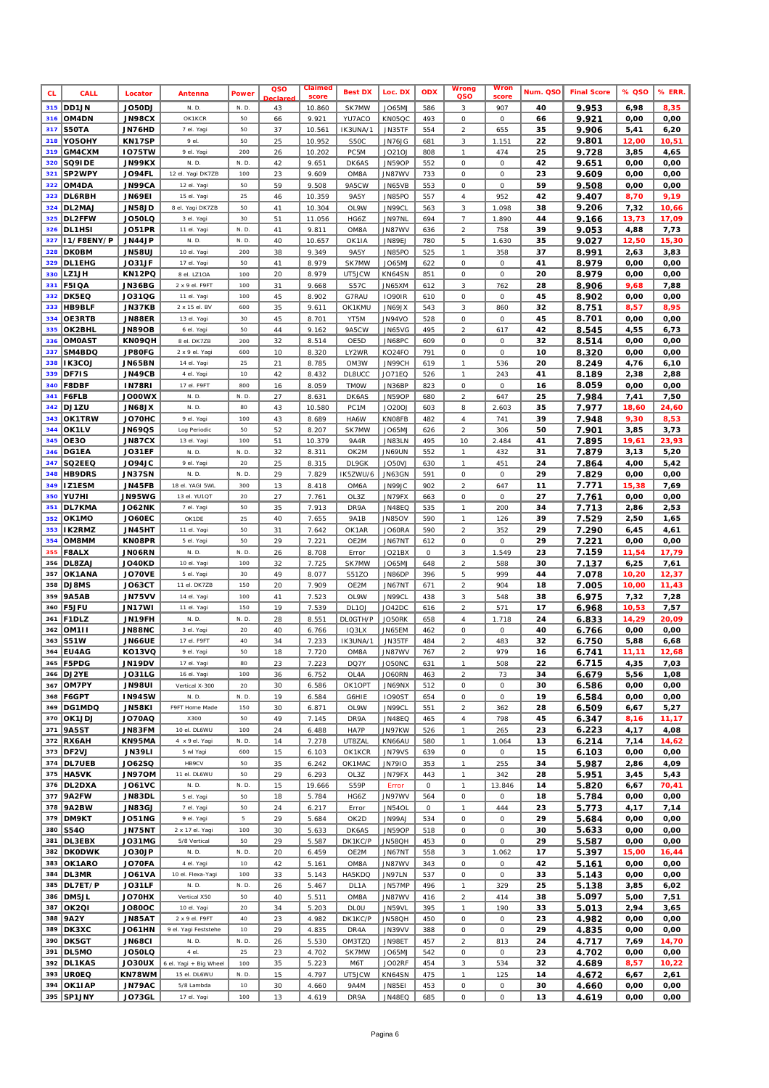| <b>CL</b>  | CALL                        | Locator                        | Antenna                         | Power         | QSO<br>clar | Claimed<br>score | <b>Best DX</b>             | Loc. DX                 | <b>ODX</b> | Wrong<br>QSO                      | Wror<br>score | Num. QSO | <b>Final Score</b> | % QSO         | % ERR         |
|------------|-----------------------------|--------------------------------|---------------------------------|---------------|-------------|------------------|----------------------------|-------------------------|------------|-----------------------------------|---------------|----------|--------------------|---------------|---------------|
| 315        | DD1JN                       | JO50DJ                         | N. D.                           | N. D.         | 43          | 10.860           | SK7MW                      | JO65MJ                  | 586        | 3                                 | 907           | 40       | 9.953              | 6,98          | 8,35          |
| 316        | OM4DN                       | <b>JN98CX</b>                  | OK1KCR                          | 50            | 66          | 9.921            | YU7ACO                     | KN05QC                  | 493        | $\cal O$                          | 0             | 66       | 9.921              | 0,00          | 0,00          |
| 317        | S50TA                       | JN76HD                         | 7 el. Yagi                      | 50            | 37          | 10.561           | IK3UNA/1                   | JN35TF                  | 554        | $\sqrt{2}$                        | 655           | 35       | 9.906              | 5,41          | 6,20          |
| 318<br>319 | YO5OHY<br>GM4CXM            | KN17SP<br><b>IO75TW</b>        | 9 el.<br>9 el. Yagi             | 50<br>200     | 25<br>26    | 10.952<br>10.202 | S50C<br>PC <sub>5M</sub>   | JN76JG<br>JO21OJ        | 681<br>808 | $\sqrt{3}$<br>$\boldsymbol{\eta}$ | 1.151<br>474  | 22<br>25 | 9.801<br>9.728     | 12,00<br>3,85 | 10,51<br>4,65 |
| 320        | SQ9IDE                      | JN99KX                         | N. D.                           | N. D.         | 42          | 9.651            | DK6AS                      | JN59OP                  | 552        | $\cal O$                          | 0             | 42       | 9.651              | 0,00          | 0,00          |
| 321        | SP2WPY                      | JO94FL                         | 12 el. Yagi DK7ZB               | 100           | 23          | 9.609            | OM8A                       | JN87WV                  | 733        | 0                                 | 0             | 23       | 9.609              | 0,00          | 0,00          |
| 322        | OM4DA                       | <b>JN99CA</b>                  | 12 el. Yagi                     | 50            | 59          | 9.508            | 9A5CW                      | JN65VB                  | 553        | 0                                 | 0             | 59       | 9.508              | 0,00          | 0,00          |
| 323        | DL6RBH                      | <b>JN69EI</b>                  | 15 el. Yagi                     | 25            | 46          | 10.359           | 9A5Y                       | <b>JN85PO</b>           | 557        | $\sqrt{4}$                        | 952           | 42       | 9.407              | 8,70          | 9,19          |
| 324        | DL2MAJ                      | <b>JN58JD</b>                  | 8 el. Yagi DK7ZB                | 50            | 41          | 10.304           | OL9W                       | JN99CL                  | 563        | $\sqrt{3}$                        | 1.098         | 38       | 9.206              | 7,32          | 10,66         |
| 325        | DL2FFW                      | <b>JO50LQ</b><br><b>JO51PR</b> | 3 el. Yagi                      | 30            | 51          | 11.056           | HG6Z                       | JN97NL                  | 694        | $\overline{7}$                    | 1.890         | 44<br>39 | 9.166              | 13,73         | 17,09         |
| 326<br>327 | DL1HSI<br>I1/F8ENY/P        | <b>JN44JP</b>                  | 11 el. Yagi<br>N.D.             | N.D.<br>N. D. | 41<br>40    | 9.811<br>10.657  | OM8A<br>OK <sub>1</sub> IA | JN87WV<br><b>JN89EJ</b> | 636<br>780 | $\sqrt{2}$<br>5                   | 758<br>1.630  | 35       | 9.053<br>9.027     | 4,88<br>12,50 | 7,73<br>15,30 |
| 328        | <b>DK0BM</b>                | <b>JN58UJ</b>                  | 10 el. Yagi                     | 200           | 38          | 9.349            | 9A5Y                       | JN85PO                  | 525        | $\boldsymbol{\eta}$               | 358           | 37       | 8.991              | 2,63          | 3,83          |
| 329        | DL1EHG                      | JO31JF                         | 17 el. Yagi                     | 50            | 41          | 8.979            | SK7MW                      | JO65MJ                  | 622        | $\cal O$                          | 0             | 41       | 8.979              | 0,00          | 0,00          |
| 330        | LZ1JH                       | KN12PQ                         | 8 el. LZ10A                     | 100           | 20          | 8.979            | UT5JCW                     | KN64SN                  | 851        | 0                                 | 0             | 20       | 8.979              | 0,00          | 0,00          |
| 331        | <b>F51QA</b>                | JN36BG                         | 2 x 9 el. F9FT                  | 100           | 31          | 9.668            | S57C                       | JN65XM                  | 612        | $\sqrt{3}$                        | 762           | 28       | 8.906              | 9,68          | 7,88          |
| 332        | DK5EQ                       | J031QG                         | 11 el. Yagi                     | 100           | 45          | 8.902            | G7RAU                      | <b>IO90IR</b>           | 610        | $\cal O$                          | 0             | 45       | 8.902              | 0,00          | 0,00          |
| 333<br>334 | <b>HB9BLF</b><br>OE3RTB     | <b>JN37KB</b><br>JN88ER        | 2 x 15 el. BV<br>13 el. Yagi    | 600<br>30     | 35<br>45    | 9.611<br>8.701   | OK1KMU<br>YT5M             | JN69JX<br>JN94VO        | 543<br>528 | $\sqrt{3}$<br>0                   | 860<br>0      | 32<br>45 | 8.751<br>8.701     | 8,57<br>0,00  | 8,95<br>0,00  |
| 335        | OK2BHL                      | <b>JN89OB</b>                  | 6 el. Yagi                      | 50            | 44          | 9.162            | 9A5CW                      | JN65VG                  | 495        | $\sqrt{2}$                        | 617           | 42       | 8.545              | 4,55          | 6,73          |
| 336        | <b>OMOAST</b>               | KN09QH                         | 8 el. DK7ZB                     | 200           | 32          | 8.514            | OE5D                       | JN68PC                  | 609        | $\cal O$                          | 0             | 32       | 8.514              | 0,00          | 0,00          |
| 337        | SM4BDQ                      | JP80FG                         | 2 x 9 el. Yaqi                  | 600           | 10          | 8.320            | LY2WR                      | KO24FO                  | 791        | $\cal O$                          | 0             | 10       | 8.320              | 0,00          | 0,00          |
| 338        | IK3COJ                      | <b>JN65BN</b>                  | 14 el. Yagi                     | 25            | 21          | 8.785            | OM3W                       | JN99CH                  | 619        | $\boldsymbol{\eta}$               | 536           | 20       | 8.249              | 4,76          | 6,10          |
| 339        | DF71S                       | <b>JN49CB</b>                  | 4 el. Yagi                      | 10            | 42          | 8.432            | <b>DL8UCC</b>              | <b>JO71EQ</b>           | 526        | $\boldsymbol{\eta}$               | 243           | 41       | 8.189              | 2,38          | 2,88          |
| 340        | <b>F8DBF</b>                | <b>IN78RI</b><br><b>JO00WX</b> | 17 el. F9FT<br>N. D.            | 800<br>N. D.  | 16<br>27    | 8.059            | <b>TMOW</b>                | JN36BP<br><b>JN59OP</b> | 823        | $\cal O$<br>$\overline{a}$        | 0<br>647      | 16<br>25 | 8.059              | 0,00          | 0,00          |
| 341<br>342 | F6FLB<br>DJ1ZU              | <b>XL83NL</b>                  | N. D.                           | 80            | 43          | 8.631<br>10.580  | DK6AS<br>PC <sub>1M</sub>  | <b>JO20OJ</b>           | 680<br>603 | 8                                 | 2.603         | 35       | 7.984<br>7.977     | 7,41<br>18,60 | 7,50<br>24,60 |
| 343        | OK1TRW                      | JO70HC                         | 9 el. Yagi                      | 100           | 43          | 8.689            | HA6W                       | KN08FB                  | 482        | $\overline{4}$                    | 741           | 39       | 7.948              | 9,30          | 8,53          |
| 344        | OK1LV                       | <b>JN69QS</b>                  | Log Periodic                    | 50            | 52          | 8.207            | SK7MW                      | JO65MJ                  | 626        | $\overline{a}$                    | 306           | 50       | 7.901              | 3,85          | 3,73          |
| 345        | <b>OE30</b>                 | <b>JN87CX</b>                  | 13 el. Yaqi                     | 100           | 51          | 10.379           | 9A4R                       | <b>JN83LN</b>           | 495        | 10                                | 2.484         | 41       | 7.895              | 19,61         | 23,93         |
| 346        | DG1EA                       | JO31EF                         | N. D.                           | N. D.         | 32          | 8.311            | OK2M                       | JN69UN                  | 552        | $\boldsymbol{\eta}$               | 432           | 31       | 7.879              | 3,13          | 5,20          |
| 347        | SQ2EEQ                      | <b>JO94JC</b>                  | 9 el. Yagi                      | 20            | 25          | 8.315            | DL9GK                      | JO50VJ                  | 630        | $\boldsymbol{\tau}$               | 451           | 24       | 7.864              | 4,00          | 5,42          |
| 348<br>349 | <b>HB9DRS</b><br>IZ1ESM     | <b>JN37SN</b><br><b>JN45FB</b> | N. D.<br>18 el. YAGI 5WL        | N. D.<br>300  | 29<br>13    | 7.829<br>8.418   | IK5ZWU/6<br>OM6A           | JN63GN<br>JN99JC        | 591<br>902 | $\cal O$<br>$\sqrt{2}$            | 0<br>647      | 29<br>11 | 7.829<br>7.771     | 0,00<br>15,38 | 0,00<br>7,69  |
| 350        | YU7HI                       | <b>JN95WG</b>                  | 13 el. YU1QT                    | 20            | 27          | 7.761            | OL3Z                       | JN79FX                  | 663        | $\cal O$                          | 0             | 27       | 7.761              | 0,00          | 0,00          |
| 351        | DL7KMA                      | <b>JO62NK</b>                  | 7 el. Yagi                      | 50            | 35          | 7.913            | DR9A                       | JN48EQ                  | 535        | $\boldsymbol{\eta}$               | 200           | 34       | 7.713              | 2,86          | 2,53          |
| 352        | OK1MO                       | JO60EC                         | OK1DE                           | 25            | 40          | 7.655            | 9A1B                       | JN85OV                  | 590        | $\boldsymbol{\eta}$               | 126           | 39       | 7.529              | 2,50          | 1,65          |
| 353        | IK2RMZ                      | <b>JN45HT</b>                  | 11 el. Yagi                     | 50            | 31          | 7.642            | OK1AR                      | JO60RA                  | 590        | $\sqrt{2}$                        | 352           | 29       | 7.290              | 6,45          | 4,61          |
| 354        | <b>OM8MM</b>                | KN08PR                         | 5 el. Yagi                      | 50            | 29          | 7.221            | OE2M                       | JN67NT                  | 612        | $\cal O$                          | 0             | 29       | 7.221              | 0,00          | 0,00          |
| 355<br>356 | F8ALX<br>DL8ZAJ             | JN06RN<br><b>JO40KD</b>        | N. D.<br>10 el. Yagi            | N. D.<br>100  | 26          | 8.708<br>7.725   | Error                      | JO21BX                  | 0          | 3                                 | 1.549         | 23<br>30 | 7.159              | 11,54         | 17,79         |
| 357        | OK1ANA                      | JO70VE                         | 5 el. Yagi                      | 30            | 32<br>49    | 8.077            | SK7MW<br>S51ZO             | JO65MJ<br><b>JN86DP</b> | 648<br>396 | $\sqrt{2}$<br>$\sqrt{5}$          | 588<br>999    | 44       | 7.137<br>7.078     | 6,25<br>10,20 | 7,61<br>12,37 |
| 358        | DJ8MS                       | <b>JO63CT</b>                  | 11 el. DK7ZB                    | 150           | 20          | 7.909            | OE2M                       | <b>JN67NT</b>           | 671        | $\sqrt{2}$                        | 904           | 18       | 7.005              | 10,00         | 11,43         |
| 359        | <b>9A5AB</b>                | <b>JN75VV</b>                  | 14 el. Yagi                     | 100           | 41          | 7.523            | OL9W                       | JN99CL                  | 438        | 3                                 | 548           | 38       | 6.975              | 7,32          | 7,28          |
| 360        | <b>F5JFU</b>                | JN17WI                         | 11 el. Yagi                     | 150           | 19          | 7.539            | DL <sub>10J</sub>          | JO42DC                  | 616        | $\sqrt{2}$                        | 571           | 17       | 6.968              | 10,53         | 7,57          |
| 361        | <b>F1DLZ</b>                | <b>JN19FH</b>                  | N. D.                           | N. D.         | 28          | 8.551            | <b>DLOGTH/P</b>            | JO50RK                  | 658        | $\boldsymbol{4}$                  | 1.718         | 24       | 6.833              | 14,29         | 20,09         |
| 362<br>363 | <b>OM1II</b><br><b>S51W</b> | <b>JN88NC</b><br><b>JN66UE</b> | 3 el. Yagi<br>17 el. F9FT       | 20<br>40      | 40<br>34    | 6.766<br>7.233   | 1Q3LX<br>IK3UNA/1          | JN65EM<br><b>JN35TF</b> | 462<br>484 | $\cal O$<br>$\overline{a}$        | 0<br>483      | 40<br>32 | 6.766              | 0,00<br>5,88  | 0,00<br>6,68  |
|            | 364 EU4AG                   | <b>KO13VQ</b>                  | 9 el. Yagi                      | 50            | 18          | 7.720            | OM8A                       | JN87WV                  | 767        | $\overline{a}$                    | 979           | 16       | 6.750<br>6.741     | 11,11         | 12,68         |
|            | 365   F5PDG                 | JN19DV                         | 17 el. Yagi                     | 80            | 23          | 7.223            | DQ7Y                       | JO50NC                  | 631        | $\mathcal{I}$                     | 508           | 22       | 6.715              | 4,35          | 7,03          |
|            | 366 DJ2YE                   | <b>JO31LG</b>                  | 16 el. Yagi                     | 100           | 36          | 6.752            | OL4A                       | JO60RN                  | 463        | $\overline{c}$                    | 73            | 34       | 6.679              | 5,56          | 1,08          |
|            | 367 OM7PY                   | <b>JN98UI</b>                  | Vertical X-300                  | 20            | 30          | 6.586            | OK1OPT                     | JN69NX                  | 512        | $\cal O$                          | 0             | 30       | 6.586              | 0,00          | 0,00          |
|            | 368   F6GPT                 | IN94SW                         | N. D.                           | N. D.         | 19          | 6.584            | G6HIE                      | <b>IO90ST</b>           | 654        | 0                                 | 0             | 19       | 6.584              | 0,00          | 0,00          |
| 369        | DG1MDQ<br>370 OK1JDJ        | <b>JN58KI</b><br><b>JO70AQ</b> | F9FT Home Made<br>X300          | 150<br>50     | 30<br>49    | 6.871<br>7.145   | OL9W<br>DR9A               | JN99CL<br><b>JN48EQ</b> | 551<br>465 | $\overline{a}$<br>$\it 4$         | 362<br>798    | 28<br>45 | 6.509<br>6.347     | 6,67<br>8,16  | 5,27<br>11,17 |
| 371        | <b>9A5ST</b>                | JN83FM                         | 10 el. DL6WU                    | 100           | 24          | 6.488            | HA7P                       | JN97KW                  | 526        | $\boldsymbol{\tau}$               | 265           | 23       | 6.223              | 4,17          | 4,08          |
| 372        | <b>RX6AH</b>                | KN95MA                         | 4 x 9 el. Yagi                  | N. D.         | 14          | 7.278            | UT8ZAL                     | KN66AU                  | 580        | $\boldsymbol{\eta}$               | 1.064         | 13       | 6.214              | 7,14          | 14,62         |
|            | 373 DF2VJ                   | <b>JN39LI</b>                  | 5 wl Yagi                       | 600           | 15          | 6.103            | OK1KCR                     | <b>JN79VS</b>           | 639        | ${\cal O}$                        | 0             | 15       | 6.103              | 0,00          | 0,00          |
|            | 374 DL7UEB                  | J062SQ                         | HB9CV                           | 50            | 35          | 6.242            | OK1MAC                     | JN7910                  | 353        | $\mathcal{I}$                     | 255           | 34       | 5.987              | 2,86          | 4,09          |
|            | 375 HA5VK                   | <b>JN97OM</b>                  | 11 el. DL6WU                    | 50            | 29          | 6.293            | OL3Z                       | JN79FX                  | 443        | $\boldsymbol{\eta}$               | 342           | 28       | 5.951              | 3,45          | 5,43          |
| 376<br>377 | DL2DXA<br>9A2FW             | <b>JO61VC</b><br>JN83DL        | N. D.<br>5 el. Yagi             | N. D.<br>50   | 15<br>18    | 19.666<br>5.784  | S59P<br>HG6Z               | Error<br>JN97WV         | 0<br>564   | $\boldsymbol{\tau}$<br>$\cal O$   | 13.846<br>0   | 14<br>18 | 5.820<br>5.784     | 6,67<br>0,00  | 70,41<br>0,00 |
| 378        | 9A2BW                       | JN83GJ                         | 7 el. Yagi                      | 50            | 24          | 6.217            | Error                      | <b>JN54OL</b>           | 0          | $\boldsymbol{\tau}$               | 444           | 23       | 5.773              | 4,17          | 7,14          |
| 379        | <b>DM9KT</b>                | <b>JO51NG</b>                  | 9 el. Yagi                      | 5             | 29          | 5.684            | OK2D                       | JN99AJ                  | 534        | 0                                 | 0             | 29       | 5.684              | 0,00          | 0,00          |
| 380        | <b>S540</b>                 | <b>JN75NT</b>                  | 2 x 17 el. Yagi                 | 100           | 30          | 5.633            | DK6AS                      | JN59OP                  | 518        | 0                                 | 0             | 30       | 5.633              | 0,00          | 0,00          |
|            | 381 DL3EBX                  | <b>JO31MG</b>                  | 5/8 Vertical                    | 50            | 29          | 5.587            | DK1KC/P                    | JN58QH                  | 453        | ${\cal O}$                        | 0             | 29       | 5.587              | 0,00          | 0,00          |
|            | 382 DKODWK                  | <b>JO30JP</b>                  | N. D.                           | N. D.         | 20          | 6.459            | OE2M                       | JN67NT                  | 558        | 3                                 | 1.062         | 17       | 5.397              | 15,00         | 16,44         |
| 383        | <b>OK1ARO</b><br>384 DL3MR  | JO70FA<br><b>JO61VA</b>        | 4 el. Yagi<br>10 el. Flexa-Yagi | 10<br>100     | 42<br>33    | 5.161<br>5.143   | OM8A<br>HA5KDQ             | JN87WV<br>JN97LN        | 343<br>537 | 0<br>0                            | 0<br>0        | 42<br>33 | 5.161              | 0,00          | 0,00          |
| 385        | DL7ET/P                     | JO31LF                         | N. D.                           | N. D.         | 26          | 5.467            | DL1A                       | JN57MP                  | 496        | $\boldsymbol{\eta}$               | 329           | 25       | 5.143<br>5.138     | 0,00<br>3,85  | 0,00<br>6,02  |
| 386        | DM5JL                       | JO70HX                         | Vertical X50                    | 50            | 40          | 5.511            | OM8A                       | JN87WV                  | 416        | $\sqrt{2}$                        | 414           | 38       | 5.097              | 5,00          | 7,51          |
| 387        | <b>OK2QI</b>                | <b>JO800C</b>                  | 10 el. Yagi                     | 20            | 34          | 5.203            | DLOU                       | JN59VL                  | 395        | $\boldsymbol{\tau}$               | 190           | 33       | 5.013              | 2,94          | 3,65          |
| 388        | 9A2Y                        | JN85AT                         | 2 x 9 el. F9FT                  | 40            | 23          | 4.982            | DK1KC/P                    | JN58QH                  | 450        | $\cal O$                          | 0             | 23       | 4.982              | 0,00          | 0,00          |
| 389        | <b>DK3XC</b>                | JO61HN                         | 9 el. Yagi Feststehe            | 10            | 29          | 4.835            | DR4A                       | JN39VV                  | 388        | $\cal O$                          | 0             | 29       | 4.835              | 0,00          | 0,00          |
| 390        | <b>DK5GT</b>                | <b>JN68CI</b>                  | N. D.                           | N. D.<br>25   | 26          | 5.530            | OM3TZQ                     | <b>JN98ET</b>           | 457        | $\sqrt{2}$                        | 813<br>0      | 24       | 4.717              | 7,69          | 14,70         |
| 392        | 391 DL5MO<br>DL1KAS         | <b>JO50LQ</b><br><b>JO30UX</b> | 4 el.<br>6 el. Yagi + Big Wheel | 100           | 23<br>35    | 4.702<br>5.223   | SK7MW<br>M6T               | JO65MJ<br>JO02RF        | 542<br>454 | $\cal O$<br>3                     | 534           | 23<br>32 | 4.702<br>4.689     | 0,00<br>8,57  | 0,00<br>10,22 |
|            | 393   UROEQ                 | KN78WM                         | 15 el. DL6WU                    | N. D.         | 15          | 4.797            | UT5JCW                     | KN64SN                  | 475        | $\boldsymbol{\tau}$               | 125           | 14       | 4.672              | 6,67          | 2,61          |
| 394        | OK1IAP                      | <b>JN79AC</b>                  | 5/8 Lambda                      | 10            | 30          | 4.660            | 9A4M                       | <b>JN85EI</b>           | 453        | $\cal O$                          | 0             | 30       | 4.660              | 0,00          | 0,00          |
|            | 395 SP1JNY                  | <b>JO73GL</b>                  | 17 el. Yagi                     | 100           | 13          | 4.619            | DR9A                       | <b>JN48EQ</b>           | 685        | 0                                 | 0             | 13       | 4.619              | 0,00          | 0,00          |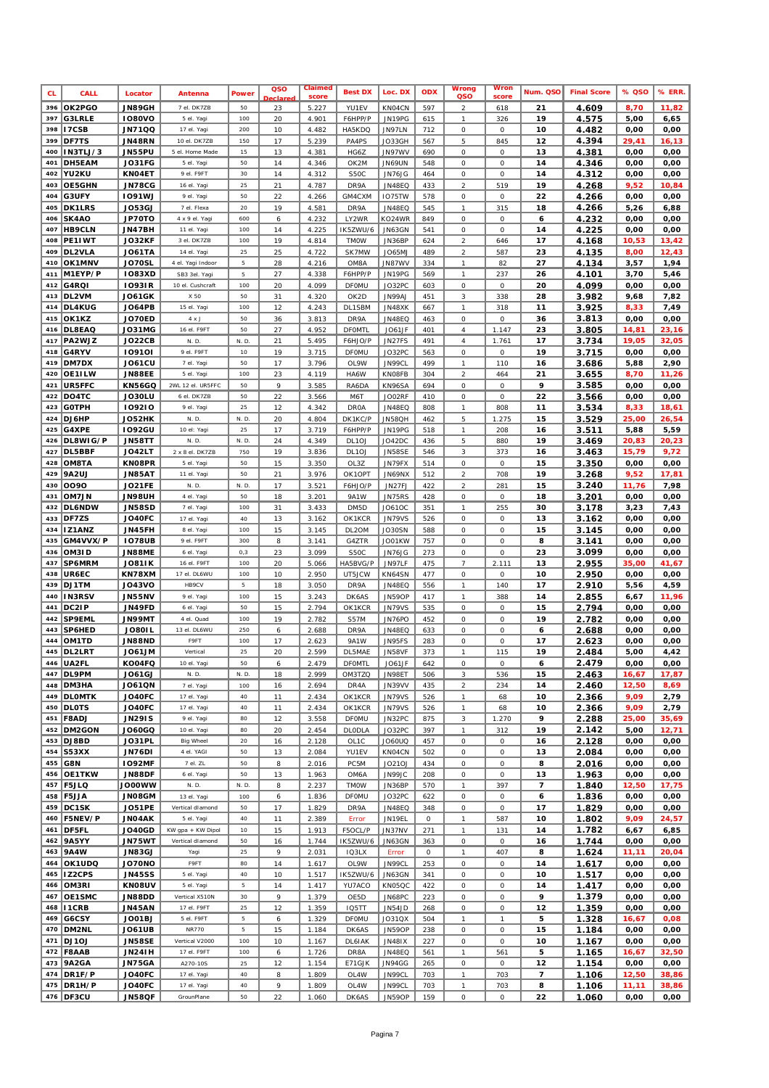| <b>CL</b>  | <b>CALL</b>                   | Locator                        | Antenna                           | Power       | QSO<br>clar | Claimed<br>score | <b>Best DX</b>          | Loc. DX                 | <b>ODX</b> | Wrong<br>QSO                                      | Wror<br>score            | Num. QSO | <b>Final Score</b> | % QSO         | % ERR         |
|------------|-------------------------------|--------------------------------|-----------------------------------|-------------|-------------|------------------|-------------------------|-------------------------|------------|---------------------------------------------------|--------------------------|----------|--------------------|---------------|---------------|
| 396        | OK2PGO                        | <b>JN89GH</b>                  | 7 el. DK7ZB                       | 50          | 23          | 5.227            | YU1EV                   | KN04CN                  | 597        | $\overline{a}$                                    | 618                      | 21       | 4.609              | 8,70          | 11,82         |
| 397<br>398 | <b>G3LRLE</b>                 | <b>IO80VO</b>                  | 5 el. Yagi                        | 100<br>200  | 20          | 4.901            | F6HPP/P                 | JN19PG                  | 615        | $\boldsymbol{\mathcal{I}}$                        | 326                      | 19       | 4.575              | 5,00          | 6,65          |
| 399        | I7CSB<br>DF7TS                | <b>JN71QQ</b><br><b>JN48RN</b> | 17 el. Yagi<br>10 el. DK7ZB       | 150         | 10<br>17    | 4.482<br>5.239   | HA5KDQ<br>PA4PS         | JN97LN<br><b>JO33GH</b> | 712<br>567 | $\cal O$<br>5                                     | 0<br>845                 | 10<br>12 | 4.482<br>4.394     | 0,00<br>29,41 | 0,00<br>16,13 |
| 400        | IN3TLJ/3                      | JN55PU                         | 5 el. Home Made                   | 15          | 13          | 4.381            | HG6Z                    | JN97WV                  | 690        | 0                                                 | 0                        | 13       | 4.381              | 0,00          | 0,00          |
| 401        | DH5EAM                        | JO31FG                         | 5 el. Yagi                        | 50          | 14          | 4.346            | OK2M                    | JN69UN                  | 548        | $\cal O$                                          | 0                        | 14       | 4.346              | 0,00          | 0,00          |
| 402        | YU2KU                         | KN04ET                         | 9 el. F9FT                        | 30          | 14          | 4.312            | S50C                    | JN76JG                  | 464        | 0                                                 | 0                        | 14       | 4.312              | 0,00          | 0,00          |
| 403        | <b>OE5GHN</b>                 | JN78CG                         | 16 el. Yagi                       | 25          | 21          | 4.787            | DR9A                    | <b>JN48EQ</b>           | 433        | $\sqrt{2}$                                        | 519                      | 19       | 4.268              | 9,52          | 10,84         |
| 404<br>405 | G3UFY                         | <b>1091WJ</b>                  | 9 el. Yagi                        | 50          | 22          | 4.266            | GM4CXM                  | 1075TW                  | 578        | 0                                                 | 0                        | 22<br>18 | 4.266              | 0,00          | 0,00          |
| 406        | <b>DK1LRS</b><br>SK4AO        | <b>JO53GJ</b><br>JP70TO        | 7 el. Flexa<br>4 x 9 el. Yagi     | 20<br>600   | 19<br>6     | 4.581<br>4.232   | DR9A<br>LY2WR           | <b>JN48EQ</b><br>KO24WR | 545<br>849 | $\boldsymbol{\tau}$<br>0                          | 315<br>0                 | 6        | 4.266<br>4.232     | 5,26<br>0,00  | 6,88<br>0,00  |
| 407        | <b>HB9CLN</b>                 | JN47BH                         | 11 el. Yagi                       | 100         | 14          | 4.225            | IK5ZWU/6                | JN63GN                  | 541        | 0                                                 | 0                        | 14       | 4.225              | 0,00          | 0,00          |
| 408        | PE1IWT                        | JO32KF                         | 3 el. DK7ZB                       | 100         | 19          | 4.814            | <b>TMOW</b>             | JN36BP                  | 624        | $\sqrt{2}$                                        | 646                      | 17       | 4.168              | 10,53         | 13,42         |
| 409        | DL2VLA                        | <b>JO61TA</b>                  | 14 el. Yagi                       | 25          | 25          | 4.722            | SK7MW                   | JO65MJ                  | 489        | $\sqrt{2}$                                        | 587                      | 23       | 4.135              | 8,00          | 12,43         |
| 410        | OK1MNV                        | JO70SL                         | 4 el. Yagi Indoor                 | 5           | 28          | 4.216            | OM8A                    | JN87WV                  | 334        | $\mathcal{I}$                                     | 82                       | 27       | 4.134              | 3,57          | 1,94          |
| 411<br>412 | M1EYP/P<br>G4RQI              | <b>IO83XD</b><br>10931R        | SB3 3el. Yagi<br>10 el. Cushcraft | 5<br>100    | 27<br>20    | 4.338<br>4.099   | F6HPP/P<br><b>DFOMU</b> | JN19PG<br>JO32PC        | 569<br>603 | $\boldsymbol{\eta}$<br>0                          | 237<br>0                 | 26<br>20 | 4.101<br>4.099     | 3,70<br>0,00  | 5,46<br>0,00  |
| 413        | DL2VM                         | <b>JO61GK</b>                  | X 50                              | 50          | 31          | 4.320            | OK2D                    | JN99AJ                  | 451        | 3                                                 | 338                      | 28       | 3.982              | 9,68          | 7,82          |
| 414        | <b>DL4KUG</b>                 | <b>JO64PB</b>                  | 15 el. Yagi                       | 100         | 12          | 4.243            | DL1SBM                  | JN48XK                  | 667        | $\boldsymbol{\eta}$                               | 318                      | 11       | 3.925              | 8,33          | 7,49          |
| 415        | OK1KZ                         | JO70ED                         | 4 x J                             | 50          | 36          | 3.813            | DR9A                    | <b>JN48EQ</b>           | 463        | 0                                                 | 0                        | 36       | 3.813              | 0,00          | 0,00          |
| 416        | DL8EAQ                        | <b>JO31MG</b>                  | 16 el. F9FT                       | 50          | 27          | 4.952            | <b>DFOMTL</b>           | JO61JF                  | 401        | $\sqrt{4}$                                        | 1.147                    | 23       | 3.805              | 14,81         | 23,16         |
| 417        | PA2WJZ                        | <b>JO22CB</b>                  | N. D.                             | N. D.       | 21          | 5.495            | F6HJO/P                 | <b>JN27FS</b>           | 491        | $\sqrt{4}$                                        | 1.761                    | 17       | 3.734              | 19,05         | 32,05         |
| 418<br>419 | G4RYV<br>DM7DX                | 109101<br><b>JO61CU</b>        | 9 el. F9FT<br>7 el. Yagi          | 10<br>50    | 19<br>17    | 3.715<br>3.796   | <b>DFOMU</b><br>OL9W    | JO32PC<br>JN99CL        | 563<br>499 | $\cal O$<br>$\boldsymbol{\eta}$                   | 0<br>110                 | 19<br>16 | 3.715<br>3.686     | 0,00<br>5,88  | 0,00<br>2,90  |
| 420        | OE1ILW                        | <b>JN88EE</b>                  | 5 el. Yagi                        | 100         | 23          | 4.119            | HA6W                    | KN08FB                  | 304        | $\overline{a}$                                    | 464                      | 21       | 3.655              | 8,70          | 11,26         |
| 421        | UR5FFC                        | <b>KN56GQ</b>                  | 2WL 12 el. UR5FFC                 | 50          | 9           | 3.585            | RA6DA                   | KN96SA                  | 694        | 0                                                 | 0                        | 9        | 3.585              | 0,00          | 0,00          |
| 422        | DO4TC                         | JO30LU                         | 6 el. DK7ZB                       | 50          | 22          | 3.566            | M6T                     | <b>JO02RF</b>           | 410        | 0                                                 | 0                        | 22       | 3.566              | 0,00          | 0,00          |
| 423        | <b>GOTPH</b>                  | 109210                         | 9 el. Yagi                        | 25          | 12          | 4.342            | <b>DROA</b>             | <b>JN48EQ</b>           | 808        | $\it 1$                                           | 808                      | 11       | 3.534              | 8,33          | 18,61         |
| 424<br>425 | DJ6HP<br>G4XPE                | JO52HK<br><b>1092GU</b>        | N. D.<br>10 el: Yagi              | N. D.<br>25 | 20<br>17    | 4.804            | DK1KC/P<br>F6HPP/P      | <b>JN58QH</b>           | 462<br>518 | $\sqrt{5}$<br>$\boldsymbol{\tau}$                 | 1.275                    | 15<br>16 | 3.529              | 25,00         | 26,54<br>5,59 |
| 426        | DL8WIG/P                      | <b>JN58TT</b>                  | N. D.                             | N. D.       | 24          | 3.719<br>4.349   | DL <sub>10J</sub>       | JN19PG<br>JO42DC        | 436        | 5                                                 | 208<br>880               | 19       | 3.511<br>3.469     | 5,88<br>20,83 | 20,23         |
| 427        | <b>DL5BBF</b>                 | JO42LT                         | 2 x 8 el. DK7ZB                   | 750         | 19          | 3.836            | DL <sub>10J</sub>       | <b>JN58SE</b>           | 546        | 3                                                 | 373                      | 16       | 3.463              | 15,79         | 9,72          |
| 428        | OM8TA                         | KN08PR                         | 5 el. Yagi                        | 50          | 15          | 3.350            | OL3Z                    | JN79FX                  | 514        | $\cal O$                                          | 0                        | 15       | 3.350              | 0,00          | 0,00          |
| 429        | <b>9A2UJ</b>                  | <b>JN85AT</b>                  | 11 el. Yagi                       | 50          | 21          | 3.976            | OK1OPT                  | JN69NX                  | 512        | $\sqrt{2}$                                        | 708                      | 19       | 3.268              | 9,52          | 17,81         |
| 430        | 0090                          | <b>JO21FE</b>                  | N. D.                             | N.D.        | 17          | 3.521            | F6HJO/P                 | JN27FJ                  | 422        | $\overline{a}$                                    | 281                      | 15       | 3.240              | 11,76         | 7,98          |
| 431<br>432 | <b>OM7JN</b><br><b>DL6NDW</b> | <b>JN98UH</b><br><b>JN58SD</b> | 4 el. Yagi<br>7 el. Yagi          | 50<br>100   | 18<br>31    | 3.201<br>3.433   | 9A1W<br>DM5D            | JN75RS<br>JO610C        | 428<br>351 | $\cal O$<br>$\boldsymbol{\eta}$                   | 0<br>255                 | 18<br>30 | 3.201<br>3.178     | 0,00<br>3,23  | 0,00<br>7,43  |
| 433        | DF7ZS                         | JO40FC                         | 17 el. Yagi                       | 40          | 13          | 3.162            | OK1KCR                  | <b>JN79VS</b>           | 526        | 0                                                 | 0                        | 13       | 3.162              | 0,00          | 0,00          |
| 434        | <b>IZ1ANZ</b>                 | JN45FH                         | 8 el. Yagi                        | 100         | 15          | 3.145            | DL2OM                   | <b>JO30SN</b>           | 588        | 0                                                 | 0                        | 15       | 3.145              | 0,00          | 0,00          |
| 435        | GM4VVX/P                      | <b>IO78UB</b>                  | 9 el. F9FT                        | 300         | 8           | 3.141            | G4ZTR                   | JO01KW                  | 757        | $\cal O$                                          | 0                        | 8        | 3.141              | 0,00          | 0,00          |
| 436        | OM3ID                         | JN88ME                         | 6 el. Yagi                        | 0, 3        | 23          | 3.099            | S50C                    | JN76JG                  | 273        | 0                                                 | 0                        | 23       | 3.099              | 0,00          | 0,00          |
| 437        | SP6MRM                        | <b>JO81IK</b>                  | 16 el. F9FT                       | 100         | 20          | 5.066            | HA5BVG/P                | JN97LF                  | 475        | $\overline{7}$                                    | 2.111                    | 13       | 2.955              | 35,00         | 41,67         |
| 438<br>439 | UR6EC<br>DJ1TM                | KN78XM<br><b>JO43VO</b>        | 17 el. DL6WU<br>HB9CV             | 100<br>5    | 10<br>18    | 2.950<br>3.050   | UT5JCW<br>DR9A          | KN64SN<br>JN48EQ        | 477<br>556 | 0<br>$\boldsymbol{\eta}$                          | 0<br>140                 | 10<br>17 | 2.950<br>2.910     | 0,00<br>5,56  | 0,00<br>4,59  |
| 440        | IN3RSV                        | <b>JN55NV</b>                  | 9 el. Yagi                        | 100         | 15          | 3.243            | DK6AS                   | JN59OP                  | 417        | $\boldsymbol{\eta}$                               | 388                      | 14       | 2.855              | 6,67          | 11,96         |
| 441        | DC2IP                         | JN49FD                         | 6 el. Yagi                        | 50          | 15          | 2.794            | OK1KCR                  | <b>JN79VS</b>           | 535        | $\cal O$                                          | 0                        | 15       | 2.794              | 0,00          | 0,00          |
| 442        | SP9EML                        | <b>JN99MT</b>                  | 4 el. Quad                        | 100         | 19          | 2.782            | <b>S57M</b>             | <b>JN76PO</b>           | 452        | 0                                                 | 0                        | 19       | 2.782              | 0,00          | 0,00          |
| 443        | SP6HED                        | <b>JO80IL</b>                  | 13 el. DL6WU                      | 250         | 6           | 2.688            | DR9A                    | <b>JN48EQ</b>           | 633        | 0                                                 | 0                        | 6        | 2.688              | 0,00          | 0,00          |
| 444<br>445 | OM1TD<br>DL2LRT               | JN88ND<br><b>MLF6OL</b>        | F9FT<br>Vertical                  | 100<br>25   | 17<br>20    | 2.623<br>2.599   | 9A1W<br>DL5MAE          | JN95FS<br><b>JN58VF</b> | 283<br>373 | 0<br>$\mathcal I$                                 | 0<br>115                 | 17<br>19 | 2.623<br>2.484     | 0,00<br>5,00  | 0,00<br>4,42  |
|            | 446 UA2FL                     | KO04FQ                         | 10 el. Yagi                       | 50          | 6           | 2.479            | <b>DFOMTL</b>           | JO61JF                  | 642        | 0                                                 | 0                        | 6        | 2.479              | 0,00          | 0,00          |
|            | 447 DL9PM                     | <b>JO61GJ</b>                  | N. D.                             | N. D.       | 18          | 2.999            | OM3TZQ                  | <b>JN98ET</b>           | 506        | 3                                                 | 536                      | 15       | 2.463              | 16,67         | 17,87         |
| 448        | DM3HA                         | <b>JO61QN</b>                  | 7 el. Yagi                        | 100         | 16          | 2.694            | DR4A                    | JN39VV                  | 435        | $\overline{a}$                                    | 234                      | 14       | 2.460              | 12,50         | 8,69          |
|            | 449 DLOMTK                    | JO40FC                         | 17 el. Yagi                       | 40          | 11          | 2.434            | OK1KCR                  | JN79VS                  | 526        | $\boldsymbol{\tau}$                               | 68                       | 10       | 2.366              | 9,09          | 2,79          |
|            | 450 DLOTS<br>451   F8ADJ      | JO40FC<br><b>JN291S</b>        | 17 el. Yagi<br>9 el. Yagi         | 40<br>80    | 11<br>12    | 2.434<br>3.558   | OK1KCR<br><b>DFOMU</b>  | JN79VS<br>JN32PC        | 526<br>875 | $\boldsymbol{\mathcal{I}}$<br>$\sqrt{3}$          | 68<br>1.270              | 10<br>9  | 2.366<br>2.288     | 9,09<br>25,00 | 2,79<br>35,69 |
| 452        | DM2GON                        | J060GQ                         | 10 el. Yagi                       | 80          | 20          | 2.454            | DLODLA                  | JO32PC                  | 397        | $\boldsymbol{\eta}$                               | 312                      | 19       | 2.142              | 5,00          | 12,71         |
| 453        | DJ8BD                         | JO31PL                         | Big Wheel                         | 20          | 16          | 2.128            | OL <sub>1C</sub>        | <b>JO60UQ</b>           | 457        | 0                                                 | 0                        | 16       | 2.128              | 0,00          | 0,00          |
| 454        | <b>S53XX</b>                  | <b>JN76DI</b>                  | 4 el. YAGI                        | 50          | 13          | 2.084            | YU1EV                   | KN04CN                  | 502        | $\cal O$                                          | 0                        | 13       | 2.084              | 0,00          | 0,00          |
| 455        | G8N                           | <b>IO92MF</b>                  | 7 el. ZL                          | 50          | 8           | 2.016            | PC5M                    | JO21OJ                  | 434        | $\cal O$                                          | 0                        | 8        | 2.016              | 0,00          | 0,00          |
| 456<br>457 | <b>OE1TKW</b><br><b>F5JLQ</b> | JN88DF<br><b>WWOOOL</b>        | 6 el. Yagi<br>N. D.               | 50<br>N. D. | 13<br>8     | 1.963<br>2.237   | OM6A<br><b>TMOW</b>     | JN99JC<br>JN36BP        | 208<br>570 | $\cal O$<br>$\boldsymbol{\tau}$                   | 0<br>397                 | 13<br>7  | 1.963<br>1.840     | 0,00<br>12,50 | 0,00<br>17,75 |
|            | 458   F5JJA                   | <b>JNO8GM</b>                  | 13 el. Yagi                       | 100         | 6           | 1.836            | <b>DFOMU</b>            | JO32PC                  | 622        | $\cal O$                                          | 0                        | 6        | 1.836              | 0,00          | 0,00          |
| 459        | DC1SK                         | <b>JO51PE</b>                  | Vertical dlamond                  | 50          | $17$        | 1.829            | DR9A                    | JN48EQ                  | 348        | $\cal O$                                          | 0                        | 17       | 1.829              | 0,00          | 0,00          |
| 460        | <b>F5NEV/P</b>                | JNO4AK                         | 5 el. Yagi                        | 40          | 11          | 2.389            | Error                   | JN19EL                  | 0          | $\boldsymbol{\mathcal{I}}$                        | 587                      | 10       | 1.802              | 9,09          | 24,57         |
| 461        | DF5FL                         | <b>JO40GD</b>                  | KW gpa + KW Dipol                 | 10          | 15          | 1.913            | F5OCL/P                 | JN37NV                  | 271        | $\boldsymbol{\eta}$                               | 131                      | 14       | 1.782              | 6,67          | 6,85          |
| 462        | 9A5YY <br>463 9A4W            | <b>JN75WT</b><br><b>JN83GJ</b> | Vertical dlamond<br>Yagi          | 50<br>25    | 16<br>9     | 1.744<br>2.031   | IK5ZWU/6<br>1Q3LX       | JN63GN<br>Error         | 363<br>0   | $\cal O$<br>$\boldsymbol{\eta}$                   | 0<br>407                 | 16<br>8  | 1.744<br>1.624     | 0,00<br>11,11 | 0,00<br>20,04 |
| 464        | OK1UDQ                        | <b>JO70NO</b>                  | F9FT                              | 80          | 14          | 1.617            | OL9W                    | JN99CL                  | 253        | $\cal O$                                          | 0                        | 14       | 1.617              | 0,00          | 0,00          |
| 465        | IZ2CPS                        | <b>JN45SS</b>                  | 5 el. Yagi                        | 40          | 10          | 1.517            | IK5ZWU/6                | <b>JN63GN</b>           | 341        | $\cal O$                                          | 0                        | 10       | 1.517              | 0,00          | 0,00          |
| 466        | OM3RI                         | <b>KNO8UV</b>                  | 5 el. Yagi                        | 5           | $14$        | 1.417            | YU7ACO                  | KN05QC                  | 422        | $\cal O$                                          | 0                        | 14       | 1.417              | 0,00          | 0,00          |
| 467        | OE1SMC                        | JN88DD                         | Vertical X510N                    | 30          | 9           | 1.379            | OE5D                    | JN68PC                  | 223        | 0                                                 | 0                        | 9        | 1.379              | 0,00          | 0,00          |
| 468<br>469 | I1CRB<br>G6CSY                | <b>JN45AN</b><br><b>JO01BJ</b> | 17 el. F9FT                       | 25<br>5     | 12<br>6     | 1.359<br>1.329   | IQ5TT<br><b>DFOMU</b>   | JN54JD<br>JO31QX        | 268<br>504 | 0<br>$\boldsymbol{\eta}$                          | 0<br>$\boldsymbol{\eta}$ | 12<br>5  | 1.359<br>1.328     | 0,00<br>16,67 | 0,00<br>0,08  |
| 470        | DM2NL                         | <b>JO61UB</b>                  | 5 el. F9FT<br><b>NR770</b>        | 5           | 15          | 1.184            | DK6AS                   | JN59OP                  | 238        | $\cal O$                                          | 0                        | 15       | 1.184              | 0,00          | 0,00          |
| 471        | DJ10J                         | <b>JN58SE</b>                  | Vertical V2000                    | 100         | 10          | 1.167            | <b>DL6IAK</b>           | JN481X                  | 227        | $\cal O$                                          | 0                        | 10       | 1.167              | 0,00          | 0,00          |
|            | 472   F8AAB                   | <b>JN241H</b>                  | 17 el. F9FT                       | 100         | 6           | 1.726            | DR8A                    | <b>JN48EQ</b>           | 561        | $\boldsymbol{\eta}$                               | 561                      | 5        | 1.165              | 16,67         | 32,50         |
| 473        | 9A2GA                         | <b>JN75GA</b>                  | A270-10S                          | 25          | 12          | 1.154            | E71GJK                  | JN94GG                  | 265        | $\cal O$                                          | 0                        | 12       | 1.154              | 0,00          | 0,00          |
| 475        | 474 DR1F/P<br>DR1H/P          | JO40FC<br>JO40FC               | 17 el. Yagi                       | 40<br>40    | 8<br>9      | 1.809            | OL4W                    | JN99CL                  | 703        | $\boldsymbol{\tau}$<br>$\boldsymbol{\mathcal{I}}$ | 703                      | 7<br>8   | 1.106              | 12,50         | 38,86         |
|            | 476 DF3CU                     | <b>JN58QF</b>                  | 17 el. Yagi<br>GrounPlane         | 50          | 22          | 1.809<br>1.060   | OL4W<br><b>DK6AS</b>    | JN99CL<br><b>JN59OP</b> | 703<br>159 | 0                                                 | 703<br>0                 | 22       | 1.106<br>1.060     | 11,11<br>0,00 | 38,86<br>0,00 |
|            |                               |                                |                                   |             |             |                  |                         |                         |            |                                                   |                          |          |                    |               |               |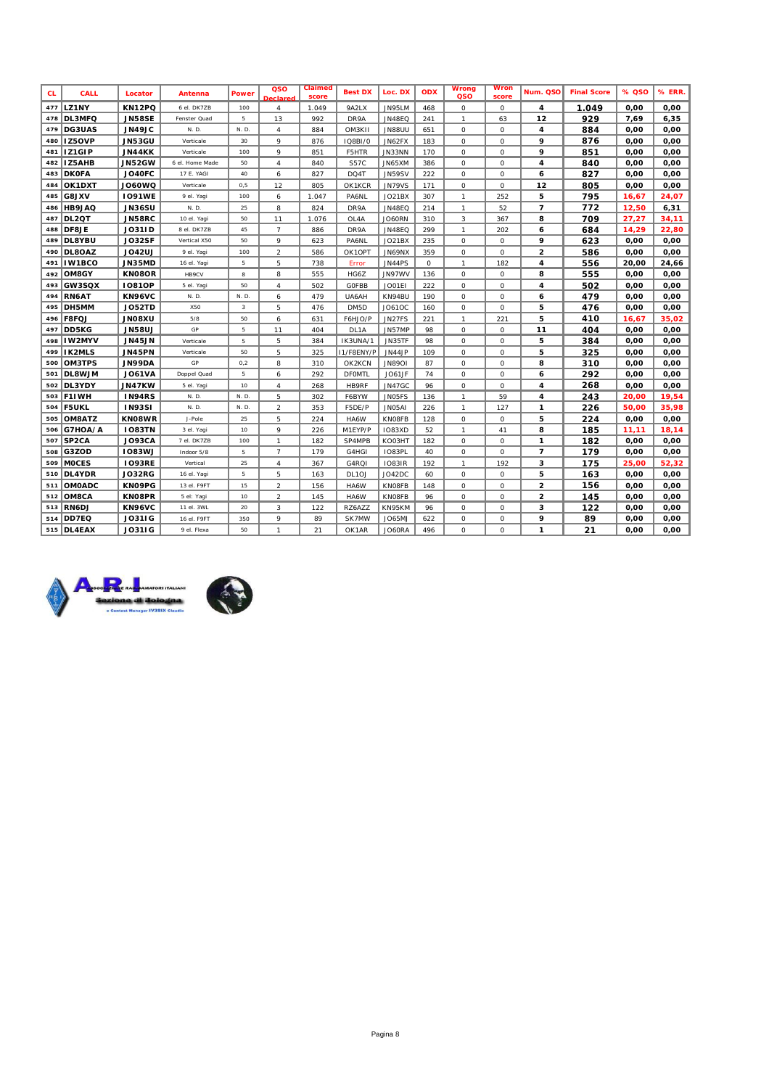| <b>CL</b> | CALL               | Locator       | Antenna         | Power | QSO<br>Declare          | Claimed<br>score | <b>Best DX</b>    | Loc. DX       | <b>ODX</b> | Wrong<br>QSO  | <b>Wron</b><br>score | Num. QSO                | <b>Final Score</b> | % QSO | % ERR. |
|-----------|--------------------|---------------|-----------------|-------|-------------------------|------------------|-------------------|---------------|------------|---------------|----------------------|-------------------------|--------------------|-------|--------|
| 477       | LZ1NY              | KN12PQ        | 6 el. DK7ZB     | 100   | $\overline{4}$          | 1.049            | 9A2LX             | JN95LM        | 468        | 0             | 0                    | 4                       | 1.049              | 0.00  | 0,00   |
| 478       | DL3MFQ             | <b>JN58SE</b> | Fenster Quad    | 5     | 13                      | 992              | DR9A              | <b>JN48EQ</b> | 241        | $\mathcal{I}$ | 63                   | 12                      | 929                | 7,69  | 6,35   |
| 479       | DG3UAS             | <b>JN49JC</b> | N. D.           | N. D. | $\overline{4}$          | 884              | OM3K11            | <b>JN88UU</b> | 651        | 0             | 0                    | 4                       | 884                | 0,00  | 0,00   |
| 480       | IZ5OVP             | JN53GU        | Verticale       | 30    | 9                       | 876              | 1Q8B1/0           | JN62FX        | 183        | 0             | 0                    | 9                       | 876                | 0,00  | 0,00   |
| 481       | <b>IZ1GIP</b>      | <b>JN44KK</b> | Verticale       | 100   | 9                       | 851              | <b>F5HTR</b>      | JN33NN        | 170        | 0             | 0                    | 9                       | 851                | 0,00  | 0,00   |
| 482       | IZ5AHB             | <b>JN52GW</b> | 6 el. Home Made | 50    | $\overline{4}$          | 840              | S57C              | JN65XM        | 386        | 0             | 0                    | 4                       | 840                | 0,00  | 0,00   |
| 483       | <b>DKOFA</b>       | JO40FC        | 17 E. YAGI      | 40    | 6                       | 827              | DQ4T              | JN59SV        | 222        | 0             | 0                    | 6                       | 827                | 0,00  | 0,00   |
| 484       | OK1DXT             | <b>JO60WQ</b> | Verticale       | 0, 5  | 12                      | 805              | OK1KCR            | <b>JN79VS</b> | 171        | $\mathcal{O}$ | 0                    | 12                      | 805                | 0,00  | 0,00   |
| 485       | G8JXV              | <b>IO91WE</b> | 9 el. Yaqi      | 100   | 6                       | 1.047            | <b>PA6NL</b>      | JO21BX        | 307        | $\mathcal{I}$ | 252                  | 5                       | 795                | 16,67 | 24,07  |
| 486       | HB9JAQ             | <b>JN36SU</b> | N. D.           | 25    | 8                       | 824              | DR9A              | <b>JN48EQ</b> | 214        | $\mathcal{I}$ | 52                   | $\overline{7}$          | 772                | 12,50 | 6,31   |
| 487       | DL2QT              | <b>JN58RC</b> | 10 el. Yaqi     | 50    | 11                      | 1.076            | OL4A              | JO60RN        | 310        | 3             | 367                  | 8                       | 709                | 27,27 | 34,11  |
| 488       | DF8JE              | <b>JO31ID</b> | 8 el. DK7ZB     | 45    | $\overline{7}$          | 886              | DR9A              | <b>JN48EQ</b> | 299        | $\mathcal I$  | 202                  | 6                       | 684                | 14,29 | 22,80  |
| 489       | <b>DL8YBU</b>      | <b>JO32SF</b> | Vertical X50    | 50    | 9                       | 623              | <b>PA6NL</b>      | JO21BX        | 235        | 0             | 0                    | 9                       | 623                | 0,00  | 0,00   |
| 490       | DL8OAZ             | <b>JO42UJ</b> | 9 el. Yaqi      | 100   | $\overline{\mathbf{c}}$ | 586              | OK1OPT            | JN69NX        | 359        | $\mathcal{O}$ | 0                    | 2                       | 586                | 0,00  | 0,00   |
| 491       | <b>IW1BCO</b>      | JN35MD        | 16 el. Yagi     | 5     | 5                       | 738              | Error             | <b>JN44PS</b> | 0          | $\mathcal{I}$ | 182                  | 4                       | 556                | 20,00 | 24,66  |
| 492       | OM8GY              | KN08OR        | HB9CV           | 8     | 8                       | 555              | HG6Z              | JN97WV        | 136        | $\mathcal{O}$ | 0                    | 8                       | 555                | 0,00  | 0,00   |
| 493       | GW3SQX             | <b>10810P</b> | 5 el. Yagi      | 50    | $\overline{4}$          | 502              | <b>GOFBB</b>      | JO01EI        | 222        | 0             | 0                    | 4                       | 502                | 0.00  | 0,00   |
| 494       | RN6AT              | <b>KN96VC</b> | N. D.           | N. D. | 6                       | 479              | UA6AH             | KN94BU        | 190        | 0             | 0                    | 6                       | 479                | 0,00  | 0,00   |
| 495       | DH5MM              | <b>JO52TD</b> | X50             | 3     | 5                       | 476              | DM5D              | JO610C        | 160        | 0             | 0                    | 5                       | 476                | 0,00  | 0,00   |
| 496       | F8FQJ              | <b>UX80NL</b> | 5/8             | 50    | 6                       | 631              | F6HJO/P           | <b>JN27FS</b> | 221        | $\mathcal{I}$ | 221                  | 5                       | 410                | 16,67 | 35,02  |
| 497       | DD5KG              | <b>JN58UJ</b> | GP              | 5     | 11                      | 404              | DL 1A             | JN57MP        | 98         | 0             | 0                    | 11                      | 404                | 0,00  | 0,00   |
| 498       | IW2MYV             | <b>JN45JN</b> | Verticale       | 5     | 5                       | 384              | IK3UNA/1          | <b>JN35TF</b> | 98         | $\mathcal{O}$ | 0                    | 5                       | 384                | 0,00  | 0,00   |
| 499       | <b>IK2MLS</b>      | <b>JN45PN</b> | Verticale       | 50    | 5                       | 325              | 11/F8ENY/P        | JN44JP        | 109        | 0             | 0                    | 5                       | 325                | 0,00  | 0,00   |
| 500       | <b>OM3TPS</b>      | <b>JN99DA</b> | GP              | 0.2   | 8                       | 310              | OK2KCN            | <b>JN8901</b> | 87         | 0             | 0                    | 8                       | 310                | 0,00  | 0,00   |
| 501       | DL8WJM             | <b>JO61VA</b> | Doppel Quad     | 5     | 6                       | 292              | <b>DFOMTL</b>     | <b>JO61JF</b> | 74         | 0             | 0                    | 6                       | 292                | 0.00  | 0,00   |
| 502       | DL3YDY             | <b>JN47KW</b> | 5 el. Yagi      | 10    | $\overline{4}$          | 268              | <b>HB9RF</b>      | <b>JN47GC</b> | 96         | 0             | 0                    | 4                       | 268                | 0,00  | 0,00   |
| 503       | <b>F1IWH</b>       | IN94RS        | N. D.           | N. D. | 5                       | 302              | F6BYW             | JN05FS        | 136        | $\mathcal{I}$ | 59                   | 4                       | 243                | 20,00 | 19,54  |
| 504       | <b>F5UKL</b>       | <b>IN93SI</b> | N. D.           | N. D. | $\overline{2}$          | 353              | F5DE/P            | JN05AI        | 226        | $\mathcal{I}$ | 127                  | 1                       | 226                | 50,00 | 35,98  |
| 505       | OM8ATZ             | <b>KNO8WR</b> | J-Pole          | 25    | 5                       | 224              | HA6W              | <b>KNOSFB</b> | 128        | 0             | 0                    | 5                       | 224                | 0.00  | 0,00   |
| 506       | G7HOA/A            | <b>IO83TN</b> | 3 el. Yaqi      | 10    | 9                       | 226              | M1EYP/P           | <b>IO83XD</b> | 52         | $\mathcal{I}$ | 41                   | 8                       | 185                | 11,11 | 18,14  |
| 507       | SP <sub>2</sub> CA | <b>JO93CA</b> | 7 el. DK7ZB     | 100   | $\mathcal{I}$           | 182              | SP4MPB            | KO03HT        | 182        | 0             | 0                    | 1                       | 182                | 0,00  | 0,00   |
| 508       | G3ZOD              | <b>IO83WJ</b> | Indoor 5/8      | 5     | $\overline{7}$          | 179              | G4HGI             | <b>IO83PL</b> | 40         | $\mathcal{O}$ | 0                    | $\overline{7}$          | 179                | 0,00  | 0,00   |
| 509       | <b>MOCES</b>       | <b>IO93RE</b> | Vertical        | 25    | $\overline{4}$          | 367              | G4RQ1             | <b>IO83IR</b> | 192        | $\mathcal{I}$ | 192                  | 3                       | 175                | 25,00 | 52,32  |
| 510       | DL4YDR             | <b>JO32RG</b> | 16 el. Yagi     | 5     | 5                       | 163              | DL <sub>10J</sub> | JO42DC        | 60         | 0             | 0                    | 5                       | 163                | 0,00  | 0,00   |
| 511       | OMOADC             | KN09PG        | 13 el. F9FT     | 15    | $\overline{2}$          | 156              | HA6W              | <b>KNOSFB</b> | 148        | 0             | 0                    | $\overline{\mathbf{2}}$ | 156                | 0,00  | 0,00   |
| 512       | OM8CA              | KN08PR        | 5 el: Yaqi      | 10    | $\overline{\mathbf{c}}$ | 145              | HA6W              | <b>KNOSFB</b> | 96         | 0             | 0                    | 2                       | 145                | 0,00  | 0,00   |
| 513       | RN6DJ              | <b>KN96VC</b> | 11 el. 3WL      | 20    | 3                       | 122              | RZ6AZZ            | <b>KN95KM</b> | 96         | 0             | 0                    | 3                       | 122                | 0,00  | 0,00   |
| 514       | DD7EQ              | <b>JO31IG</b> | 16 el. F9FT     | 350   | 9                       | 89               | SK7MW             | JO65MJ        | 622        | 0             | 0                    | 9                       | 89                 | 0,00  | 0,00   |
| 515       | DL4EAX             | <b>JO31IG</b> | 9 el. Flexa     | 50    | $\mathcal I$            | 21               | OK1AR             | JO60RA        | 496        | 0             | $\Omega$             | $\mathbf{1}$            | 21                 | 0.00  | 0,00   |



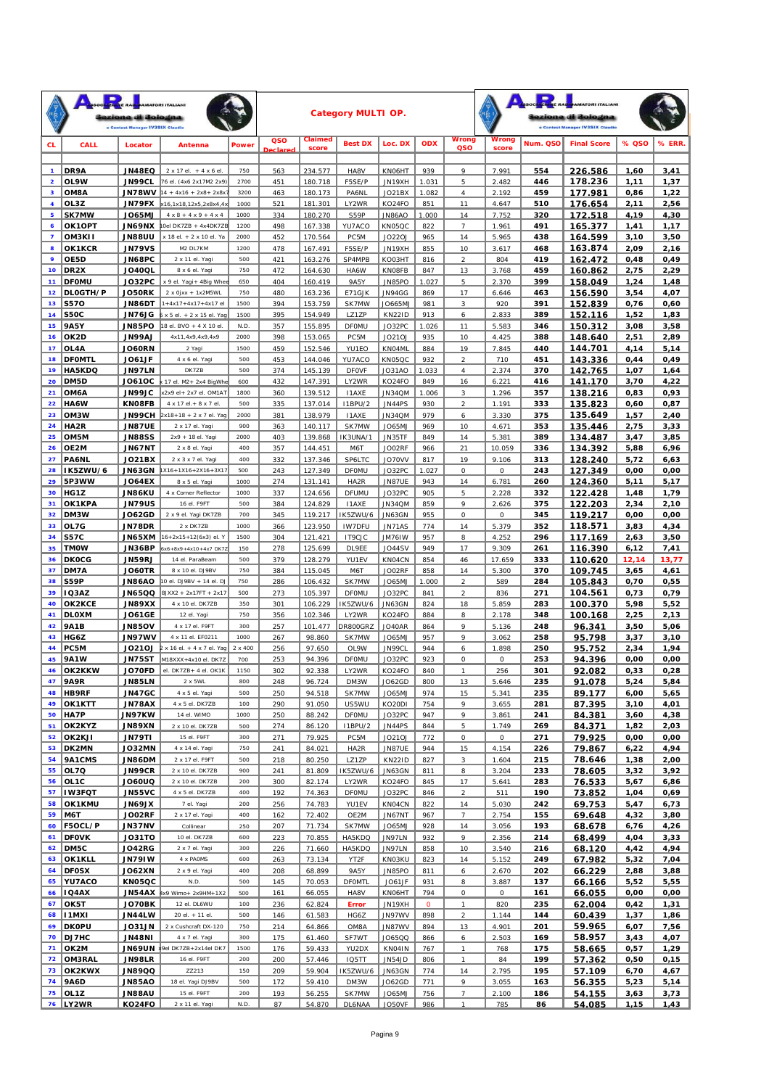|                         |                             | zione di Bologna<br>e Contest Manager IV3SIX Claudi | <b>ATORI ITALIANI</b>                                                   |              |                       |                    | <b>Category MULTI OP.</b> |                          |                |                                                     |                |            | izione di Bologna<br>e Contest Manager IV3SIX Claudie |              |              |
|-------------------------|-----------------------------|-----------------------------------------------------|-------------------------------------------------------------------------|--------------|-----------------------|--------------------|---------------------------|--------------------------|----------------|-----------------------------------------------------|----------------|------------|-------------------------------------------------------|--------------|--------------|
| <b>CL</b>               | CALL                        | Locator                                             | Antenna                                                                 | <b>Power</b> | QSO<br><b>Declare</b> | Claimed<br>score   | <b>Best DX</b>            | Loc. DX                  | <b>ODX</b>     | Wrong<br>QSO                                        | Wrong<br>score | Num. QSO   | <b>Final Score</b>                                    | % QSO        | % ERR.       |
| 1                       | DR9A                        | JN48EQ                                              | 2 x 17 el. + 4 x 6 el.                                                  | 750          | 563                   | 234.577            | HA8V                      | KN06HT                   | 939            | 9                                                   | 7.991          | 554        | 226.586                                               | 1,60         | 3,41         |
| $\overline{\mathbf{2}}$ | OL9W                        | <b>JN99CL</b>                                       | 76 el. (4x6 2x17M2 2x9)                                                 | 2700         | 451                   | 180.718            | F5SE/P                    | JN19XH                   | 1.031          | 5                                                   | 2.482          | 446        | 178.236                                               | 1, 11        | 1,37         |
| 3                       | OM8A                        | <b>JN78WV</b>                                       | $14 + 4x16 + 2x8 + 2x8x$                                                | 3200         | 463                   | 180.173            | PA6NL                     | JO21BX                   | 1.082          | $\overline{4}$                                      | 2.192          | 459        | 177.981                                               | 0,86         | 1,22         |
| $\overline{\mathbf{4}}$ | OL3Z                        | JN79FX                                              | x16,1x18,12x5,2x8x4,4x                                                  | 1000         | 521                   | 181.301            | LY2WR                     | KO24FO                   | 851            | 11                                                  | 4.647          | 510        | 176.654                                               | 2,11         | 2,56         |
| 5<br>6                  | <b>SK7MW</b><br>OK1OPT      | <b>JO65MJ</b><br><b>JN69NX</b>                      | $4 \times 8 + 4 \times 9 + 4 \times 4$<br>Oel DK7ZB + 4x4DK7ZB          | 1000<br>1200 | 334<br>498            | 180.270<br>167.338 | S59P<br>YU7ACO            | <b>JN86AO</b><br>KN05QC  | 1.000<br>822   | 14<br>$\overline{7}$                                | 7.752<br>1.961 | 320<br>491 | 172.518<br>165.377                                    | 4,19<br>1,41 | 4,30<br>1,17 |
| $\overline{\mathbf{z}}$ | OM3KI1                      | <b>UU88UU</b>                                       | x 18 el. + 2 x 10 el. Ya                                                | 2000         | 452                   | 170.564            | PC <sub>5M</sub>          | <b>JO22OJ</b>            | 965            | 14                                                  | 5.965          | 438        | 164.599                                               | 3,10         | 3,50         |
| 8                       | OK1KCR                      | <b>JN79VS</b>                                       | M2 DL7KM                                                                | 1200         | 478                   | 167.491            | F5SE/P                    | JN19XH                   | 855            | 10                                                  | 3.617          | 468        | 163.874                                               | 2,09         | 2,16         |
| 9                       | OE5D                        | JN68PC                                              | 2 x 11 el. Yagi                                                         | 500          | 421                   | 163.276            | SP4MPB                    | KO03HT                   | 816            | $\overline{a}$                                      | 804            | 419        | 162.472                                               | 0,48         | 0,49         |
| 10 <sub>o</sub>         | DR <sub>2</sub> X           | <b>JO40QL</b>                                       | 8 x 6 el. Yagi                                                          | 750          | 472                   | 164.630            | HA6W                      | KN08FB                   | 847            | 13                                                  | 3.768          | 459        | 160.862                                               | 2,75         | 2,29         |
| 11                      | <b>DFOMU</b>                | JO32PC                                              | x 9 el. Yagi+ 4Big Whee                                                 | 650          | 404                   | 160.419            | 9A5Y                      | <b>JN85PO</b>            | 1.027          | 5                                                   | 2.370          | 399        | 158.049                                               | 1,24         | 1,48         |
| 12                      | DLOGTH/P                    | <b>JO50RK</b>                                       | $2 \times 0$ jxx + 1x2M5WL                                              | 750          | 480                   | 163.236            | E71GJK                    | JN94GG                   | 869            | 17                                                  | 6.646          | 463        | 156.590                                               | 3,54         | 4,07         |
| 13<br>14                | <b>S570</b><br><b>S50C</b>  | JN86DT<br><b>JN76JG</b>                             | $1 + 4x17 + 4x17 + 4x17$ el<br>$6 \times 5$ el. + $2 \times 15$ el. Yag | 1500<br>1500 | 394<br>395            | 153.759<br>154.949 | SK7MW<br>LZ1ZP            | JO665MJ<br><b>KN22ID</b> | 981<br>913     | 3<br>6                                              | 920<br>2.833   | 391<br>389 | 152.839<br>152.116                                    | 0,76<br>1,52 | 0,60<br>1,83 |
| 15                      | <b>9A5Y</b>                 | <b>JN85PO</b>                                       | 18 el. BVO + 4 X 10 el                                                  | N.D.         | 357                   | 155.895            | <b>DFOMU</b>              | JO32PC                   | 1.026          | 11                                                  | 5.583          | 346        | 150.312                                               | 3,08         | 3,58         |
| 16                      | OK2D                        | <b>JN99AJ</b>                                       | 4x11,4x9,4x9,4x9                                                        | 2000         | 398                   | 153.065            | PC <sub>5M</sub>          | JO21OJ                   | 935            | 10                                                  | 4.425          | 388        | 148.640                                               | 2,51         | 2,89         |
| 17                      | OL4A                        | <b>JO60RN</b>                                       | 2 Yagi                                                                  | 1500         | 459                   | 152.546            | YU1EO                     | KN04ML                   | 884            | 19                                                  | 7.845          | 440        | 144.701                                               | 4,14         | 5,14         |
| 18                      | <b>DFOMTL</b>               | <b>JO61JF</b>                                       | 4 x 6 el. Yagi                                                          | 500          | 453                   | 144.046            | YU7ACO                    | KN05QC                   | 932            | $\overline{a}$                                      | 710            | 451        | 143.336                                               | 0,44         | 0,49         |
| 19                      | HA5KDQ                      | <b>JN97LN</b>                                       | DK7ZB                                                                   | 500          | 374                   | 145.139            | <b>DFOVF</b>              | JO31AO                   | 1.033          | $\overline{4}$                                      | 2.374          | 370        | 142.765                                               | 1,07         | 1,64         |
| 20                      | DM5D                        | <b>JO61OC</b>                                       | x 17 el. M2+ 2x4 BigWhe                                                 | 600          | 432                   | 147.391            | LY2WR                     | KO24FO                   | 849            | 16                                                  | 6.221          | 416        | 141.170                                               | 3,70         | 4,22         |
| 21<br>22                | OM6A                        | <b>JN99JC</b>                                       | x2x9 el+ 2x7 el. OM1AT                                                  | 1800<br>500  | 360                   | 139.512            | 11AXE                     | JN34QM                   | 1.006<br>930   | 3                                                   | 1.296          | 357        | 138.216<br>135.823                                    | 0,83         | 0,93         |
| 23                      | HA6W<br>OM3W                | KN08FB<br><b>JN99CH</b>                             | 4 x 17 el. + 8 x 7 el.<br>$2x18+18 + 2x7$ el. Yaq                       | 2000         | 335<br>381            | 137.014<br>138.979 | 11BPU/2<br>11AXE          | JN44PS<br>JN34QM         | 979            | $\overline{a}$<br>6                                 | 1.191<br>3.330 | 333<br>375 | 135.649                                               | 0,60<br>1,57 | 0,87<br>2,40 |
| 24                      | HA2R                        | <b>JN87UE</b>                                       | 2 x 17 el. Yagi                                                         | 900          | 363                   | 140.117            | SK7MW                     | JO65MJ                   | 969            | 10                                                  | 4.671          | 353        | 135.446                                               | 2,75         | 3,33         |
| 25                      | OM <sub>5</sub> M           | <b>JN88SS</b>                                       | 2x9 + 18 el. Yagi                                                       | 2000         | 403                   | 139.868            | IK3UNA/1                  | JN35TF                   | 849            | 14                                                  | 5.381          | 389        | 134.487                                               | 3,47         | 3,85         |
| 26                      | OE2M                        | <b>JN67NT</b>                                       | 2 x 8 el. Yagi                                                          | 400          | 357                   | 144.451            | M6T                       | <b>JO02RF</b>            | 966            | 21                                                  | 10.059         | 336        | 134.392                                               | 5,88         | 6,96         |
| 27                      | PA6NL                       | <b>JO21BX</b>                                       | 2 x 3 x 7 el. Yagi                                                      | 400          | 332                   | 137.346            | SP6LTC                    | JO70VV                   | 817            | 19                                                  | 9.106          | 313        | 128.240                                               | 5,72         | 6,63         |
| 28                      | IK5ZWU/6                    | <b>JN63GN</b>                                       | 1X16+1X16+2X16+3X17                                                     | 500          | 243                   | 127.349            | <b>DFOMU</b>              | JO32PC                   | 1.027          | 0                                                   | 0              | 243        | 127.349                                               | 0,00         | 0,00         |
| 29                      | 5P3WW                       | <b>JO64EX</b>                                       | 8 x 5 el. Yagi                                                          | 1000         | 274                   | 131.141            | HA2R                      | <b>JN87UE</b>            | 943            | 14                                                  | 6.781          | 260        | 124.360                                               | 5,11         | 5,17         |
| 30<br>31                | HG1Z<br>OK1KPA              | <b>JN86KU</b><br><b>JN79US</b>                      | 4 x Corner Reflector<br>16 el. F9FT                                     | 1000<br>500  | 337<br>384            | 124.656<br>124.829 | <b>DFUMU</b><br>11AXE     | JO32PC<br>JN34QM         | 905<br>859     | 5<br>9                                              | 2.228<br>2.626 | 332<br>375 | 122.428<br>122.203                                    | 1,48<br>2,34 | 1,79<br>2,10 |
| 32                      | DM3W                        | <b>JO62GD</b>                                       | 2 x 9 el. Yagi DK7ZB                                                    | 700          | 345                   | 119.217            | IK5ZWU/6                  | <b>JN63GN</b>            | 955            | 0                                                   | $\cal O$       | 345        | 119.217                                               | 0,00         | 0,00         |
| 33                      | OL7G                        | <b>JN78DR</b>                                       | 2 x DK7ZB                                                               | 1000         | 366                   | 123.950            | <b>IW7DFU</b>             | <b>JN71AS</b>            | 774            | 14                                                  | 5.379          | 352        | 118.571                                               | 3,83         | 4,34         |
| 34                      | <b>S57C</b>                 | JN65XM                                              | 16+2x15+12(6x3) el. Y                                                   | 1500         | 304                   | 121.421            | IT9CJC                    | JM761W                   | 957            | 8                                                   | 4.252          | 296        | 117.169                                               | 2,63         | 3,50         |
| 35                      | <b>TMOW</b>                 | JN36BP                                              | $6x6 + 8x9 + 4x10 + 4x7$ DK7Z                                           | 150          | 278                   | 125.699            | DL 9EE                    | JO44SV                   | 949            | 17                                                  | 9.309          | 261        | 116.390                                               | 6,12         | 7,41         |
| 36                      | <b>DKOCG</b>                | <b>JN59RJ</b>                                       | 14 el. ParaBeam                                                         | 500          | 379                   | 128.279            | YU1EV                     | KN04CN                   | 854            | 46                                                  | 17.659         | 333        | 110.620                                               | 12,14        | 13,77        |
| 37                      | DM7A                        | <b>JO60TR</b>                                       | 8 x 10 el. DJ9BV                                                        | 750          | 384                   | 115.045            | M6T                       | JO02RF                   | 858            | 14                                                  | 5.300          | 370        | 109.745                                               | 3,65         | 4,61         |
| 38<br>39                | S59P<br>IQ3AZ               | <b>OA∂SNL</b><br>JN65QQ                             | 10 el. DJ9BV + 14 el. DJ<br>BJXX2 + 2x17FT + 2x17                       | 750<br>500   | 286<br>273            | 106.432<br>105.397 | SK7MW<br><b>DFOMU</b>     | JO65MJ<br>JO32PC         | 1.000<br>841   | $\overline{\mathbf{c}}$<br>$\overline{\mathcal{L}}$ | 589<br>836     | 284<br>271 | 105.843                                               | 0,70<br>0,73 | 0,55<br>0,79 |
| 40                      | OK2KCE                      | <b>JN89XX</b>                                       | 4 x 10 el. DK7ZB                                                        | 350          | 301                   | 106.229            | IK5ZWU/6                  | <b>JN63GN</b>            | 824            | 18                                                  | 5.859          | 283        | 104.561<br>100.370                                    | 5,98         | 5,52         |
| 41                      | <b>DLOXM</b>                | <b>JO61GE</b>                                       | 12 el. Yagi                                                             | 750          | 356                   | 102.346            | LY2WR                     | KO24FO                   | 884            | 8                                                   | 2.178          | 348        | 100.168                                               | 2,25         | 2,13         |
| 42                      | <b>9A1B</b>                 | <b>JN85OV</b>                                       | 4 x 17 el. F9FT                                                         | 300          | 257                   | 101.477            | <b>DR800GRZ</b>           | <b>JO40AR</b>            | 864            | 9                                                   | 5.136          | 248        | 96.341                                                | 3,50         | 5,06         |
| 43                      | HG6Z                        | <b>JN97WV</b>                                       | 4 x 11 el. EF0211                                                       | 1000         | 267                   | 98.860             | SK7MW                     | JO65MJ                   | 957            | 9                                                   | 3.062          | 258        | 95.798                                                | 3,37         | 3,10         |
| 44                      | PC5M                        | <b>JO21OJ</b>                                       | $2 \times 16$ el. + 4 x 7 el. Yag                                       | 2 x 400      | 256                   | 97.650             | OL9W                      | JN99CL                   | 944            | 6                                                   | 1.898          | 250        | 95.752                                                | 2,34         | 1.94         |
| 45                      | <b>9A1W</b>                 | JN75ST                                              | M18XXX+4x10 el. DK7Z                                                    | 700          | 253                   | 94.396             | <b>DFOMU</b>              | JO32PC                   | 923            | 0                                                   | 0              | 253        | 94.396                                                | 0,00         | 0,00         |
| 46                      | OK2KKW                      | <b>JO70FD</b>                                       | $\parallel$ el. DK7ZB + 4 el. OK1K $\parallel$                          | 1150         | 302                   | 92.338             | LY2WR                     | KO24FO                   | 840            |                                                     | 256            | 301        | 92.082                                                | 0,33         | 0,28         |
| 47                      | <b>9A9R</b><br>48 HB9RF     | <b>JN85LN</b><br>JN47GC                             | 2 x 5WL<br>4 x 5 el. Yagi                                               | 800<br>500   | 248<br>250            | 96.724<br>94.518   | DM3W<br>SK7MW             | JO62GD<br>JO65MJ         | 800<br>974     | 13<br>15                                            | 5.646<br>5.341 | 235<br>235 | 91.078<br>89.177                                      | 5,24<br>6,00 | 5,84<br>5,65 |
| 49                      | OK1KTT                      | <b>JN78AX</b>                                       | 4 x 5 el. DK7ZB                                                         | 100          | 290                   | 91.050             | US5WU                     | KO20DI                   | 754            | 9                                                   | 3.655          | 281        | 87.395                                                | 3,10         | 4,01         |
|                         | 50 HA7P                     | JN97KW                                              | 14 el. WIMO                                                             | 1000         | 250                   | 88.242             | <b>DFOMU</b>              | JO32PC                   | 947            | 9                                                   | 3.861          | 241        | 84.381                                                | 3,60         | 4,38         |
| 51                      | OK2KYZ                      | <b>JN89XN</b>                                       | 2 x 10 el. DK7ZB                                                        | 500          | 274                   | 86.120             | 11BPU/2                   | JN44PS                   | 844            | 5                                                   | 1.749          | 269        | 84.371                                                | 1,82         | 2,03         |
| 52                      | <b>OK2KJI</b>               | <b>JN79TI</b>                                       | 15 el. F9FT                                                             | 300          | 271                   | 79.925             | PC5M                      | JO210J                   | 772            | ${\cal O}$                                          | $\cal O$       | 271        | 79.925                                                | 0,00         | 0,00         |
| 53                      | DK2MN                       | JO32MN                                              | 4 x 14 el. Yagi                                                         | 750          | 241                   | 84.021             | HA2R                      | <b>JN87UE</b>            | 944            | 15                                                  | 4.154          | 226        | 79.867                                                | 6,22         | 4,94         |
| 54                      | 9A1CMS                      | <b>MG68NL</b>                                       | 2 x 17 el. F9FT                                                         | 500          | 218                   | 80.250             | LZ1ZP                     | <b>KN22ID</b>            | 827            | 3                                                   | 1.604          | 215        | 78.646                                                | 1,38         | 2,00         |
| 55<br>56                | OL7Q                        | <b>JN99CR</b><br><b>DU030L</b>                      | 2 x 10 el. DK7ZB<br>2 x 10 el. DK7ZB                                    | 900<br>200   | 241<br>300            | 81.809<br>82.174   | IK5ZWU/6                  | <b>JN63GN</b>            | 811<br>845     | 8<br>17                                             | 3.204          | 233        | 78.605                                                | 3,32         | 3,92         |
| 57                      | OL <sub>1</sub> C<br>IW3FQT | <b>JN55VC</b>                                       | 4 x 5 el. DK7ZB                                                         | 400          | 192                   | 74.363             | LY2WR<br><b>DFOMU</b>     | KO24FO<br>JO32PC         | 846            | $\overline{\mathbf{c}}$                             | 5.641<br>511   | 283<br>190 | 76.533<br>73.852                                      | 5,67<br>1,04 | 6,86<br>0,69 |
| 58                      | OK1KMU                      | <b>XLPONL</b>                                       | 7 el. Yagi                                                              | 200          | 256                   | 74.783             | YU1EV                     | KN04CN                   | 822            | 14                                                  | 5.030          | 242        | 69.753                                                | 5,47         | 6,73         |
| 59                      | M6T                         | JO02RF                                              | 2 x 17 el. Yagi                                                         | 400          | 162                   | 72.402             | OE2M                      | JN67NT                   | 967            | $\overline{7}$                                      | 2.754          | 155        | 69.648                                                | 4,32         | 3,80         |
| 60                      | F5OCL/P                     | <b>JN37NV</b>                                       | Collinear                                                               | 250          | 207                   | 71.734             | SK7MW                     | JO65MJ                   | 928            | 14                                                  | 3.056          | 193        | 68.678                                                | 6,76         | 4,26         |
| 61                      | <b>DFOVK</b>                | JO31TO                                              | 10 el. DK7ZB                                                            | 600          | 223                   | 70.855             | HA5KDQ                    | JN97LN                   | 932            | 9                                                   | 2.356          | 214        | 68.499                                                | 4,04         | 3,33         |
| 62                      | DM5C                        | <b>JO42RG</b>                                       | 2 x 7 el. Yagi                                                          | 300          | 226                   | 71.660             | HA5KDQ                    | JN97LN                   | 858            | 10                                                  | 3.540          | 216        | 68.120                                                | 4,42         | 4,94         |
| 63                      | <b>OK1KLL</b>               | JN791W                                              | 4 x PAOMS                                                               | 600          | 263                   | 73.134             | YT2F                      | KN03KU                   | 823            | 14                                                  | 5.152          | 249        | 67.982                                                | 5,32         | 7,04         |
| 64<br>65                | <b>DFOSX</b><br>YU7ACO      | JO62XN<br>KN05QC                                    | 2 x 9 el. Yagi<br>N.D.                                                  | 400<br>500   | 208<br>145            | 68.899<br>70.053   | 9A5Y<br><b>DFOMTL</b>     | JN85PO<br>JO61JF         | 811<br>931     | 6<br>8                                              | 2.670<br>3.887 | 202<br>137 | 66.229<br>66.166                                      | 2,88<br>5,52 | 3,88<br>5,55 |
| 66                      | <b>IQ4AX</b>                |                                                     | $JN54AX$ $4x9$ Wimo+ 2x9HM+1X2                                          | 500          | 161                   | 66.055             | HA8V                      | KN06HT                   | 794            | $\cal O$                                            | 0              | 161        | 66.055                                                | 0,00         | 0,00         |
| 67                      | OK5T                        | JO70BK                                              | 12 el. DL6WU                                                            | 100          | 236                   | 62.824             | Error                     | JN19XH                   | $\overline{O}$ | $\mathcal{I}$                                       | 820            | 235        | 62.004                                                | 0,42         | 1,31         |
| 68                      | <b>I1MXI</b>                | <b>JN44LW</b>                                       | 20 el. + 11 el.                                                         | 500          | 146                   | 61.583             | HG6Z                      | JN97WV                   | 898            | $\overline{a}$                                      | 1.144          | 144        | 60.439                                                | 1,37         | 1,86         |
| 69                      | <b>DKOPU</b>                | <b>JO31JN</b>                                       | 2 x Cushcraft DX-120                                                    | 750          | 214                   | 64.866             | OM8A                      | JN87WV                   | 894            | 13                                                  | 4.901          | 201        | 59.965                                                | 6,07         | 7,56         |
| 70                      | DJ7HC                       | <b>JN48NI</b>                                       | 4 x 7 el. Yagi                                                          | 300          | 175                   | 61.460             | SF7WT                     | J065QQ                   | 866            | 6                                                   | 2.503          | 169        | 58.957                                                | 3,43         | 4,07         |
| 71                      | OK2M                        |                                                     | JN69UN *** DK7ZB+2x14el DK7                                             | 1500         | 176                   | 59.433             | YU2DX                     | KN04IN                   | 767            | $\mathcal{I}$                                       | 768            | 175        | 58.665                                                | 0,57         | 1,29         |
| 72<br>73                | OM3RAL<br>OK2KWX            | <b>JN98LR</b><br>JN89QQ                             | 16 el. F9FT<br>ZZ213                                                    | 200<br>150   | 200                   | 57.446             | <b>IQ5TT</b>              | JN54JD                   | 806<br>774     | $\mathcal{I}$<br>14                                 | 84             | 199<br>195 | 57.362                                                | 0,50         | 0,15         |
| 74                      | <b>9A6D</b>                 | <b>JN85AO</b>                                       | 18 el. Yagi DJ9BV                                                       | 500          | 209<br>172            | 59.904<br>59.410   | IK5ZWU/6<br>DM3W          | JN63GN<br>JO62GD         | 771            | 9                                                   | 2.795<br>3.055 | 163        | 57.109<br>56.355                                      | 6,70<br>5,23 | 4,67<br>5,14 |
| 75                      | OL <sub>1</sub> Z           | <b>UA88AU</b>                                       | 15 el. F9FT                                                             | 200          | 193                   | 56.255             | SK7MW                     | JO65MJ                   | 756            | $\overline{z}$                                      | 2.100          | 186        | 54.155                                                | 3,63         | 3,73         |
|                         | 76 LY2WR                    | KO24FO                                              | 2 x 11 el. Yagi                                                         | N.D.         | 87                    | 54.870             | <b>DL6NAA</b>             | JO50VF                   | 986            | $\mathcal{I}$                                       | 785            | 86         | 54.085                                                | 1,15         | 1,43         |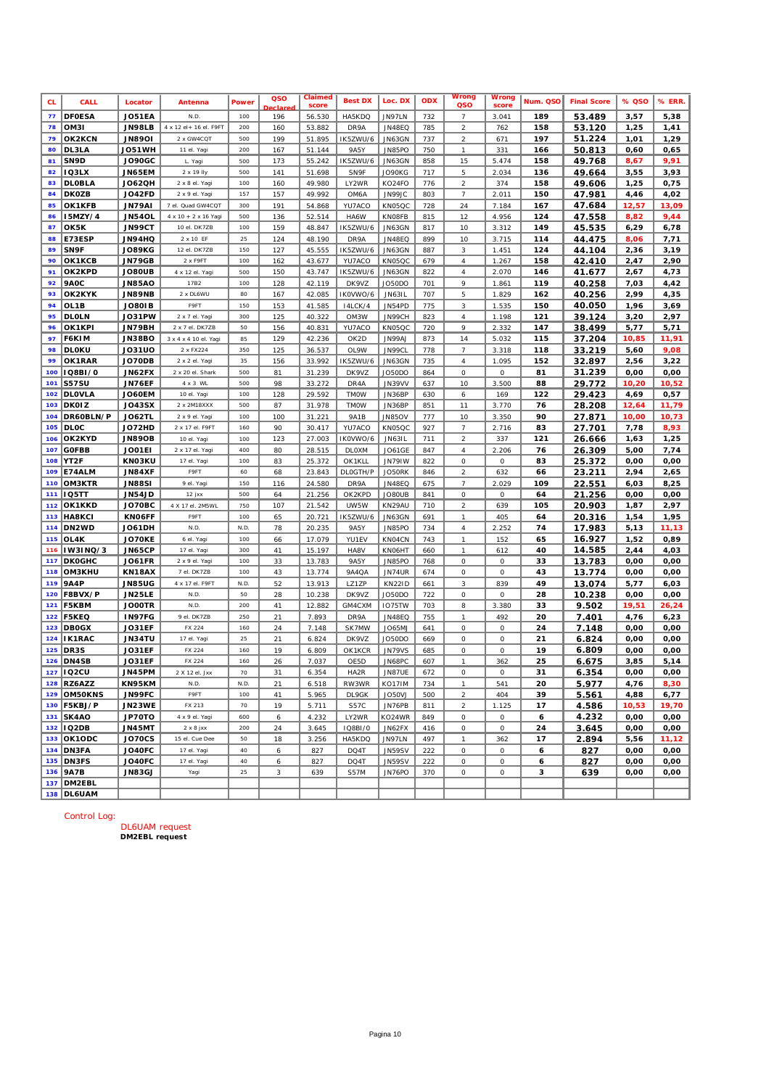| <b>CL</b> | CALL           | Locator       | Antenna                | Power | QSO<br>eclare | Claimed<br>score | <b>Best DX</b>         | Loc. DX       | <b>ODX</b> | Nrong<br>QSO               | Wrong<br>score | Num. QSO | <b>Final Score</b> | % QSO | % ERR. |
|-----------|----------------|---------------|------------------------|-------|---------------|------------------|------------------------|---------------|------------|----------------------------|----------------|----------|--------------------|-------|--------|
| 77        | <b>DFOESA</b>  | <b>JO51EA</b> | N.D                    | 100   | 196           | 56.530           | HA5KDQ                 | JN97LN        | 732        | $\overline{7}$             | 3.041          | 189      | 53.489             | 3,57  | 5,38   |
| 78        | OM3I           | <b>JN98LB</b> | 4 x 12 el+ 16 el. F9FT | 200   | 160           | 53.882           | DR9A                   | <b>JN48EQ</b> | 785        | $\sqrt{2}$                 | 762            | 158      | 53.120             | 1,25  | 1,41   |
| 79        | OK2KCN         | <b>JN8901</b> | 2 x GW4CQT             | 500   | 199           | 51.895           | IK5ZWU/6               | JN63GN        | 737        | $\sqrt{2}$                 | 671            | 197      | 51.224             | 1,01  | 1,29   |
| 80        | DL3LA          | JO51WH        | 11 el. Yagi            | 200   | 167           | 51.144           | 9A5Y                   | JN85PO        | 750        | $\boldsymbol{\eta}$        | 331            | 166      | 50.813             | 0,60  | 0,65   |
| 81        | SN9D           | <b>JO90GC</b> | L. Yagi                | 500   | 173           | 55.242           | IK5ZWU/6               | <b>JN63GN</b> | 858        | 15                         | 5.474          | 158      | 49.768             | 8,67  | 9,91   |
| 82        | <b>IQ3LX</b>   | JN65EM        | 2 x 19 lly             | 500   | 141           | 51.698           | SN9F                   | JO90KG        | 717        | 5                          | 2.034          | 136      | 49.664             | 3,55  | 3,93   |
| 83        | <b>DLOBLA</b>  | <b>JO62QH</b> | 2 x 8 el. Yagi         | 100   | 160           | 49.980           | LY2WR                  | KO24FO        | 776        | $\sqrt{2}$                 | 374            | 158      | 49.606             | 1,25  | 0,75   |
| 84        | <b>DKOZB</b>   | JO42FD        | 2 x 9 el. Yagi         | 157   | 157           | 49.992           | OM6A                   | JN99JC        | 803        | $\overline{7}$             | 2.011          | 150      | 47.981             | 4,46  | 4,02   |
| 85        | OK1KFB         | <b>JN79AI</b> | 7 el. Quad GW4CQT      | 300   | 191           | 54.868           | YU7ACO                 | KN05QC        | 728        | 24                         | 7.184          | 167      | 47.684             | 12,57 | 13,09  |
| 86        | <b>I5MZY/4</b> | <b>JN54OL</b> | 4 x 10 + 2 x 16 Yagi   | 500   | 136           | 52.514           | HA6W                   | KN08FB        | 815        | 12                         | 4.956          | 124      | 47.558             | 8,82  | 9,44   |
| 87        | OK5K           | JN99CT        | 10 el. DK7ZB           | 100   | 159           | 48.847           | IK5ZWU/6               | JN63GN        | 817        | $10$                       | 3.312          | 149      | 45.535             | 6,29  | 6,78   |
| 88        | E73ESP         | JN94HQ        | 2 x 10 EF              | 25    | 124           | 48.190           | DR9A                   | JN48EQ        | 899        | 10                         | 3.715          | 114      | 44.475             | 8,06  | 7,71   |
| 89        | SN9F           | <b>JO89KG</b> | 12 el. DK7ZB           | 150   | 127           | 45.555           | IK5ZWU/6               | <b>JN63GN</b> | 887        | 3                          | 1.451          | 124      | 44.104             | 2,36  | 3,19   |
| 90        | OK1KCB         | <b>JN79GB</b> | 2 x F9FT               | 100   | 162           | 43.677           | YU7ACO                 | KN05QC        | 679        | $\boldsymbol{4}$           | 1.267          | 158      | 42.410             | 2,47  | 2,90   |
| 91        | OK2KPD         | <b>JO80UB</b> | 4 x 12 el. Yagi        | 500   | 150           | 43.747           | IK5ZWU/6               | JN63GN        | 822        | $\boldsymbol{4}$           | 2.070          | 146      | 41.677             | 2,67  | 4,73   |
| 92        | 9AOC           | <b>JN85AO</b> | 17B2                   | 100   | 128           | 42.119           | DK9VZ                  | JO50DO        | 701        | 9                          | 1.861          | 119      | 40.258             | 7,03  | 4,42   |
| 93        | OK2KYK         | <b>JN89NB</b> | 2 x DL6WU              | 80    | 167           | 42.085           | IKOVWO/6               | JN631L        | 707        | $\sqrt{5}$                 | 1.829          | 162      | 40.256             | 2,99  | 4,35   |
| 94        | OL1B           | <b>JO80IB</b> | F9FT                   | 150   | 153           | 41.585           | 14LCK/4                | JN54PD        | 775        | 3                          | 1.535          | 150      | 40.050             | 1,96  | 3,69   |
| 95        | <b>DLOLN</b>   | <b>JO31PW</b> | 2 x 7 el. Yagi         | 300   | 125           | 40.322           | OM3W                   | JN99CH        | 823        | $\sqrt{4}$                 | 1.198          | 121      | 39.124             | 3,20  | 2,97   |
| 96        | OK1KPI         | JN79BH        | 2 x 7 el. DK7ZB        | 50    | 156           | 40.831           | YU7ACO                 | KN05QC        | 720        | 9                          | 2.332          | 147      | 38.499             | 5,77  | 5,71   |
| 97        | F6KIM          | JN38BO        | 3 x 4 x 4 10 el. Yagi  | 85    | 129           | 42.236           | OK2D                   | JN99AJ        | 873        | 14                         | 5.032          | 115      | 37.204             | 10,85 | 11,91  |
| 98        | <b>DLOKU</b>   | <b>JO31UO</b> | 2 x FX224              | 350   | 125           | 36.537           | OL9W                   | JN99CL        | 778        | $\overline{7}$             | 3.318          | 118      | 33.219             | 5,60  | 9,08   |
| 99        | OK1RAR         | <b>JO70DB</b> | 2 x 2 el. Yagi         | 35    | 156           | 33.992           | IK5ZWU/6               | JN63GN        | 735        | $\boldsymbol{4}$           | 1.095          | 152      | 32.897             | 2,56  | 3,22   |
| 100       | IQ8BI/0        | JN62FX        | 2 x 20 el. Shark       | 500   | 81            | 31.239           | DK9VZ                  | JO50DO        | 864        | 0                          | 0              | 81       | 31.239             | 0,00  | 0,00   |
| 101       | <b>S57SU</b>   | JN76EF        | $4 \times 3$ WL        | 500   | 98            | 33.272           | DR4A                   | <b>JN39VV</b> | 637        | 10                         | 3.500          | 88       | 29.772             | 10,20 | 10,52  |
| 102       | <b>DLOVLA</b>  | JO60EM        | 10 el. Yagi            | 100   | 128           | 29.592           | <b>TMOW</b>            | JN36BP        | 630        | 6                          | 169            | 122      | 29.423             | 4,69  | 0,57   |
| 103       | <b>DKOIZ</b>   | <b>JO43SX</b> | 2 x 2M18XXX            | 500   | 87            | 31.978           | <b>TMOW</b>            | JN36BP        | 851        | $\it 11$                   | 3.770          | 76       | 28.208             | 12,64 | 11,79  |
| 104       | DR60BLN/P      | <b>JO62TL</b> | 2 x 9 el. Yagi         | 100   | 100           | 31.221           | <b>9A1B</b>            | JN85OV        | 777        | 10                         | 3.350          | 90       | 27.871             | 10,00 | 10,73  |
| 105       | <b>DLOC</b>    | JO72HD        | 2 x 17 el. F9FT        | 160   | 90            | 30.417           | YU7ACO                 | KN05QC        | 927        | 7                          | 2.716          | 83       | 27.701             | 7,78  | 8,93   |
| 106       | OK2KYD         | <b>JN89OB</b> | 10 el. Yaqi            | 100   | 123           | 27.003           | IK0VWO/6               | JN631L        | 711        | $\overline{a}$             | 337            | 121      | 26.666             | 1,63  | 1,25   |
| 107       | <b>GOFBB</b>   | <b>JO01EI</b> | 2 x 17 el. Yagi        | 400   | 80            | 28.515           | DLOXM                  | <b>JO61GE</b> | 847        | $\sqrt{4}$                 | 2.206          | 76       | 26.309             | 5,00  | 7,74   |
| 108       | YT2F           | KN03KU        | 17 el. Yagi            | 100   | 83            | 25.372           | OK1KLL                 | <b>JN79IW</b> | 822        | 0                          | 0              | 83       | 25.372             | 0,00  | 0,00   |
| 109       | E74ALM         | JN84XF        | F9FT                   | 60    | 68            | 23.843           | <b>DLOGTH/P</b>        | JO50RK        | 846        | $\sqrt{2}$                 | 632            | 66       | 23.211             | 2,94  | 2,65   |
| 110       | OM3KTR         | <b>JN88SI</b> | 9 el. Yagi             | 150   | 116           | 24.580           | DR9A                   | <b>JN48EQ</b> | 675        | $\overline{7}$             | 2.029          | 109      | 22.551             | 6,03  | 8,25   |
| 111       | IQ5TT          | <b>JN54JD</b> | 12 jxx                 | 500   | 64            | 21.256           | OK2KPD                 | <b>JO80UB</b> | 841        | $\cal O$                   | О              | 64       | 21.256             | 0,00  | 0,00   |
| 112       | OK1KKD         | JO70BC        | 4 X 17 el. 2M5WL       | 750   | 107           | 21.542           | UW5W                   | KN29AU        | 710        | $\sqrt{2}$                 | 639            | 105      | 20.903             | 1,87  | 2,97   |
| 113       | <b>HA8KCI</b>  | KN06FF        | F9FT                   | 100   | 65            | 20.721           | IK5ZWU/6               | JN63GN        | 691        | $\boldsymbol{\eta}$        | 405            | 64       | 20.316             | 1,54  | 1,95   |
| 114       | DN2WD          | JO61DH        | N.D.                   | N.D.  | 78            | 20.235           | 9A5Y                   | <b>JN85PO</b> | 734        | $\boldsymbol{4}$           | 2.252          | 74       | 17.983             | 5,13  | 11,13  |
| 115       | OL4K           | JO70KE        | 6 el. Yagi             | 100   | 66            | 17.079           | YU1EV                  | KN04CN        | 743        | $\boldsymbol{\eta}$        | 152            | 65       | 16.927             | 1,52  | 0,89   |
| 116       | IW3INQ/3       | <b>JN65CP</b> | 17 el. Yagi            | 300   | 41            | 15.197           | HA8V                   | KN06HT        | 660        | $\boldsymbol{\eta}$        | 612            | 40       | 14.585             | 2,44  | 4,03   |
| 117       | <b>DKOGHC</b>  | <b>JO61FR</b> | 2 x 9 el. Yagi         | 100   | 33            | 13.783           | 9A5Y                   | <b>JN85PO</b> | 768        | 0                          | 0              | 33       | 13.783             | 0,00  | 0,00   |
| 118       | OM3KHU         | KN18AX        | 7 el. DK7ZB            | 100   | 43            | 13.774           | 9A4QA                  | <b>JN74UR</b> | 674        | $\cal O$                   | 0              | 43       | 13.774             | 0,00  | 0,00   |
| 119       | <b>9A4P</b>    | <b>JN85UG</b> | 4 x 17 el. F9FT        | N.D   | 52            | 13.913           | LZ1ZP                  | <b>KN22ID</b> | 661        | 3                          | 839            | 49       | 13.074             | 5,77  | 6,03   |
| 120       | F8BVX/P        | <b>JN25LE</b> | N.D.                   | 50    | 28            | 10.238           | DK9VZ                  | JO50DO        | 722        | 0                          | 0              | 28       | 10.238             | 0,00  | 0,00   |
| 121       | F5KBM          | <b>JOOOTR</b> | N.D.                   | 200   | 41            | 12.882           | GM4CXM                 | 1075TW        | 703        | 8                          | 3.380          | 33       | 9.502              | 19,51 | 26,24  |
| 122       | <b>F5KEQ</b>   | IN97FG        | 9 el. DK7ZB            | 250   | 21            | 7.893            | DR9A                   | <b>JN48EQ</b> | 755        | $\it 1$                    | 492            | 20       | 7.401              | 4,76  | 6,23   |
| 123       | <b>DBOGX</b>   | JO31EF        | FX 224                 | 160   | 24            | 7.148            | SK7MW                  | JO65MJ        | 641        | 0                          | 0              | 24       | 7.148              | 0,00  | 0,00   |
| 124       | IK1RAC         | <b>JN34TU</b> | 17 el. Yagi            | 25    | 21            | 6.824            | DK9VZ                  | JO50DO        | 669        | 0                          | 0              | 21       | 6.824              | 0,00  | 0,00   |
| 125       | DR3S           | JO31EF        | FX 224                 | 160   | 19            | 6.809            | OK1KCR                 | <b>JN79VS</b> | 685        | 0                          | 0              | 19       | 6.809              | 0,00  | 0,00   |
| 126       | DN4SB          | JO31EF        | FX 224                 | 160   | 26            | 7.037            | OE5D                   | JN68PC        | 607        | $\mathcal I$               | 362            | 25       | 6.675              | 3,85  | 5,14   |
|           | 127   IQ2CU    | JN45PM        | 2 X 12 el. Ixx         | 70    | 31            | 6.354            | $H$ A <sub>2</sub> $R$ | <b>IN87UF</b> | 672        | $\Omega$                   | $\Omega$       | 31       | 6.354              | 0,00  | 0,00   |
|           | 128 RZ6AZZ     | KN95KM        | N.D.                   | N.D   | 21            | 6.518            | RW3WR                  | <b>KO17IM</b> | 734        | $\boldsymbol{\eta}$        | 541            | 20       | 5.977              | 4,76  | 8,30   |
|           | 129 OM50KNS    | JN99FC        | F9FT                   | 100   | 41            | 5.965            | DL9GK                  | JO50VJ        | 500        | $\overline{a}$             | 404            | 39       | 5.561              | 4,88  | 6,77   |
|           | 130 F5KBJ/P    | <b>JN23WE</b> | FX 213                 | 70    | 19            | 5.711            | S57C                   | JN76PB        | 811        | $\overline{a}$             | 1.125          | 17       | 4.586              | 10,53 | 19,70  |
|           | 131 SK4AO      | JP70TO        | 4 x 9 el. Yagi         | 600   | 6             | 4.232            | LY2WR                  | KO24WR        | 849        | 0                          | 0              | 6        | 4.232              | 0,00  | 0,00   |
|           | 132   IQ2DB    | <b>JN45MT</b> | $2 \times 8$ jxx       | 200   | 24            | 3.645            | <b>IQ8BI/0</b>         | JN62FX        | 416        | 0                          | 0              | 24       | 3.645              | 0,00  | 0,00   |
|           | 133 OK1ODC     | <b>JO70CS</b> | 15 el. Cue Dee         | 50    | 18            | 3.256            | HA5KDQ                 | JN97LN        | 497        | $\boldsymbol{\mathcal{I}}$ | 362            | 17       | 2.894              | 5,56  | 11,12  |
|           | 134 DN3FA      | JO40FC        | 17 el. Yagi            | 40    | 6             | 827              | DQ4T                   | JN59SV        | 222        | $\cal O$                   | 0              | 6        | 827                | 0,00  | 0,00   |
|           | 135 DN3FS      | JO40FC        | 17 el. Yagi            | 40    | 6             | 827              | DQ4T                   | <b>JN59SV</b> | 222        | 0                          | 0              | 6        | 827                | 0,00  | 0,00   |
|           | 136 9A7B       | <b>JN83GJ</b> | Yagi                   | 25    | $\mathcal{Z}$ | 639              | S57M                   | JN76PO        | 370        | 0                          | 0              | 3        | 639                | 0,00  | 0,00   |
|           | 137   DM2EBL   |               |                        |       |               |                  |                        |               |            |                            |                |          |                    |       |        |
|           | 138 DL6UAM     |               |                        |       |               |                  |                        |               |            |                            |                |          |                    |       |        |

Control Log:

DL6UAM request **DM2EBL request**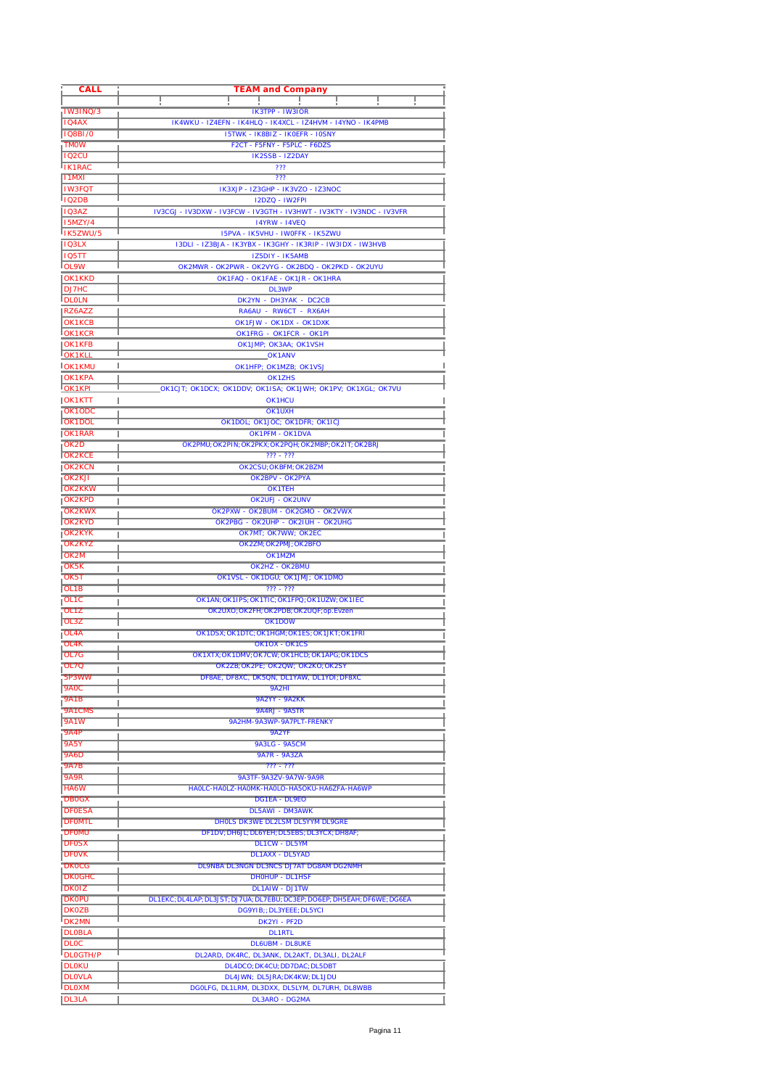| CALL                            | <b>TEAM and Company</b>                                                                   |
|---------------------------------|-------------------------------------------------------------------------------------------|
|                                 |                                                                                           |
| <b>IW3INQ/3</b>                 | $IK3TPP - IW3IOR$                                                                         |
| IQ4AX                           | IK4WKU - IZ4EFN - IK4HLQ - IK4XCL - IZ4HVM - I4YNO - IK4PMB                               |
| <b>IQ8BI/0</b><br><b>TMOW</b>   | <b>I5TWK - IK8BIZ - IKOEFR - IOSNY</b><br>F2CT - F5FNY - F5PLC - F6DZS                    |
| <b>IQ2CU</b>                    | IK2SSB - IZ2DAY                                                                           |
| <b>IK1RAC</b>                   | ???                                                                                       |
| <b>I1MXI</b>                    | 777                                                                                       |
| <b>IW3FQT</b>                   | IK3XJP - IZ3GHP - IK3VZO - IZ3NOC                                                         |
| <b>IQ2DB</b>                    | <b>I2DZQ - IW2FPI</b>                                                                     |
| <b>IQ3AZ</b>                    | IV3CGJ - IV3DXW - IV3FCW - IV3GTH - IV3HWT - IV3KTY - IV3NDC - IV3VFR                     |
| <b>I5MZY/4</b>                  | <b>14YRW - 14VEQ</b>                                                                      |
| IK5ZWU/5                        | I5PVA - IK5VHU - IWOFFK - IK5ZWU                                                          |
| <b>IQ3LX</b><br>105TT           | I3DLI - IZ3BJA - IK3YBX - IK3GHY - IK3RIP - IW3IDX - IW3HVB<br>IZ5DIY - IK5AMB            |
| OL9W                            | OK2MWR - OK2PWR - OK2VYG - OK2BDQ - OK2PKD - OK2UYU                                       |
| OK1KKD                          | OK1FAQ - OK1FAE - OK1JR - OK1HRA                                                          |
| DJ7HC                           | DL3WP                                                                                     |
| <b>DLOLN</b>                    | DK2YN - DH3YAK - DC2CB                                                                    |
| RZ6AZZ                          | RA6AU - RW6CT - RX6AH                                                                     |
| OK1KCB                          | OK1FJW - OK1DX - OK1DXK                                                                   |
| OK1KCR                          | OK1FRG - OK1FCR - OK1PI                                                                   |
| OK1KFB                          | OK1JMP; OK3AA; OK1VSH                                                                     |
| OK1KLL                          | OK1ANV<br>ı                                                                               |
| <b>OK1KMU</b>                   | OK1HFP; OK1MZB; OK1VSJ<br>OK1ZHS                                                          |
| OK1KPA<br><b>OK1KPL</b>         | _OK1CJT; OK1DCX; OK1DDV; OK1ISA; OK1JWH; OK1PV; OK1XGL; OK7VU                             |
| OK1KTT                          | OK1HCU                                                                                    |
| OK1ODC                          | <b>OK1UXH</b>                                                                             |
| <b>IOK1DOL</b>                  | OK1DOL; OK1JOC; OK1DFR; OK1ICJ                                                            |
| <b>IOK1RAR</b>                  | OK1PFM - OK1DVA                                                                           |
| OK <sub>2</sub> D               | OK2PMU; OK2PIN; OK2PKX; OK2PQH; OK2MBP; OK2IT; OK2BRJ                                     |
| <b>OK2KCE</b>                   | $772 - 772$                                                                               |
| <b>IOK2KCN</b>                  | OK2CSU; OKBFM; OK2BZM<br>ı                                                                |
| <b>OK2KJI</b>                   | OK2BPV - OK2PYA                                                                           |
| <b>OK2KKW</b><br><b>IOK2KPD</b> | OK1TEH<br>OK2UFJ - OK2UNV                                                                 |
| <b>OK2KWX</b>                   | OK2PXW - OK2BUM - OK2GMO - OK2VWX                                                         |
| <b>OK2KYD</b>                   | OK2PBG - OK2UHP - OK2IUH - OK2UHG                                                         |
| <b>IOK2KYK</b>                  | OK7MT; OK7WW; OK2EC                                                                       |
| OK2KYZ                          | OK2ZM; OK2PMJ; OK2BFO                                                                     |
| OK <sub>2M</sub>                | OK1MZM                                                                                    |
| <b>IOK5K</b>                    | OK2HZ - OK2BMU<br>ı                                                                       |
| OK5T                            | OK1VSL - OK1DGU; OK1JMJ; OK1DMO                                                           |
| OL <sub>1</sub> B               | $772 - 777$                                                                               |
| OL1C<br>OL <sub>1</sub> Z       | OK1AN; OK1IPS; OK1TIC; OK1FPQ; OK1UZW; OK1IEC<br>OK2UXO, OK2FH, OK2PDB, OK2UOF, op. Evzen |
| <b>OL3Z</b>                     | OK1DOW                                                                                    |
| <b>OL4A</b>                     | OK IDSX OK IDIG OK IHGM OK ILS OK IJK FOK IFRI                                            |
| OL4K                            | <b>OK1OX - OK1CS</b>                                                                      |
| <b>OL7G</b>                     | OK 1X IX: OK 1DMV: OK 7GW: OK 1HCD: OK 1APG: OK 1DCS                                      |
| 10L70                           | OK2ZB; OK2PE; OK2OW; OK2KO; OK2SY<br>ı                                                    |
| .5P3WW                          | DF8AE, DF8XC, DK5QN, DL1YAW, DL1YDI, DF8XC                                                |
| <b>9A0C</b>                     | 9A2HI                                                                                     |
| 9A1B                            | <b>9A2YY - 9A2KK</b><br>ı                                                                 |
| 9A1CMS<br><b>9A1W</b>           | 9A4RJ - 9A5TR<br>9A2HM-9A3WP-9A7PLT-FRENKY                                                |
| <b>9A4P</b>                     | 942YF                                                                                     |
| <b>9A5Y</b>                     | <b>9A3LG - 9A5CM</b>                                                                      |
| <b>9A6D</b>                     | <b>9A7R - 9A3ZA</b>                                                                       |
| <b>9A7B</b>                     | $777 - 777$                                                                               |
| <b>9A9R</b>                     | 9A3TF-9A3ZV-9A7W-9A9R                                                                     |
| <b>HA6W</b>                     | HAOLC-HAOLZ-HAOMK-HAOLO-HA5OKU-HA6ZFA-HA6WP                                               |
| <b>DBOGX</b>                    | <b>DG1FA - DL9FO</b>                                                                      |
| <b>DFOESA</b>                   | <b>DL5AWI - DM3AWK</b><br><b>DHOLS DK3WE DL2LSM DL5YYM DL9GRE</b>                         |
| <b>DFOMTL</b><br><b>DFOMU</b>   | DF1DV; DH6JL; DL6YEH; DL5EBS; DL3YCX; DH8AF;                                              |
| <b>DFOSX</b>                    | <b>DL1CW - DL5YM</b>                                                                      |
| <b>DFOVK</b>                    | <b>DL1AXX - DL5YAD</b>                                                                    |
| <b>DKOCG</b>                    | <b>DL9NBA DL3NGN DL3NCS DJ7AT DG8AM DG2NMH</b>                                            |
| <b>DKOGHC</b>                   | <b>DHOHUP - DL1HSF</b>                                                                    |
| <b>DKOIZ</b>                    | <b>DL1AIW - DJ1TW</b>                                                                     |
| <b>DKOPU</b>                    | DL1EKC; DL4LAP; DL3JST; DJ7UA; DL7EBU; DC3EP; DO6EP; DH5EAH; DF6WE; DG6EA                 |
| <b>DKOZB</b>                    | DG9YIB;; DL3YEEE; DL5YCI                                                                  |
| <b>DK2MN</b>                    | DK2YI - PF2D                                                                              |
| <b>DLOBLA</b><br><b>DLOC</b>    | <b>DL1RTL</b><br><b>DL6UBM - DL8UKE</b>                                                   |
| <b>DLOGTH/P</b>                 | DL2ARD, DK4RC, DL3ANK, DL2AKT, DL3ALI, DL2ALF                                             |
| <b>DLOKU</b>                    | DL4DCO; DK4CU; DD7DAC; DL5DBT                                                             |
| <b>DLOVLA</b>                   | DL4JWN; DL5JRA; DK4KW; DL1JDU                                                             |
| <b>DLOXM</b>                    | DGOLFG, DL1LRM, DL3DXX, DL5LYM, DL7URH, DL8WBB                                            |
| <b>DL3LA</b>                    | DL3ARO - DG2MA                                                                            |